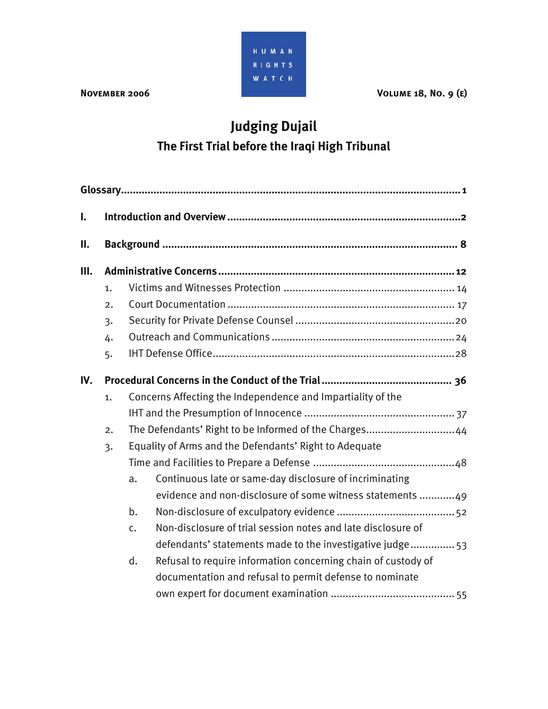

**NOVEMBER 2006** VOLUME 18, NO. 9 (E)

# **Judging Dujail The First Trial before the Iraqi High Tribunal**

| $\mathbf{I}$ . |                  |                                                                     |  |  |  |  |
|----------------|------------------|---------------------------------------------------------------------|--|--|--|--|
| П.             |                  |                                                                     |  |  |  |  |
| Ш.             |                  |                                                                     |  |  |  |  |
|                | 1.               |                                                                     |  |  |  |  |
|                | 2.               |                                                                     |  |  |  |  |
|                | $\overline{3}$   |                                                                     |  |  |  |  |
|                | 4.               |                                                                     |  |  |  |  |
|                | 5.               |                                                                     |  |  |  |  |
| IV.            |                  |                                                                     |  |  |  |  |
|                | 1.               | Concerns Affecting the Independence and Impartiality of the         |  |  |  |  |
|                |                  |                                                                     |  |  |  |  |
|                | $\overline{2}$ . | The Defendants' Right to be Informed of the Charges 44              |  |  |  |  |
|                | $\overline{3}$   | Equality of Arms and the Defendants' Right to Adequate              |  |  |  |  |
|                |                  |                                                                     |  |  |  |  |
|                |                  | Continuous late or same-day disclosure of incriminating<br>a.       |  |  |  |  |
|                |                  | evidence and non-disclosure of some witness statements 49           |  |  |  |  |
|                |                  | b.                                                                  |  |  |  |  |
|                |                  | Non-disclosure of trial session notes and late disclosure of<br>c.  |  |  |  |  |
|                |                  | defendants' statements made to the investigative judge 53           |  |  |  |  |
|                |                  | Refusal to require information concerning chain of custody of<br>d. |  |  |  |  |
|                |                  | documentation and refusal to permit defense to nominate             |  |  |  |  |
|                |                  |                                                                     |  |  |  |  |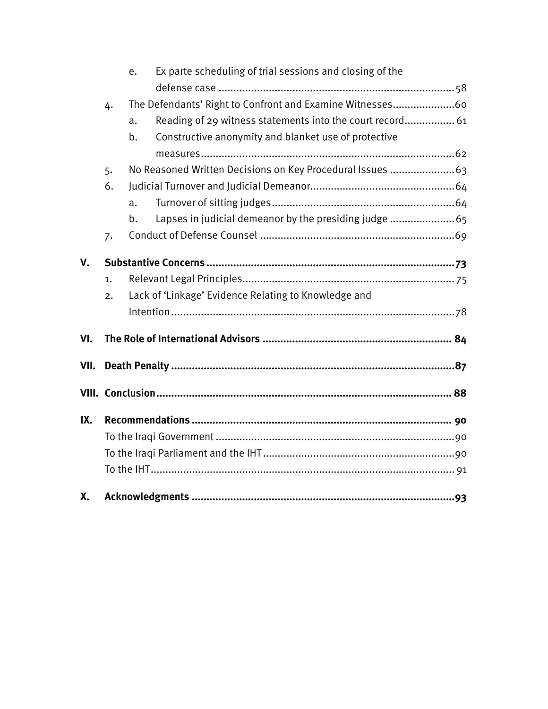|    | e. | Ex parte scheduling of trial sessions and closing of the |                                                                                                                                                                                                                                                                                                        |  |  |  |
|----|----|----------------------------------------------------------|--------------------------------------------------------------------------------------------------------------------------------------------------------------------------------------------------------------------------------------------------------------------------------------------------------|--|--|--|
|    |    |                                                          |                                                                                                                                                                                                                                                                                                        |  |  |  |
| 4. |    |                                                          |                                                                                                                                                                                                                                                                                                        |  |  |  |
|    | a. |                                                          |                                                                                                                                                                                                                                                                                                        |  |  |  |
|    | b. | Constructive anonymity and blanket use of protective     |                                                                                                                                                                                                                                                                                                        |  |  |  |
|    |    |                                                          |                                                                                                                                                                                                                                                                                                        |  |  |  |
| 5. |    |                                                          |                                                                                                                                                                                                                                                                                                        |  |  |  |
| 6. |    |                                                          |                                                                                                                                                                                                                                                                                                        |  |  |  |
|    | a. |                                                          |                                                                                                                                                                                                                                                                                                        |  |  |  |
|    | b. |                                                          |                                                                                                                                                                                                                                                                                                        |  |  |  |
| 7. |    |                                                          |                                                                                                                                                                                                                                                                                                        |  |  |  |
|    |    |                                                          |                                                                                                                                                                                                                                                                                                        |  |  |  |
|    |    |                                                          |                                                                                                                                                                                                                                                                                                        |  |  |  |
| 1. |    |                                                          |                                                                                                                                                                                                                                                                                                        |  |  |  |
| 2. |    |                                                          |                                                                                                                                                                                                                                                                                                        |  |  |  |
|    |    |                                                          |                                                                                                                                                                                                                                                                                                        |  |  |  |
|    |    |                                                          |                                                                                                                                                                                                                                                                                                        |  |  |  |
|    |    |                                                          |                                                                                                                                                                                                                                                                                                        |  |  |  |
|    |    |                                                          |                                                                                                                                                                                                                                                                                                        |  |  |  |
|    |    |                                                          |                                                                                                                                                                                                                                                                                                        |  |  |  |
|    |    |                                                          |                                                                                                                                                                                                                                                                                                        |  |  |  |
|    |    |                                                          |                                                                                                                                                                                                                                                                                                        |  |  |  |
|    |    |                                                          |                                                                                                                                                                                                                                                                                                        |  |  |  |
|    |    |                                                          |                                                                                                                                                                                                                                                                                                        |  |  |  |
|    |    |                                                          |                                                                                                                                                                                                                                                                                                        |  |  |  |
|    |    |                                                          |                                                                                                                                                                                                                                                                                                        |  |  |  |
|    |    |                                                          | The Defendants' Right to Confront and Examine Witnesses60<br>Reading of 29 witness statements into the court record 61<br>No Reasoned Written Decisions on Key Procedural Issues  63<br>Lapses in judicial demeanor by the presiding judge  65<br>Lack of 'Linkage' Evidence Relating to Knowledge and |  |  |  |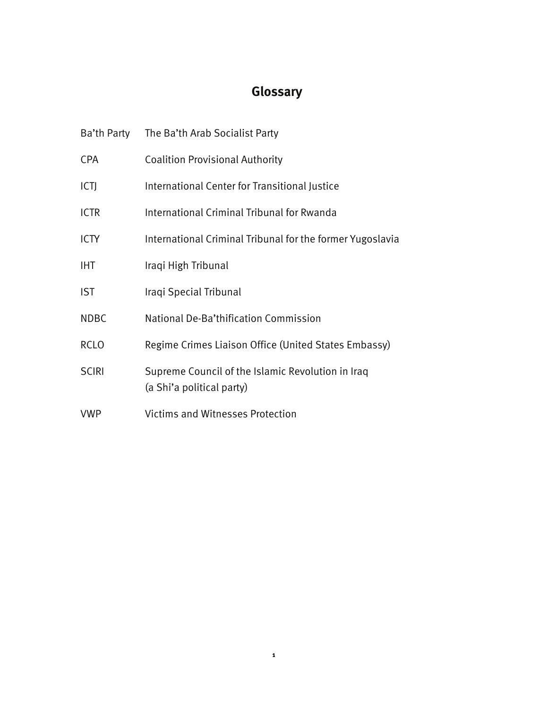# **Glossary**

|              | Ba'th Party The Ba'th Arab Socialist Party                                     |
|--------------|--------------------------------------------------------------------------------|
| <b>CPA</b>   | <b>Coalition Provisional Authority</b>                                         |
| ICTJ         | International Center for Transitional Justice                                  |
| <b>ICTR</b>  | International Criminal Tribunal for Rwanda                                     |
| <b>ICTY</b>  | International Criminal Tribunal for the former Yugoslavia                      |
| <b>IHT</b>   | Iraqi High Tribunal                                                            |
| <b>IST</b>   | Iraqi Special Tribunal                                                         |
| <b>NDBC</b>  | National De-Ba'thification Commission                                          |
| <b>RCLO</b>  | Regime Crimes Liaison Office (United States Embassy)                           |
| <b>SCIRI</b> | Supreme Council of the Islamic Revolution in Iraq<br>(a Shi'a political party) |
| <b>VWP</b>   | <b>Victims and Witnesses Protection</b>                                        |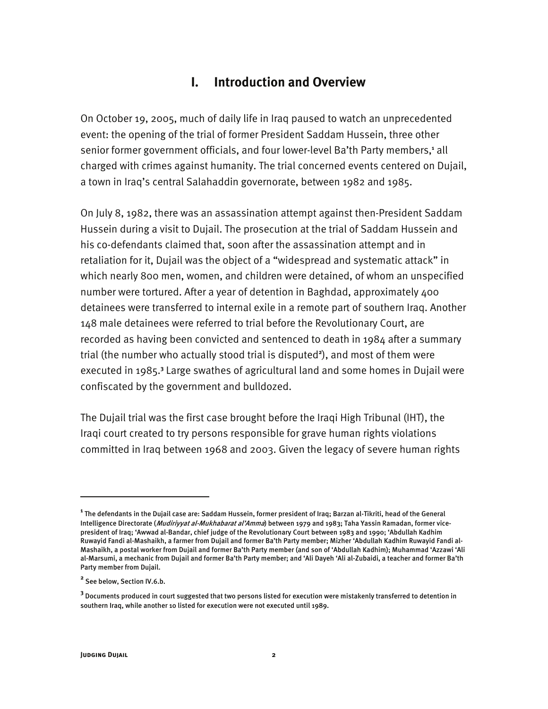# **I. Introduction and Overview**

On October 19, 2005, much of daily life in Iraq paused to watch an unprecedented event: the opening of the trial of former President Saddam Hussein, three other senior former government officials, and four lower-level Ba'th Party members,<sup>1</sup> all charged with crimes against humanity. The trial concerned events centered on Dujail, a town in Iraq's central Salahaddin governorate, between 1982 and 1985.

On July 8, 1982, there was an assassination attempt against then-President Saddam Hussein during a visit to Dujail. The prosecution at the trial of Saddam Hussein and his co-defendants claimed that, soon after the assassination attempt and in retaliation for it, Dujail was the object of a "widespread and systematic attack" in which nearly 800 men, women, and children were detained, of whom an unspecified number were tortured. After a year of detention in Baghdad, approximately 400 detainees were transferred to internal exile in a remote part of southern Iraq. Another 148 male detainees were referred to trial before the Revolutionary Court, are recorded as having been convicted and sentenced to death in 1984 after a summary trial (the number who actually stood trial is disputed**<sup>2</sup>** ), and most of them were executed in 1985.**<sup>3</sup>** Large swathes of agricultural land and some homes in Dujail were confiscated by the government and bulldozed.

The Dujail trial was the first case brought before the Iraqi High Tribunal (IHT), the Iraqi court created to try persons responsible for grave human rights violations committed in Iraq between 1968 and 2003. Given the legacy of severe human rights

**<sup>1</sup>** The defendants in the Dujail case are: Saddam Hussein, former president of Iraq; Barzan al-Tikriti, head of the General Intelligence Directorate (*Mudiriyyat al-Mukhabarat al'Amma*) between 1979 and 1983; Taha Yassin Ramadan, former vicepresident of Iraq; 'Awwad al-Bandar, chief judge of the Revolutionary Court between 1983 and 1990; 'Abdullah Kadhim Ruwayid Fandi al-Mashaikh, a farmer from Dujail and former Ba'th Party member; Mizher 'Abdullah Kadhim Ruwayid Fandi al-Mashaikh, a postal worker from Dujail and former Ba'th Party member (and son of 'Abdullah Kadhim); Muhammad 'Azzawi 'Ali al-Marsumi, a mechanic from Dujail and former Ba'th Party member; and 'Ali Dayeh 'Ali al-Zubaidi, a teacher and former Ba'th Party member from Dujail.

**<sup>2</sup>** See below, Section IV.6.b.

**<sup>3</sup>** Documents produced in court suggested that two persons listed for execution were mistakenly transferred to detention in southern Iraq, while another 10 listed for execution were not executed until 1989.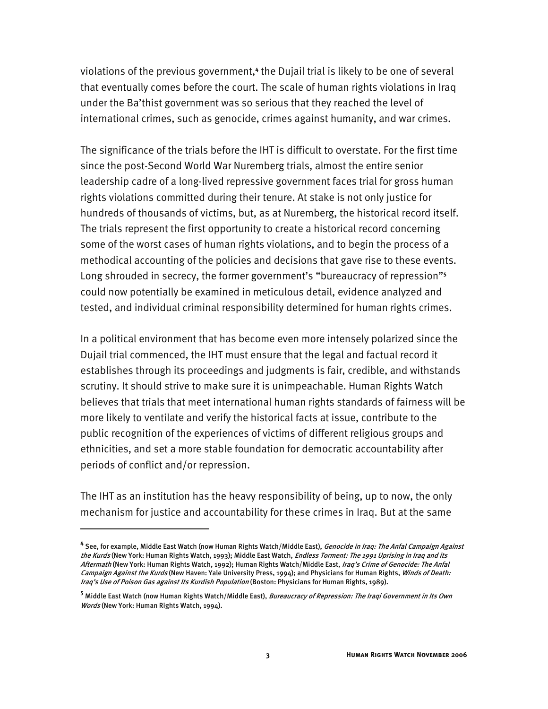violations of the previous government,**<sup>4</sup>** the Dujail trial is likely to be one of several that eventually comes before the court. The scale of human rights violations in Iraq under the Ba'thist government was so serious that they reached the level of international crimes, such as genocide, crimes against humanity, and war crimes.

The significance of the trials before the IHT is difficult to overstate. For the first time since the post-Second World War Nuremberg trials, almost the entire senior leadership cadre of a long-lived repressive government faces trial for gross human rights violations committed during their tenure. At stake is not only justice for hundreds of thousands of victims, but, as at Nuremberg, the historical record itself. The trials represent the first opportunity to create a historical record concerning some of the worst cases of human rights violations, and to begin the process of a methodical accounting of the policies and decisions that gave rise to these events. Long shrouded in secrecy, the former government's "bureaucracy of repression"**<sup>5</sup>** could now potentially be examined in meticulous detail, evidence analyzed and tested, and individual criminal responsibility determined for human rights crimes.

In a political environment that has become even more intensely polarized since the Dujail trial commenced, the IHT must ensure that the legal and factual record it establishes through its proceedings and judgments is fair, credible, and withstands scrutiny. It should strive to make sure it is unimpeachable. Human Rights Watch believes that trials that meet international human rights standards of fairness will be more likely to ventilate and verify the historical facts at issue, contribute to the public recognition of the experiences of victims of different religious groups and ethnicities, and set a more stable foundation for democratic accountability after periods of conflict and/or repression.

The IHT as an institution has the heavy responsibility of being, up to now, the only mechanism for justice and accountability for these crimes in Iraq. But at the same

<sup>&</sup>lt;sup>4</sup> See, for example, Middle East Watch (now Human Rights Watch/Middle East), *Genocide in Iraq: The Anfal Campaign Against* the Kurds (New York: Human Rights Watch, 1993); Middle East Watch, *Endless Torment: The 1991 Uprising in Iraq and its* Aftermath (New York: Human Rights Watch, 1992); Human Rights Watch/Middle East, Iraq's Crime of Genocide: The Anfal Campaign Against the Kurds (New Haven: Yale University Press, 1994); and Physicians for Human Rights, Winds of Death: Iraq's Use of Poison Gas against Its Kurdish Population (Boston: Physicians for Human Rights, 1989).

**<sup>5</sup>** Middle East Watch (now Human Rights Watch/Middle East), Bureaucracy of Repression: The Iraqi Government in Its Own Words (New York: Human Rights Watch, 1994).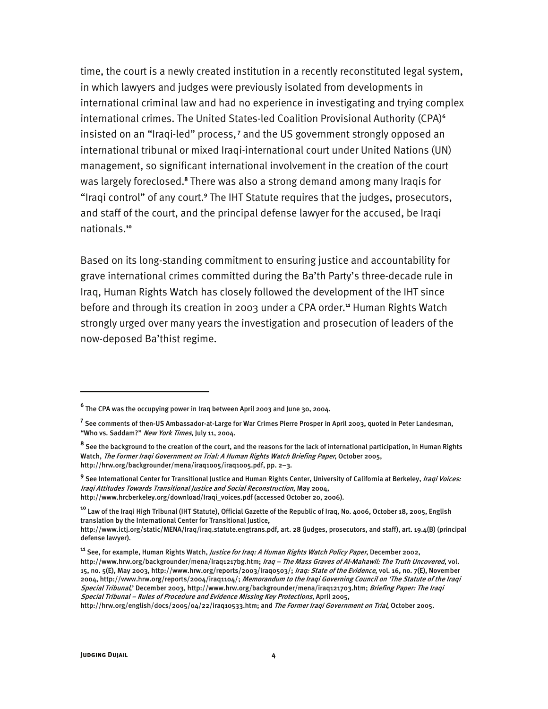time, the court is a newly created institution in a recently reconstituted legal system, in which lawyers and judges were previously isolated from developments in international criminal law and had no experience in investigating and trying complex international crimes. The United States-led Coalition Provisional Authority (CPA)**<sup>6</sup>** insisted on an "Iraqi-led" process,**<sup>7</sup>** and the US government strongly opposed an international tribunal or mixed Iraqi-international court under United Nations (UN) management, so significant international involvement in the creation of the court was largely foreclosed.**<sup>8</sup>** There was also a strong demand among many Iraqis for "Iraqi control" of any court.<sup>9</sup> The IHT Statute requires that the judges, prosecutors, and staff of the court, and the principal defense lawyer for the accused, be Iraqi nationals.**<sup>10</sup>**

Based on its long-standing commitment to ensuring justice and accountability for grave international crimes committed during the Ba'th Party's three-decade rule in Iraq, Human Rights Watch has closely followed the development of the IHT since before and through its creation in 2003 under a CPA order.**<sup>11</sup>** Human Rights Watch strongly urged over many years the investigation and prosecution of leaders of the now-deposed Ba'thist regime.

**<sup>6</sup>** The CPA was the occupying power in Iraq between April 2003 and June 30, 2004.

**<sup>7</sup>** See comments of then-US Ambassador-at-Large for War Crimes Pierre Prosper in April 2003, quoted in Peter Landesman, "Who vs. Saddam?" New York Times, July 11, 2004.

**<sup>8</sup>** See the background to the creation of the court, and the reasons for the lack of international participation, in Human Rights Watch, The Former Iraqi Government on Trial: A Human Rights Watch Briefing Paper, October 2005, http://hrw.org/backgrounder/mena/iraq1005/iraq1005.pdf, pp. 2–3.

<sup>&</sup>lt;sup>9</sup> See International Center for Transitional Justice and Human Rights Center, University of California at Berkeley, *Iraqi Voices:* Iraqi Attitudes Towards Transitional Justice and Social Reconstruction, May 2004, http://www.hrcberkeley.org/download/Iraqi\_voices.pdf (accessed October 20, 2006).

**<sup>10</sup>** Law of the Iraqi High Tribunal (IHT Statute), Official Gazette of the Republic of Iraq, No. 4006, October 18, 2005, English translation by the International Center for Transitional Justice,

http://www.ictj.org/static/MENA/Iraq/iraq.statute.engtrans.pdf, art. 28 (judges, prosecutors, and staff), art. 19.4(B) (principal defense lawyer).

**<sup>11</sup>** See, for example, Human Rights Watch, Justice for Iraq: A Human Rights Watch Policy Paper, December 2002, http://www.hrw.org/backgrounder/mena/iraq1217bg.htm; Iraq - The Mass Graves of Al-Mahawil: The Truth Uncovered, vol. 15, no. 5(E), May 2003, http://www.hrw.org/reports/2003/iraq0503/; *Iraq: State of the Evidence*, vol. 16, no. 7(E), November 2004, http://www.hrw.org/reports/2004/iraq1104/; Memorandum to the Iraqi Governing Council on 'The Statute of the Iraqi Special Tribunal,' December 2003, http://www.hrw.org/backgrounder/mena/iraq121703.htm; Briefing Paper: The Iraqi Special Tribunal – Rules of Procedure and Evidence Missing Key Protections, April 2005,

http://hrw.org/english/docs/2005/04/22/iraq10533.htm; and The Former Iraqi Government on Trial, October 2005.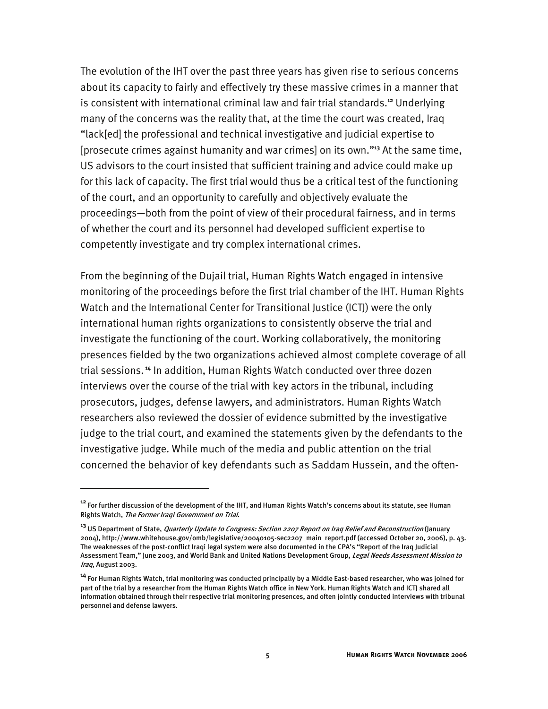The evolution of the IHT over the past three years has given rise to serious concerns about its capacity to fairly and effectively try these massive crimes in a manner that is consistent with international criminal law and fair trial standards.**<sup>12</sup>** Underlying many of the concerns was the reality that, at the time the court was created, Iraq "lack[ed] the professional and technical investigative and judicial expertise to [prosecute crimes against humanity and war crimes] on its own."**<sup>13</sup>** At the same time, US advisors to the court insisted that sufficient training and advice could make up for this lack of capacity. The first trial would thus be a critical test of the functioning of the court, and an opportunity to carefully and objectively evaluate the proceedings—both from the point of view of their procedural fairness, and in terms of whether the court and its personnel had developed sufficient expertise to competently investigate and try complex international crimes.

From the beginning of the Dujail trial, Human Rights Watch engaged in intensive monitoring of the proceedings before the first trial chamber of the IHT. Human Rights Watch and the International Center for Transitional Justice (ICTJ) were the only international human rights organizations to consistently observe the trial and investigate the functioning of the court. Working collaboratively, the monitoring presences fielded by the two organizations achieved almost complete coverage of all trial sessions.**<sup>14</sup>** In addition, Human Rights Watch conducted over three dozen interviews over the course of the trial with key actors in the tribunal, including prosecutors, judges, defense lawyers, and administrators. Human Rights Watch researchers also reviewed the dossier of evidence submitted by the investigative judge to the trial court, and examined the statements given by the defendants to the investigative judge. While much of the media and public attention on the trial concerned the behavior of key defendants such as Saddam Hussein, and the often-

**<sup>12</sup>** For further discussion of the development of the IHT, and Human Rights Watch's concerns about its statute, see Human Rights Watch, The Former Iraqi Government on Trial.

**<sup>13</sup>** US Department of State, Quarterly Update to Congress: Section 2207 Report on Iraq Relief and Reconstruction (January 2004), http://www.whitehouse.gov/omb/legislative/20040105-sec2207\_main\_report.pdf (accessed October 20, 2006), p. 43. The weaknesses of the post-conflict Iraqi legal system were also documented in the CPA's "Report of the Iraq Judicial Assessment Team," June 2003, and World Bank and United Nations Development Group, *Legal Needs Assessment Mission to* Iraq, August 2003.

**<sup>14</sup>** For Human Rights Watch, trial monitoring was conducted principally by a Middle East-based researcher, who was joined for part of the trial by a researcher from the Human Rights Watch office in New York. Human Rights Watch and ICTJ shared all information obtained through their respective trial monitoring presences, and often jointly conducted interviews with tribunal personnel and defense lawyers.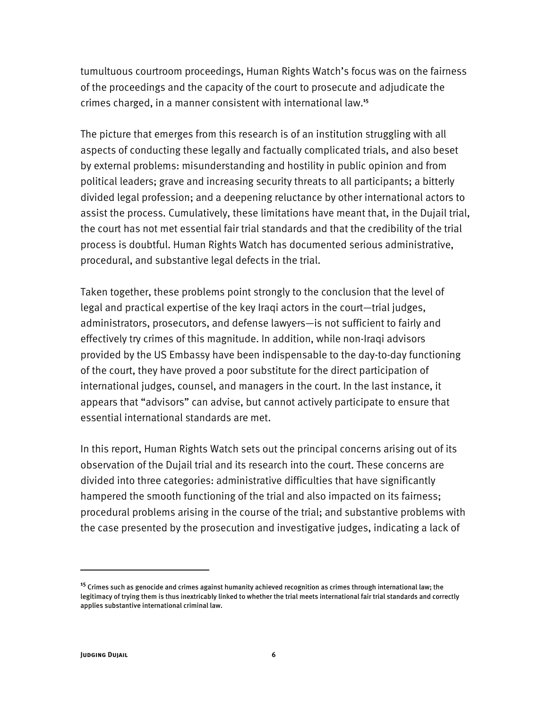tumultuous courtroom proceedings, Human Rights Watch's focus was on the fairness of the proceedings and the capacity of the court to prosecute and adjudicate the crimes charged, in a manner consistent with international law.**<sup>15</sup>**

The picture that emerges from this research is of an institution struggling with all aspects of conducting these legally and factually complicated trials, and also beset by external problems: misunderstanding and hostility in public opinion and from political leaders; grave and increasing security threats to all participants; a bitterly divided legal profession; and a deepening reluctance by other international actors to assist the process. Cumulatively, these limitations have meant that, in the Dujail trial, the court has not met essential fair trial standards and that the credibility of the trial process is doubtful. Human Rights Watch has documented serious administrative, procedural, and substantive legal defects in the trial.

Taken together, these problems point strongly to the conclusion that the level of legal and practical expertise of the key Iraqi actors in the court—trial judges, administrators, prosecutors, and defense lawyers—is not sufficient to fairly and effectively try crimes of this magnitude. In addition, while non-Iraqi advisors provided by the US Embassy have been indispensable to the day-to-day functioning of the court, they have proved a poor substitute for the direct participation of international judges, counsel, and managers in the court. In the last instance, it appears that "advisors" can advise, but cannot actively participate to ensure that essential international standards are met.

In this report, Human Rights Watch sets out the principal concerns arising out of its observation of the Dujail trial and its research into the court. These concerns are divided into three categories: administrative difficulties that have significantly hampered the smooth functioning of the trial and also impacted on its fairness; procedural problems arising in the course of the trial; and substantive problems with the case presented by the prosecution and investigative judges, indicating a lack of

**<sup>15</sup>** Crimes such as genocide and crimes against humanity achieved recognition as crimes through international law; the legitimacy of trying them is thus inextricably linked to whether the trial meets international fair trial standards and correctly applies substantive international criminal law.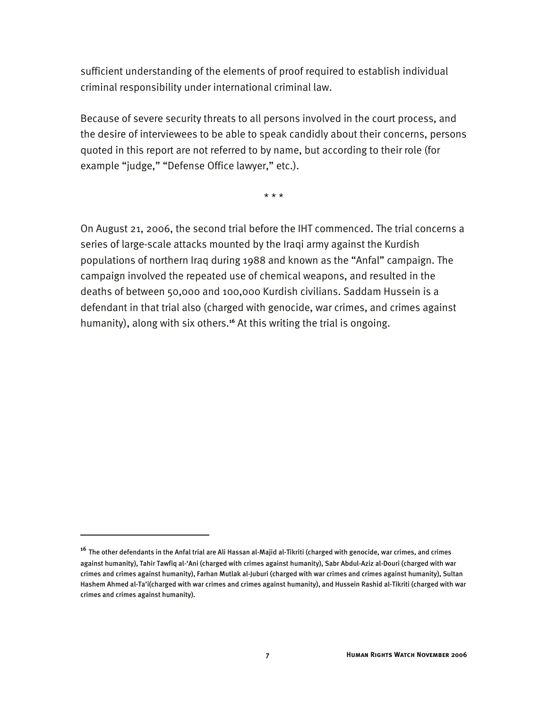sufficient understanding of the elements of proof required to establish individual criminal responsibility under international criminal law.

Because of severe security threats to all persons involved in the court process, and the desire of interviewees to be able to speak candidly about their concerns, persons quoted in this report are not referred to by name, but according to their role (for example "judge," "Defense Office lawyer," etc.).

\* \* \*

On August 21, 2006, the second trial before the IHT commenced. The trial concerns a series of large-scale attacks mounted by the Iraqi army against the Kurdish populations of northern Iraq during 1988 and known as the "Anfal" campaign. The campaign involved the repeated use of chemical weapons, and resulted in the deaths of between 50,000 and 100,000 Kurdish civilians. Saddam Hussein is a defendant in that trial also (charged with genocide, war crimes, and crimes against humanity), along with six others.**<sup>16</sup>** At this writing the trial is ongoing.

**<sup>16</sup>** The other defendants in the Anfal trial are Ali Hassan al-Majid al-Tikriti (charged with genocide, war crimes, and crimes against humanity), Tahir Tawfiq al-'Ani (charged with crimes against humanity), Sabr Abdul-Aziz al-Douri (charged with war crimes and crimes against humanity), Farhan Mutlak al-Juburi (charged with war crimes and crimes against humanity), Sultan Hashem Ahmed al-Ta'i(charged with war crimes and crimes against humanity), and Hussein Rashid al-Tikriti (charged with war crimes and crimes against humanity).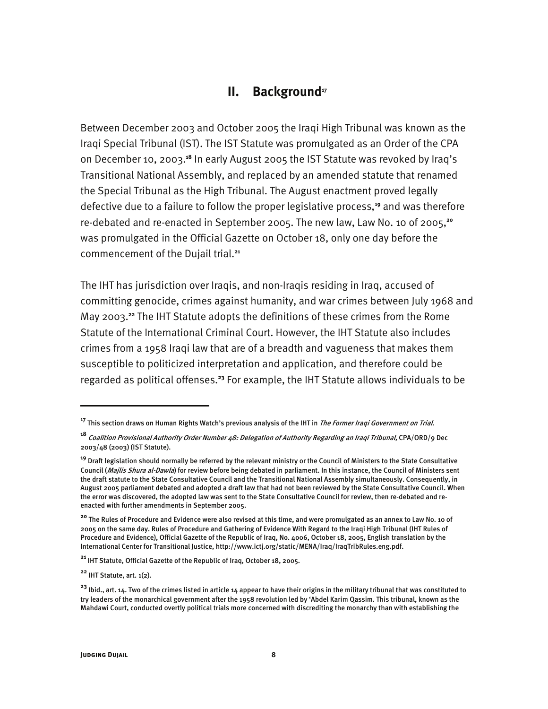#### **II.** Background<sup>17</sup>

Between December 2003 and October 2005 the Iraqi High Tribunal was known as the Iraqi Special Tribunal (IST). The IST Statute was promulgated as an Order of the CPA on December 10, 2003.**<sup>18</sup>** In early August 2005 the IST Statute was revoked by Iraq's Transitional National Assembly, and replaced by an amended statute that renamed the Special Tribunal as the High Tribunal. The August enactment proved legally defective due to a failure to follow the proper legislative process,**<sup>19</sup>** and was therefore re-debated and re-enacted in September 2005. The new law, Law No. 10 of 2005,**<sup>20</sup>** was promulgated in the Official Gazette on October 18, only one day before the commencement of the Dujail trial.**<sup>21</sup>**

The IHT has jurisdiction over Iraqis, and non-Iraqis residing in Iraq, accused of committing genocide, crimes against humanity, and war crimes between July 1968 and May 2003.**<sup>22</sup>** The IHT Statute adopts the definitions of these crimes from the Rome Statute of the International Criminal Court. However, the IHT Statute also includes crimes from a 1958 Iraqi law that are of a breadth and vagueness that makes them susceptible to politicized interpretation and application, and therefore could be regarded as political offenses.**<sup>23</sup>** For example, the IHT Statute allows individuals to be

**<sup>22</sup>** IHT Statute, art. 1(2).

**<sup>17</sup>** This section draws on Human Rights Watch's previous analysis of the IHT in The Former Iraqi Government on Trial.

**<sup>18</sup>** Coalition Provisional Authority Order Number 48: Delegation of Authority Regarding an Iraqi Tribunal, CPA/ORD/9 Dec 2003/48 (2003) (IST Statute).

**<sup>19</sup>** Draft legislation should normally be referred by the relevant ministry or the Council of Ministers to the State Consultative Council (Majlis Shura al-Dawla) for review before being debated in parliament. In this instance, the Council of Ministers sent the draft statute to the State Consultative Council and the Transitional National Assembly simultaneously. Consequently, in August 2005 parliament debated and adopted a draft law that had not been reviewed by the State Consultative Council. When the error was discovered, the adopted law was sent to the State Consultative Council for review, then re-debated and reenacted with further amendments in September 2005.

**<sup>20</sup>** The Rules of Procedure and Evidence were also revised at this time, and were promulgated as an annex to Law No. 10 of 2005 on the same day. Rules of Procedure and Gathering of Evidence With Regard to the Iraqi High Tribunal (IHT Rules of Procedure and Evidence), Official Gazette of the Republic of Iraq, No. 4006, October 18, 2005, English translation by the International Center for Transitional Justice, http://www.ictj.org/static/MENA/Iraq/IraqTribRules.eng.pdf.

**<sup>21</sup>** IHT Statute, Official Gazette of the Republic of Iraq, October 18, 2005.

**<sup>23</sup>** Ibid., art. 14. Two of the crimes listed in article 14 appear to have their origins in the military tribunal that was constituted to try leaders of the monarchical government after the 1958 revolution led by 'Abdel Karim Qassim. This tribunal, known as the Mahdawi Court, conducted overtly political trials more concerned with discrediting the monarchy than with establishing the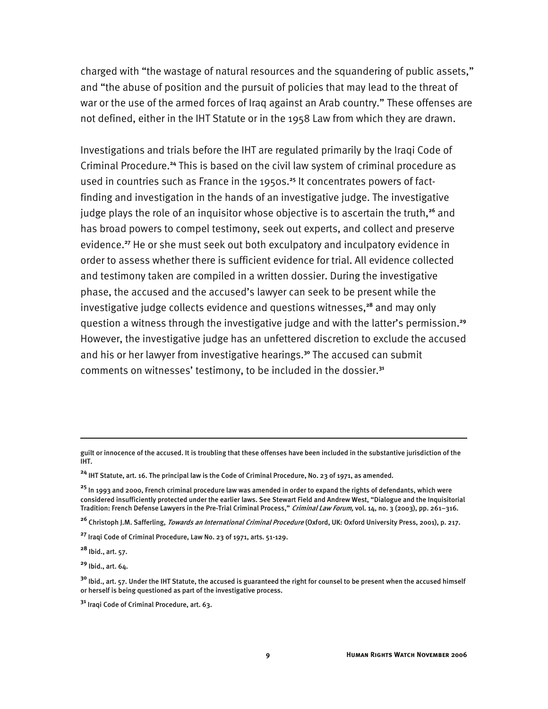charged with "the wastage of natural resources and the squandering of public assets," and "the abuse of position and the pursuit of policies that may lead to the threat of war or the use of the armed forces of Iraq against an Arab country." These offenses are not defined, either in the IHT Statute or in the 1958 Law from which they are drawn.

Investigations and trials before the IHT are regulated primarily by the Iraqi Code of Criminal Procedure.**<sup>24</sup>** This is based on the civil law system of criminal procedure as used in countries such as France in the 1950s.**25** It concentrates powers of factfinding and investigation in the hands of an investigative judge. The investigative judge plays the role of an inquisitor whose objective is to ascertain the truth,<sup>26</sup> and has broad powers to compel testimony, seek out experts, and collect and preserve evidence.**<sup>27</sup>** He or she must seek out both exculpatory and inculpatory evidence in order to assess whether there is sufficient evidence for trial. All evidence collected and testimony taken are compiled in a written dossier. During the investigative phase, the accused and the accused's lawyer can seek to be present while the investigative judge collects evidence and questions witnesses,**<sup>28</sup>** and may only question a witness through the investigative judge and with the latter's permission.**<sup>29</sup>** However, the investigative judge has an unfettered discretion to exclude the accused and his or her lawyer from investigative hearings.**<sup>30</sup>** The accused can submit comments on witnesses' testimony, to be included in the dossier.**<sup>31</sup>**

guilt or innocence of the accused. It is troubling that these offenses have been included in the substantive jurisdiction of the IHT.

**<sup>24</sup>** IHT Statute, art. 16. The principal law is the Code of Criminal Procedure, No. 23 of 1971, as amended.

**<sup>25</sup>** In 1993 and 2000, French criminal procedure law was amended in order to expand the rights of defendants, which were considered insufficiently protected under the earlier laws. See Stewart Field and Andrew West, "Dialogue and the Inquisitorial Tradition: French Defense Lawyers in the Pre-Trial Criminal Process," Criminal Law Forum, vol. 14, no. 3 (2003), pp. 261-316.

**<sup>26</sup>** Christoph J.M. Safferling, Towards an International Criminal Procedure (Oxford, UK: Oxford University Press, 2001), p. 217.

**<sup>27</sup>** Iraqi Code of Criminal Procedure, Law No. 23 of 1971, arts. 51-129.

**<sup>28</sup>** Ibid., art. 57.

**<sup>29</sup>** Ibid., art. 64.

**<sup>30</sup>** Ibid., art. 57. Under the IHT Statute, the accused is guaranteed the right for counsel to be present when the accused himself or herself is being questioned as part of the investigative process.

**<sup>31</sup>** Iraqi Code of Criminal Procedure, art. 63.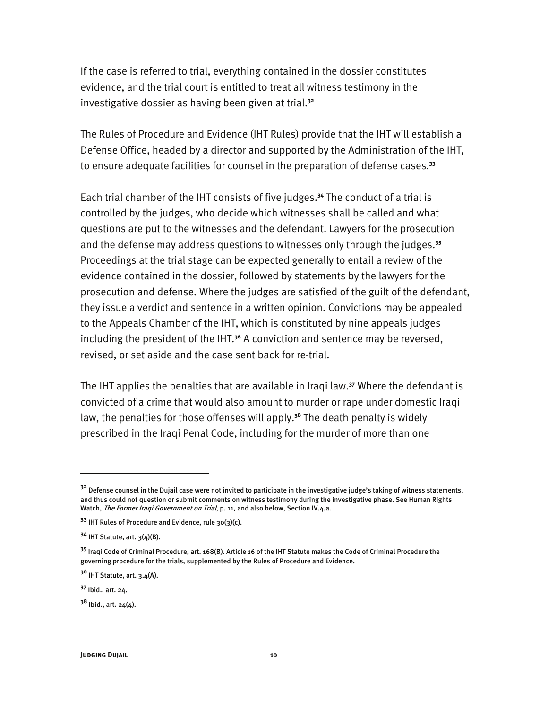If the case is referred to trial, everything contained in the dossier constitutes evidence, and the trial court is entitled to treat all witness testimony in the investigative dossier as having been given at trial.**<sup>32</sup>**

The Rules of Procedure and Evidence (IHT Rules) provide that the IHT will establish a Defense Office, headed by a director and supported by the Administration of the IHT, to ensure adequate facilities for counsel in the preparation of defense cases.**<sup>33</sup>**

Each trial chamber of the IHT consists of five judges.**<sup>34</sup>** The conduct of a trial is controlled by the judges, who decide which witnesses shall be called and what questions are put to the witnesses and the defendant. Lawyers for the prosecution and the defense may address questions to witnesses only through the judges.**<sup>35</sup>** Proceedings at the trial stage can be expected generally to entail a review of the evidence contained in the dossier, followed by statements by the lawyers for the prosecution and defense. Where the judges are satisfied of the guilt of the defendant, they issue a verdict and sentence in a written opinion. Convictions may be appealed to the Appeals Chamber of the IHT, which is constituted by nine appeals judges including the president of the IHT.**<sup>36</sup>** A conviction and sentence may be reversed, revised, or set aside and the case sent back for re-trial.

The IHT applies the penalties that are available in Iraqi law.**<sup>37</sup>** Where the defendant is convicted of a crime that would also amount to murder or rape under domestic Iraqi law, the penalties for those offenses will apply.**<sup>38</sup>** The death penalty is widely prescribed in the Iraqi Penal Code, including for the murder of more than one

**<sup>32</sup>** Defense counsel in the Dujail case were not invited to participate in the investigative judge's taking of witness statements, and thus could not question or submit comments on witness testimony during the investigative phase. See Human Rights Watch, The Former Iraqi Government on Trial, p. 11, and also below, Section IV.4.a.

**<sup>33</sup>** IHT Rules of Procedure and Evidence, rule 30(3)(c).

**<sup>34</sup>** IHT Statute, art. 3(4)(B).

**<sup>35</sup>** Iraqi Code of Criminal Procedure, art. 168(B). Article 16 of the IHT Statute makes the Code of Criminal Procedure the governing procedure for the trials, supplemented by the Rules of Procedure and Evidence.

**<sup>36</sup>** IHT Statute, art. 3.4(A).

**<sup>37</sup>** Ibid., art. 24.

 $38$  Ibid., art.  $24(4)$ .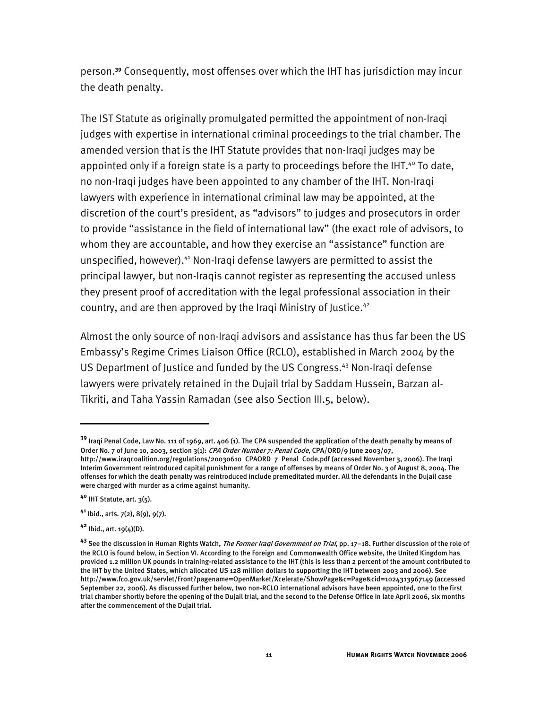person.**<sup>39</sup>** Consequently, most offenses over which the IHT has jurisdiction may incur the death penalty.

The IST Statute as originally promulgated permitted the appointment of non-Iraqi judges with expertise in international criminal proceedings to the trial chamber. The amended version that is the IHT Statute provides that non-Iraqi judges may be appointed only if a foreign state is a party to proceedings before the IHT. $40$  To date, no non-Iraqi judges have been appointed to any chamber of the IHT. Non-Iraqi lawyers with experience in international criminal law may be appointed, at the discretion of the court's president, as "advisors" to judges and prosecutors in order to provide "assistance in the field of international law" (the exact role of advisors, to whom they are accountable, and how they exercise an "assistance" function are unspecified, however).41 Non-Iraqi defense lawyers are permitted to assist the principal lawyer, but non-Iraqis cannot register as representing the accused unless they present proof of accreditation with the legal professional association in their country, and are then approved by the Iraqi Ministry of Justice.<sup>42</sup>

Almost the only source of non-Iraqi advisors and assistance has thus far been the US Embassy's Regime Crimes Liaison Office (RCLO), established in March 2004 by the US Department of Justice and funded by the US Congress.<sup>43</sup> Non-Iraqi defense lawyers were privately retained in the Dujail trial by Saddam Hussein, Barzan al-Tikriti, and Taha Yassin Ramadan (see also Section III.5, below).

**<sup>39</sup>** Iraqi Penal Code, Law No. 111 of 1969, art. 406 (1). The CPA suspended the application of the death penalty by means of Order No. 7 of June 10, 2003, section 3(1): CPA Order Number 7: Penal Code, CPA/ORD/9 June 2003/07,

http://www.iraqcoalition.org/regulations/20030610\_CPAORD\_7\_Penal\_Code.pdf (accessed November 3, 2006). The Iraqi Interim Government reintroduced capital punishment for a range of offenses by means of Order No. 3 of August 8, 2004. The offenses for which the death penalty was reintroduced include premeditated murder. All the defendants in the Dujail case were charged with murder as a crime against humanity.

**<sup>40</sup>** IHT Statute, art. 3(5).

**<sup>41</sup>** Ibid., arts. 7(2), 8(9), 9(7).

**<sup>42</sup>** Ibid., art. 19(4)(D).

**<sup>43</sup>** See the discussion in Human Rights Watch, The Former Iraqi Government on Trial, pp. 17–18. Further discussion of the role of the RCLO is found below, in Section VI. According to the Foreign and Commonwealth Office website, the United Kingdom has provided 1.2 million UK pounds in training-related assistance to the IHT (this is less than 2 percent of the amount contributed to the IHT by the United States, which allocated US 128 million dollars to supporting the IHT between 2003 and 2006). See http://www.fco.gov.uk/servlet/Front?pagename=OpenMarket/Xcelerate/ShowPage&c=Page&cid=1024313967149 (accessed September 22, 2006). As discussed further below, two non-RCLO international advisors have been appointed, one to the first trial chamber shortly before the opening of the Dujail trial, and the second to the Defense Office in late April 2006, six months after the commencement of the Dujail trial.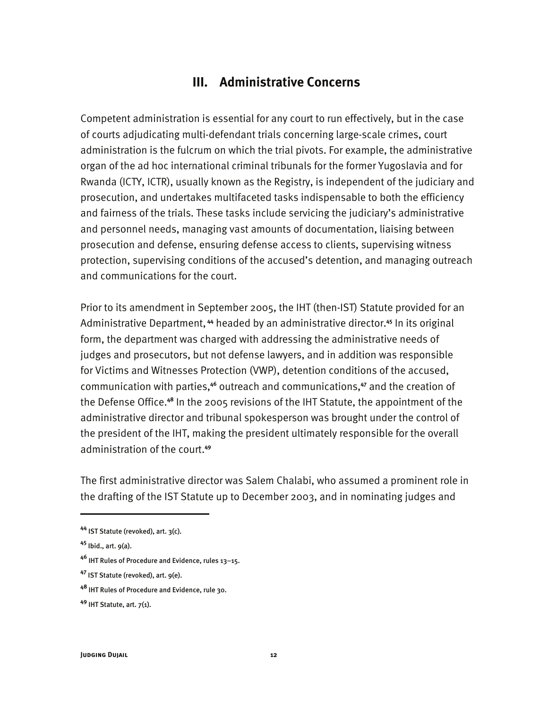### **III. Administrative Concerns**

Competent administration is essential for any court to run effectively, but in the case of courts adjudicating multi-defendant trials concerning large-scale crimes, court administration is the fulcrum on which the trial pivots. For example, the administrative organ of the ad hoc international criminal tribunals for the former Yugoslavia and for Rwanda (ICTY, ICTR), usually known as the Registry, is independent of the judiciary and prosecution, and undertakes multifaceted tasks indispensable to both the efficiency and fairness of the trials. These tasks include servicing the judiciary's administrative and personnel needs, managing vast amounts of documentation, liaising between prosecution and defense, ensuring defense access to clients, supervising witness protection, supervising conditions of the accused's detention, and managing outreach and communications for the court.

Prior to its amendment in September 2005, the IHT (then-IST) Statute provided for an Administrative Department,**<sup>44</sup>** headed by an administrative director.**<sup>45</sup>** In its original form, the department was charged with addressing the administrative needs of judges and prosecutors, but not defense lawyers, and in addition was responsible for Victims and Witnesses Protection (VWP), detention conditions of the accused, communication with parties,**<sup>46</sup>** outreach and communications,**<sup>47</sup>** and the creation of the Defense Office.**<sup>48</sup>** In the 2005 revisions of the IHT Statute, the appointment of the administrative director and tribunal spokesperson was brought under the control of the president of the IHT, making the president ultimately responsible for the overall administration of the court.**<sup>49</sup>**

The first administrative director was Salem Chalabi, who assumed a prominent role in the drafting of the IST Statute up to December 2003, and in nominating judges and

**<sup>44</sup>** IST Statute (revoked), art. 3(c).

**<sup>45</sup>** Ibid., art. 9(a).

**<sup>46</sup>** IHT Rules of Procedure and Evidence, rules 13–15.

**<sup>47</sup>** IST Statute (revoked), art. 9(e).

**<sup>48</sup>** IHT Rules of Procedure and Evidence, rule 30.

**<sup>49</sup>** IHT Statute, art. 7(1).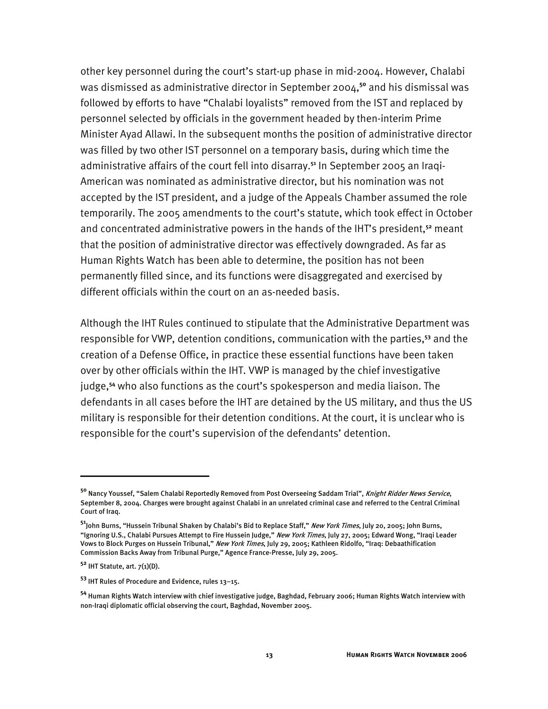other key personnel during the court's start-up phase in mid-2004. However, Chalabi was dismissed as administrative director in September 2004,**<sup>50</sup>** and his dismissal was followed by efforts to have "Chalabi loyalists" removed from the IST and replaced by personnel selected by officials in the government headed by then-interim Prime Minister Ayad Allawi. In the subsequent months the position of administrative director was filled by two other IST personnel on a temporary basis, during which time the administrative affairs of the court fell into disarray.**51** In September 2005 an Iraqi-American was nominated as administrative director, but his nomination was not accepted by the IST president, and a judge of the Appeals Chamber assumed the role temporarily. The 2005 amendments to the court's statute, which took effect in October and concentrated administrative powers in the hands of the IHT's president,**<sup>52</sup>** meant that the position of administrative director was effectively downgraded. As far as Human Rights Watch has been able to determine, the position has not been permanently filled since, and its functions were disaggregated and exercised by different officials within the court on an as-needed basis.

Although the IHT Rules continued to stipulate that the Administrative Department was responsible for VWP, detention conditions, communication with the parties,**<sup>53</sup>** and the creation of a Defense Office, in practice these essential functions have been taken over by other officials within the IHT. VWP is managed by the chief investigative judge,**<sup>54</sup>** who also functions as the court's spokesperson and media liaison. The defendants in all cases before the IHT are detained by the US military, and thus the US military is responsible for their detention conditions. At the court, it is unclear who is responsible for the court's supervision of the defendants' detention.

<sup>&</sup>lt;sup>50</sup> Nancy Youssef, "Salem Chalabi Reportedly Removed from Post Overseeing Saddam Trial", *Knight Ridder News Service*, September 8, 2004. Charges were brought against Chalabi in an unrelated criminal case and referred to the Central Criminal Court of Iraq.

**<sup>51</sup>**John Burns, "Hussein Tribunal Shaken by Chalabi's Bid to Replace Staff," New York Times, July 20, 2005; John Burns, "Ignoring U.S., Chalabi Pursues Attempt to Fire Hussein Judge," New York Times, July 27, 2005; Edward Wong, "Iraqi Leader Vows to Block Purges on Hussein Tribunal," New York Times, July 29, 2005; Kathleen Ridolfo, "Iraq: Debaathification Commission Backs Away from Tribunal Purge," Agence France-Presse, July 29, 2005.

**<sup>52</sup>** IHT Statute, art. 7(1)(D).

**<sup>53</sup>** IHT Rules of Procedure and Evidence, rules 13–15.

**<sup>54</sup>** Human Rights Watch interview with chief investigative judge, Baghdad, February 2006; Human Rights Watch interview with non-Iraqi diplomatic official observing the court, Baghdad, November 2005.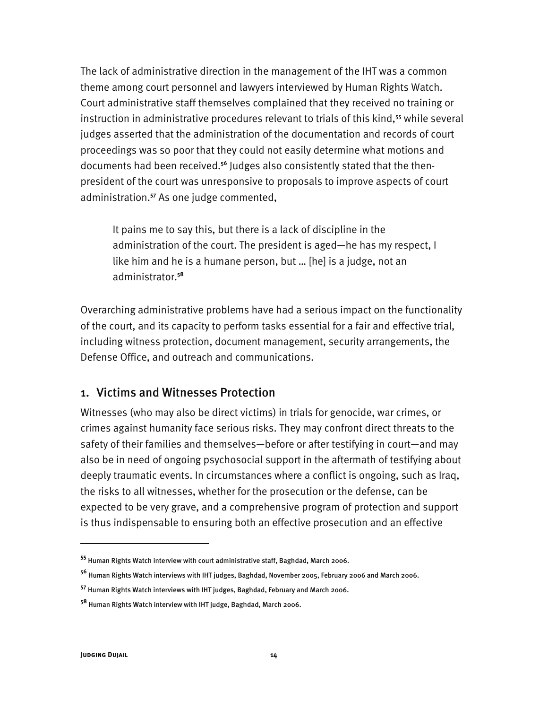The lack of administrative direction in the management of the IHT was a common theme among court personnel and lawyers interviewed by Human Rights Watch. Court administrative staff themselves complained that they received no training or instruction in administrative procedures relevant to trials of this kind,**<sup>55</sup>** while several judges asserted that the administration of the documentation and records of court proceedings was so poor that they could not easily determine what motions and documents had been received.**56** Judges also consistently stated that the thenpresident of the court was unresponsive to proposals to improve aspects of court administration.**<sup>57</sup>** As one judge commented,

It pains me to say this, but there is a lack of discipline in the administration of the court. The president is aged—he has my respect, I like him and he is a humane person, but … [he] is a judge, not an administrator.**<sup>58</sup>**

Overarching administrative problems have had a serious impact on the functionality of the court, and its capacity to perform tasks essential for a fair and effective trial, including witness protection, document management, security arrangements, the Defense Office, and outreach and communications.

#### 1. Victims and Witnesses Protection

Witnesses (who may also be direct victims) in trials for genocide, war crimes, or crimes against humanity face serious risks. They may confront direct threats to the safety of their families and themselves—before or after testifying in court—and may also be in need of ongoing psychosocial support in the aftermath of testifying about deeply traumatic events. In circumstances where a conflict is ongoing, such as Iraq, the risks to all witnesses, whether for the prosecution or the defense, can be expected to be very grave, and a comprehensive program of protection and support is thus indispensable to ensuring both an effective prosecution and an effective

**<sup>55</sup>** Human Rights Watch interview with court administrative staff, Baghdad, March 2006.

**<sup>56</sup>** Human Rights Watch interviews with IHT judges, Baghdad, November 2005, February 2006 and March 2006.

**<sup>57</sup>** Human Rights Watch interviews with IHT judges, Baghdad, February and March 2006.

**<sup>58</sup>** Human Rights Watch interview with IHT judge, Baghdad, March 2006.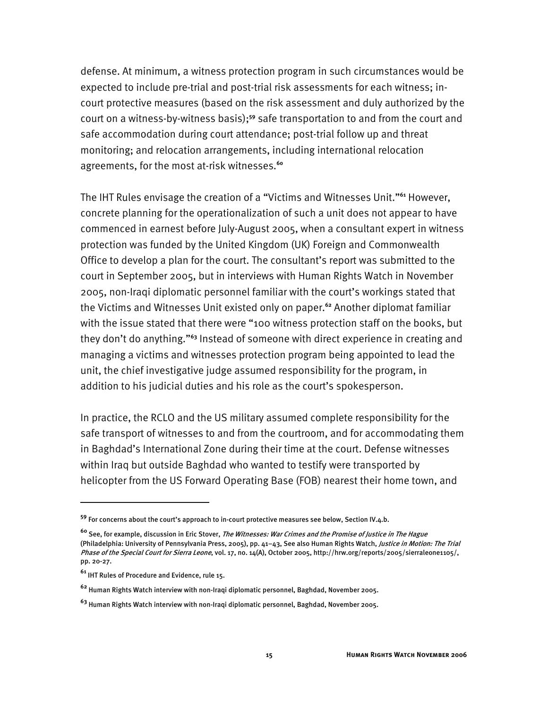defense. At minimum, a witness protection program in such circumstances would be expected to include pre-trial and post-trial risk assessments for each witness; incourt protective measures (based on the risk assessment and duly authorized by the court on a witness-by-witness basis);**<sup>59</sup>** safe transportation to and from the court and safe accommodation during court attendance; post-trial follow up and threat monitoring; and relocation arrangements, including international relocation agreements, for the most at-risk witnesses.**<sup>60</sup>**

The IHT Rules envisage the creation of a "Victims and Witnesses Unit."**<sup>61</sup>** However, concrete planning for the operationalization of such a unit does not appear to have commenced in earnest before July-August 2005, when a consultant expert in witness protection was funded by the United Kingdom (UK) Foreign and Commonwealth Office to develop a plan for the court. The consultant's report was submitted to the court in September 2005, but in interviews with Human Rights Watch in November 2005, non-Iraqi diplomatic personnel familiar with the court's workings stated that the Victims and Witnesses Unit existed only on paper.**<sup>62</sup>** Another diplomat familiar with the issue stated that there were "100 witness protection staff on the books, but they don't do anything."**<sup>63</sup>** Instead of someone with direct experience in creating and managing a victims and witnesses protection program being appointed to lead the unit, the chief investigative judge assumed responsibility for the program, in addition to his judicial duties and his role as the court's spokesperson.

In practice, the RCLO and the US military assumed complete responsibility for the safe transport of witnesses to and from the courtroom, and for accommodating them in Baghdad's International Zone during their time at the court. Defense witnesses within Iraq but outside Baghdad who wanted to testify were transported by helicopter from the US Forward Operating Base (FOB) nearest their home town, and

**<sup>59</sup>** For concerns about the court's approach to in-court protective measures see below, Section IV.4.b.

**<sup>60</sup>** See, for example, discussion in Eric Stover, The Witnesses: War Crimes and the Promise of Justice in The Hague (Philadelphia: University of Pennsylvania Press, 2005), pp. 41-43, See also Human Rights Watch, Justice in Motion: The Trial Phase of the Special Court for Sierra Leone, vol. 17, no. 14(A), October 2005, http://hrw.org/reports/2005/sierraleone1105/, pp. 20-27.

**<sup>61</sup>** IHT Rules of Procedure and Evidence, rule 15.

**<sup>62</sup>** Human Rights Watch interview with non-Iraqi diplomatic personnel, Baghdad, November 2005.

**<sup>63</sup>** Human Rights Watch interview with non-Iraqi diplomatic personnel, Baghdad, November 2005.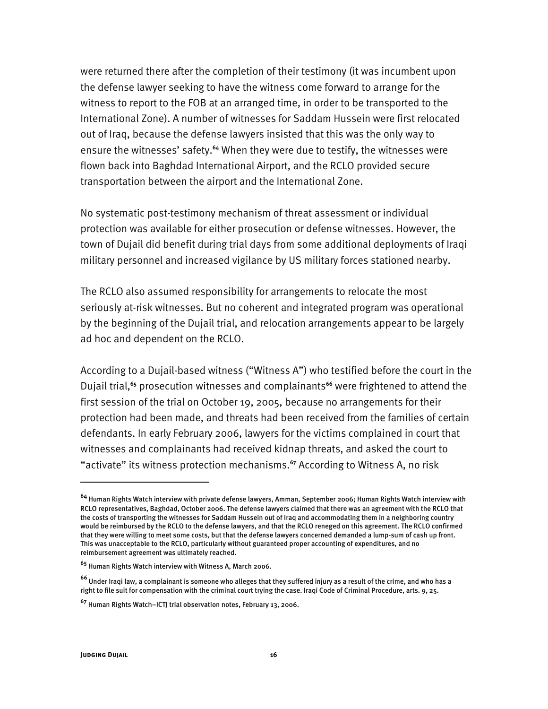were returned there after the completion of their testimony (it was incumbent upon the defense lawyer seeking to have the witness come forward to arrange for the witness to report to the FOB at an arranged time, in order to be transported to the International Zone). A number of witnesses for Saddam Hussein were first relocated out of Iraq, because the defense lawyers insisted that this was the only way to ensure the witnesses' safety.**<sup>64</sup>** When they were due to testify, the witnesses were flown back into Baghdad International Airport, and the RCLO provided secure transportation between the airport and the International Zone.

No systematic post-testimony mechanism of threat assessment or individual protection was available for either prosecution or defense witnesses. However, the town of Dujail did benefit during trial days from some additional deployments of Iraqi military personnel and increased vigilance by US military forces stationed nearby.

The RCLO also assumed responsibility for arrangements to relocate the most seriously at-risk witnesses. But no coherent and integrated program was operational by the beginning of the Dujail trial, and relocation arrangements appear to be largely ad hoc and dependent on the RCLO.

According to a Dujail-based witness ("Witness A") who testified before the court in the Dujail trial,**<sup>65</sup>** prosecution witnesses and complainants**<sup>66</sup>** were frightened to attend the first session of the trial on October 19, 2005, because no arrangements for their protection had been made, and threats had been received from the families of certain defendants. In early February 2006, lawyers for the victims complained in court that witnesses and complainants had received kidnap threats, and asked the court to "activate" its witness protection mechanisms.**<sup>67</sup>** According to Witness A, no risk

**<sup>64</sup>** Human Rights Watch interview with private defense lawyers, Amman, September 2006; Human Rights Watch interview with RCLO representatives, Baghdad, October 2006. The defense lawyers claimed that there was an agreement with the RCLO that the costs of transporting the witnesses for Saddam Hussein out of Iraq and accommodating them in a neighboring country would be reimbursed by the RCLO to the defense lawyers, and that the RCLO reneged on this agreement. The RCLO confirmed that they were willing to meet some costs, but that the defense lawyers concerned demanded a lump-sum of cash up front. This was unacceptable to the RCLO, particularly without guaranteed proper accounting of expenditures, and no reimbursement agreement was ultimately reached.

**<sup>65</sup>** Human Rights Watch interview with Witness A, March 2006.

**<sup>66</sup>** Under Iraqi law, a complainant is someone who alleges that they suffered injury as a result of the crime, and who has a right to file suit for compensation with the criminal court trying the case. Iraqi Code of Criminal Procedure, arts. 9, 25.

**<sup>67</sup>** Human Rights Watch–ICTJ trial observation notes, February 13, 2006.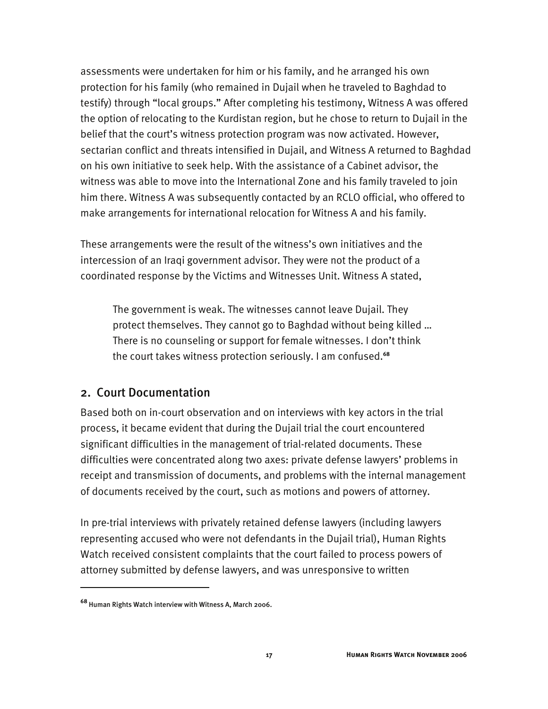assessments were undertaken for him or his family, and he arranged his own protection for his family (who remained in Dujail when he traveled to Baghdad to testify) through "local groups." After completing his testimony, Witness A was offered the option of relocating to the Kurdistan region, but he chose to return to Dujail in the belief that the court's witness protection program was now activated. However, sectarian conflict and threats intensified in Dujail, and Witness A returned to Baghdad on his own initiative to seek help. With the assistance of a Cabinet advisor, the witness was able to move into the International Zone and his family traveled to join him there. Witness A was subsequently contacted by an RCLO official, who offered to make arrangements for international relocation for Witness A and his family.

These arrangements were the result of the witness's own initiatives and the intercession of an Iraqi government advisor. They were not the product of a coordinated response by the Victims and Witnesses Unit. Witness A stated,

The government is weak. The witnesses cannot leave Dujail. They protect themselves. They cannot go to Baghdad without being killed … There is no counseling or support for female witnesses. I don't think the court takes witness protection seriously. I am confused.**<sup>68</sup>**

#### 2. Court Documentation

Based both on in-court observation and on interviews with key actors in the trial process, it became evident that during the Dujail trial the court encountered significant difficulties in the management of trial-related documents. These difficulties were concentrated along two axes: private defense lawyers' problems in receipt and transmission of documents, and problems with the internal management of documents received by the court, such as motions and powers of attorney.

In pre-trial interviews with privately retained defense lawyers (including lawyers representing accused who were not defendants in the Dujail trial), Human Rights Watch received consistent complaints that the court failed to process powers of attorney submitted by defense lawyers, and was unresponsive to written

**<sup>68</sup>** Human Rights Watch interview with Witness A, March 2006.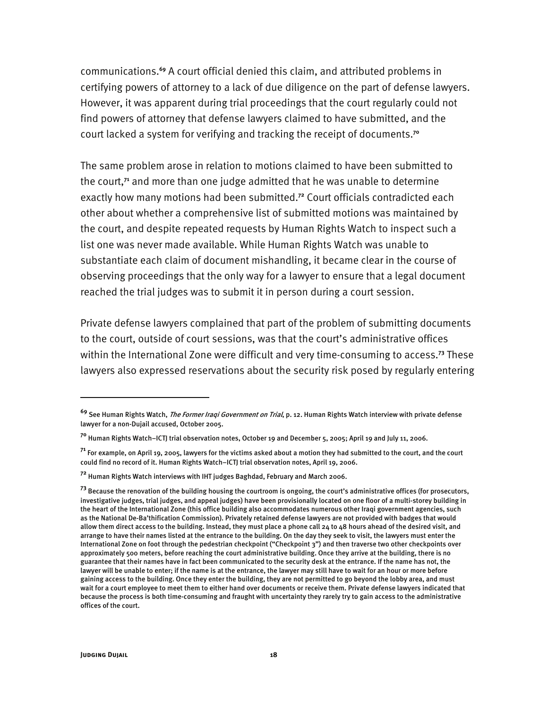communications.**<sup>69</sup>** A court official denied this claim, and attributed problems in certifying powers of attorney to a lack of due diligence on the part of defense lawyers. However, it was apparent during trial proceedings that the court regularly could not find powers of attorney that defense lawyers claimed to have submitted, and the court lacked a system for verifying and tracking the receipt of documents.**<sup>70</sup>**

The same problem arose in relation to motions claimed to have been submitted to the court,**<sup>71</sup>** and more than one judge admitted that he was unable to determine exactly how many motions had been submitted.**<sup>72</sup>** Court officials contradicted each other about whether a comprehensive list of submitted motions was maintained by the court, and despite repeated requests by Human Rights Watch to inspect such a list one was never made available. While Human Rights Watch was unable to substantiate each claim of document mishandling, it became clear in the course of observing proceedings that the only way for a lawyer to ensure that a legal document reached the trial judges was to submit it in person during a court session.

Private defense lawyers complained that part of the problem of submitting documents to the court, outside of court sessions, was that the court's administrative offices within the International Zone were difficult and very time-consuming to access.**<sup>73</sup>** These lawyers also expressed reservations about the security risk posed by regularly entering

**<sup>69</sup>** See Human Rights Watch, The Former Iraqi Government on Trial, p. 12. Human Rights Watch interview with private defense lawyer for a non-Dujail accused, October 2005.

**<sup>70</sup>** Human Rights Watch–ICTJ trial observation notes, October 19 and December 5, 2005; April 19 and July 11, 2006.

**<sup>71</sup>** For example, on April 19, 2005, lawyers for the victims asked about a motion they had submitted to the court, and the court could find no record of it. Human Rights Watch–ICTJ trial observation notes, April 19, 2006.

**<sup>72</sup>** Human Rights Watch interviews with IHT judges Baghdad, February and March 2006.

**<sup>73</sup>** Because the renovation of the building housing the courtroom is ongoing, the court's administrative offices (for prosecutors, investigative judges, trial judges, and appeal judges) have been provisionally located on one floor of a multi-storey building in the heart of the International Zone (this office building also accommodates numerous other Iraqi government agencies, such as the National De-Ba'thification Commission). Privately retained defense lawyers are not provided with badges that would allow them direct access to the building. Instead, they must place a phone call 24 to 48 hours ahead of the desired visit, and arrange to have their names listed at the entrance to the building. On the day they seek to visit, the lawyers must enter the International Zone on foot through the pedestrian checkpoint ("Checkpoint 3") and then traverse two other checkpoints over approximately 500 meters, before reaching the court administrative building. Once they arrive at the building, there is no guarantee that their names have in fact been communicated to the security desk at the entrance. If the name has not, the lawyer will be unable to enter; if the name is at the entrance, the lawyer may still have to wait for an hour or more before gaining access to the building. Once they enter the building, they are not permitted to go beyond the lobby area, and must wait for a court employee to meet them to either hand over documents or receive them. Private defense lawyers indicated that because the process is both time-consuming and fraught with uncertainty they rarely try to gain access to the administrative offices of the court.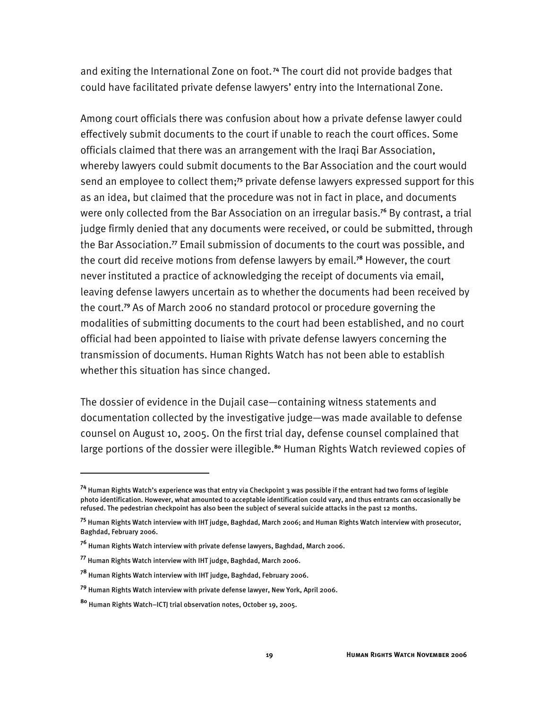and exiting the International Zone on foot.**<sup>74</sup>** The court did not provide badges that could have facilitated private defense lawyers' entry into the International Zone.

Among court officials there was confusion about how a private defense lawyer could effectively submit documents to the court if unable to reach the court offices. Some officials claimed that there was an arrangement with the Iraqi Bar Association, whereby lawyers could submit documents to the Bar Association and the court would send an employee to collect them;**<sup>75</sup>** private defense lawyers expressed support for this as an idea, but claimed that the procedure was not in fact in place, and documents were only collected from the Bar Association on an irregular basis.**<sup>76</sup>** By contrast, a trial judge firmly denied that any documents were received, or could be submitted, through the Bar Association.**<sup>77</sup>** Email submission of documents to the court was possible, and the court did receive motions from defense lawyers by email.**<sup>78</sup>** However, the court never instituted a practice of acknowledging the receipt of documents via email, leaving defense lawyers uncertain as to whether the documents had been received by the court.**<sup>79</sup>** As of March 2006 no standard protocol or procedure governing the modalities of submitting documents to the court had been established, and no court official had been appointed to liaise with private defense lawyers concerning the transmission of documents. Human Rights Watch has not been able to establish whether this situation has since changed.

The dossier of evidence in the Dujail case—containing witness statements and documentation collected by the investigative judge—was made available to defense counsel on August 10, 2005. On the first trial day, defense counsel complained that large portions of the dossier were illegible.**<sup>80</sup>** Human Rights Watch reviewed copies of

**<sup>74</sup>** Human Rights Watch's experience was that entry via Checkpoint 3 was possible if the entrant had two forms of legible photo identification. However, what amounted to acceptable identification could vary, and thus entrants can occasionally be refused. The pedestrian checkpoint has also been the subject of several suicide attacks in the past 12 months.

**<sup>75</sup>** Human Rights Watch interview with IHT judge, Baghdad, March 2006; and Human Rights Watch interview with prosecutor, Baghdad, February 2006.

**<sup>76</sup>** Human Rights Watch interview with private defense lawyers, Baghdad, March 2006.

**<sup>77</sup>** Human Rights Watch interview with IHT judge, Baghdad, March 2006.

**<sup>78</sup>** Human Rights Watch interview with IHT judge, Baghdad, February 2006.

**<sup>79</sup>** Human Rights Watch interview with private defense lawyer, New York, April 2006.

**<sup>80</sup>** Human Rights Watch–ICTJ trial observation notes, October 19, 2005.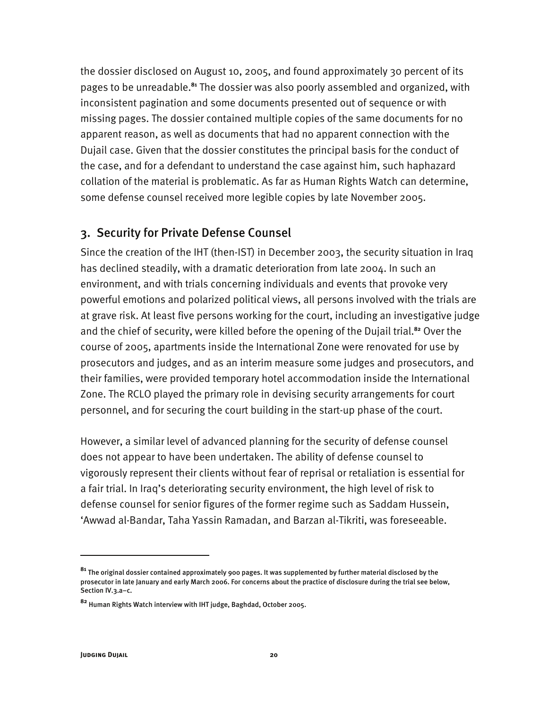the dossier disclosed on August 10, 2005, and found approximately 30 percent of its pages to be unreadable.**<sup>81</sup>** The dossier was also poorly assembled and organized, with inconsistent pagination and some documents presented out of sequence or with missing pages. The dossier contained multiple copies of the same documents for no apparent reason, as well as documents that had no apparent connection with the Dujail case. Given that the dossier constitutes the principal basis for the conduct of the case, and for a defendant to understand the case against him, such haphazard collation of the material is problematic. As far as Human Rights Watch can determine, some defense counsel received more legible copies by late November 2005.

#### 3. Security for Private Defense Counsel

Since the creation of the IHT (then-IST) in December 2003, the security situation in Iraq has declined steadily, with a dramatic deterioration from late 2004. In such an environment, and with trials concerning individuals and events that provoke very powerful emotions and polarized political views, all persons involved with the trials are at grave risk. At least five persons working for the court, including an investigative judge and the chief of security, were killed before the opening of the Dujail trial.**<sup>82</sup>** Over the course of 2005, apartments inside the International Zone were renovated for use by prosecutors and judges, and as an interim measure some judges and prosecutors, and their families, were provided temporary hotel accommodation inside the International Zone. The RCLO played the primary role in devising security arrangements for court personnel, and for securing the court building in the start-up phase of the court.

However, a similar level of advanced planning for the security of defense counsel does not appear to have been undertaken. The ability of defense counsel to vigorously represent their clients without fear of reprisal or retaliation is essential for a fair trial. In Iraq's deteriorating security environment, the high level of risk to defense counsel for senior figures of the former regime such as Saddam Hussein, 'Awwad al-Bandar, Taha Yassin Ramadan, and Barzan al-Tikriti, was foreseeable.

**<sup>81</sup>** The original dossier contained approximately 900 pages. It was supplemented by further material disclosed by the prosecutor in late January and early March 2006. For concerns about the practice of disclosure during the trial see below, Section IV.3.a–c.

**<sup>82</sup>** Human Rights Watch interview with IHT judge, Baghdad, October 2005.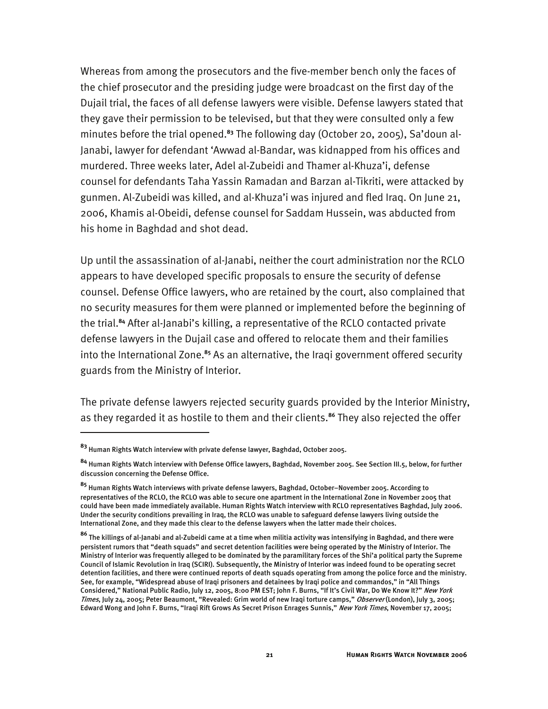Whereas from among the prosecutors and the five-member bench only the faces of the chief prosecutor and the presiding judge were broadcast on the first day of the Dujail trial, the faces of all defense lawyers were visible. Defense lawyers stated that they gave their permission to be televised, but that they were consulted only a few minutes before the trial opened.**83** The following day (October 20, 2005), Sa'doun al-Janabi, lawyer for defendant 'Awwad al-Bandar, was kidnapped from his offices and murdered. Three weeks later, Adel al-Zubeidi and Thamer al-Khuza'i, defense counsel for defendants Taha Yassin Ramadan and Barzan al-Tikriti, were attacked by gunmen. Al-Zubeidi was killed, and al-Khuza'i was injured and fled Iraq. On June 21, 2006, Khamis al-Obeidi, defense counsel for Saddam Hussein, was abducted from his home in Baghdad and shot dead.

Up until the assassination of al-Janabi, neither the court administration nor the RCLO appears to have developed specific proposals to ensure the security of defense counsel. Defense Office lawyers, who are retained by the court, also complained that no security measures for them were planned or implemented before the beginning of the trial.**<sup>84</sup>** After al-Janabi's killing, a representative of the RCLO contacted private defense lawyers in the Dujail case and offered to relocate them and their families into the International Zone.**<sup>85</sup>** As an alternative, the Iraqi government offered security guards from the Ministry of Interior.

The private defense lawyers rejected security guards provided by the Interior Ministry, as they regarded it as hostile to them and their clients.**<sup>86</sup>** They also rejected the offer

**<sup>83</sup>** Human Rights Watch interview with private defense lawyer, Baghdad, October 2005.

**<sup>84</sup>** Human Rights Watch interview with Defense Office lawyers, Baghdad, November 2005. See Section III.5, below, for further discussion concerning the Defense Office.

**<sup>85</sup>** Human Rights Watch interviews with private defense lawyers, Baghdad, October–November 2005. According to representatives of the RCLO, the RCLO was able to secure one apartment in the International Zone in November 2005 that could have been made immediately available. Human Rights Watch interview with RCLO representatives Baghdad, July 2006. Under the security conditions prevailing in Iraq, the RCLO was unable to safeguard defense lawyers living outside the International Zone, and they made this clear to the defense lawyers when the latter made their choices.

**<sup>86</sup>** The killings of al-Janabi and al-Zubeidi came at a time when militia activity was intensifying in Baghdad, and there were persistent rumors that "death squads" and secret detention facilities were being operated by the Ministry of Interior. The Ministry of Interior was frequently alleged to be dominated by the paramilitary forces of the Shi'a political party the Supreme Council of Islamic Revolution in Iraq (SCIRI). Subsequently, the Ministry of Interior was indeed found to be operating secret detention facilities, and there were continued reports of death squads operating from among the police force and the ministry. See, for example, "Widespread abuse of Iraqi prisoners and detainees by Iraqi police and commandos," in "All Things Considered," National Public Radio, July 12, 2005, 8:00 PM EST; John F. Burns, "If It's Civil War, Do We Know It?" New York Times, July 24, 2005; Peter Beaumont, "Revealed: Grim world of new Iraqi torture camps," Observer (London), July 3, 2005; Edward Wong and John F. Burns, "Iraqi Rift Grows As Secret Prison Enrages Sunnis," New York Times, November 17, 2005;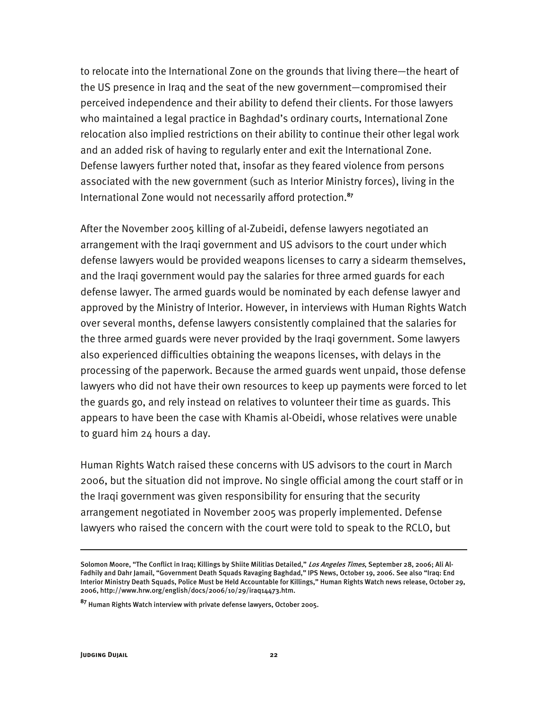to relocate into the International Zone on the grounds that living there—the heart of the US presence in Iraq and the seat of the new government—compromised their perceived independence and their ability to defend their clients. For those lawyers who maintained a legal practice in Baghdad's ordinary courts, International Zone relocation also implied restrictions on their ability to continue their other legal work and an added risk of having to regularly enter and exit the International Zone. Defense lawyers further noted that, insofar as they feared violence from persons associated with the new government (such as Interior Ministry forces), living in the International Zone would not necessarily afford protection.**<sup>87</sup>**

After the November 2005 killing of al-Zubeidi, defense lawyers negotiated an arrangement with the Iraqi government and US advisors to the court under which defense lawyers would be provided weapons licenses to carry a sidearm themselves, and the Iraqi government would pay the salaries for three armed guards for each defense lawyer. The armed guards would be nominated by each defense lawyer and approved by the Ministry of Interior. However, in interviews with Human Rights Watch over several months, defense lawyers consistently complained that the salaries for the three armed guards were never provided by the Iraqi government. Some lawyers also experienced difficulties obtaining the weapons licenses, with delays in the processing of the paperwork. Because the armed guards went unpaid, those defense lawyers who did not have their own resources to keep up payments were forced to let the guards go, and rely instead on relatives to volunteer their time as guards. This appears to have been the case with Khamis al-Obeidi, whose relatives were unable to guard him 24 hours a day.

Human Rights Watch raised these concerns with US advisors to the court in March 2006, but the situation did not improve. No single official among the court staff or in the Iraqi government was given responsibility for ensuring that the security arrangement negotiated in November 2005 was properly implemented. Defense lawyers who raised the concern with the court were told to speak to the RCLO, but

Solomon Moore, "The Conflict in Iraq; Killings by Shiite Militias Detailed," Los Angeles Times, September 28, 2006; Ali Al-Fadhily and Dahr Jamail, "Government Death Squads Ravaging Baghdad," IPS News, October 19, 2006. See also "Iraq: End Interior Ministry Death Squads, Police Must be Held Accountable for Killings," Human Rights Watch news release, October 29, 2006, http://www.hrw.org/english/docs/2006/10/29/iraq14473.htm.

**<sup>87</sup>** Human Rights Watch interview with private defense lawyers, October 2005.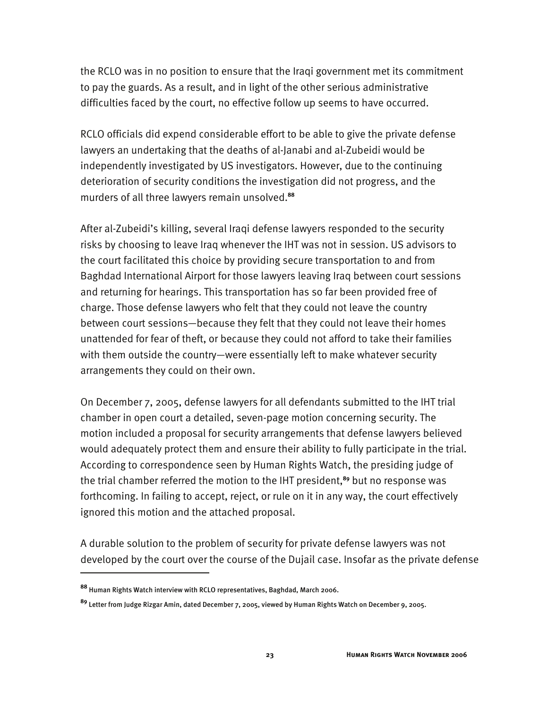the RCLO was in no position to ensure that the Iraqi government met its commitment to pay the guards. As a result, and in light of the other serious administrative difficulties faced by the court, no effective follow up seems to have occurred.

RCLO officials did expend considerable effort to be able to give the private defense lawyers an undertaking that the deaths of al-Janabi and al-Zubeidi would be independently investigated by US investigators. However, due to the continuing deterioration of security conditions the investigation did not progress, and the murders of all three lawyers remain unsolved.**<sup>88</sup>**

After al-Zubeidi's killing, several Iraqi defense lawyers responded to the security risks by choosing to leave Iraq whenever the IHT was not in session. US advisors to the court facilitated this choice by providing secure transportation to and from Baghdad International Airport for those lawyers leaving Iraq between court sessions and returning for hearings. This transportation has so far been provided free of charge. Those defense lawyers who felt that they could not leave the country between court sessions—because they felt that they could not leave their homes unattended for fear of theft, or because they could not afford to take their families with them outside the country—were essentially left to make whatever security arrangements they could on their own.

On December 7, 2005, defense lawyers for all defendants submitted to the IHT trial chamber in open court a detailed, seven-page motion concerning security. The motion included a proposal for security arrangements that defense lawyers believed would adequately protect them and ensure their ability to fully participate in the trial. According to correspondence seen by Human Rights Watch, the presiding judge of the trial chamber referred the motion to the IHT president,**<sup>89</sup>** but no response was forthcoming. In failing to accept, reject, or rule on it in any way, the court effectively ignored this motion and the attached proposal.

A durable solution to the problem of security for private defense lawyers was not developed by the court over the course of the Dujail case. Insofar as the private defense

**<sup>88</sup>** Human Rights Watch interview with RCLO representatives, Baghdad, March 2006.

**<sup>89</sup>** Letter from Judge Rizgar Amin, dated December 7, 2005, viewed by Human Rights Watch on December 9, 2005.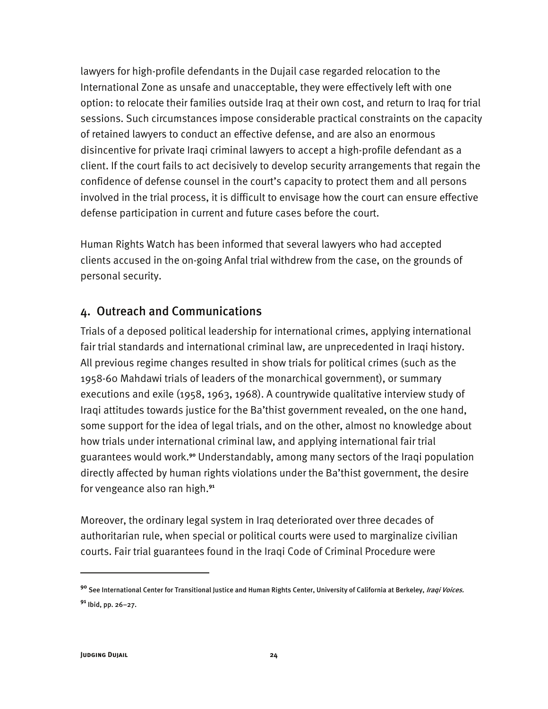lawyers for high-profile defendants in the Dujail case regarded relocation to the International Zone as unsafe and unacceptable, they were effectively left with one option: to relocate their families outside Iraq at their own cost, and return to Iraq for trial sessions. Such circumstances impose considerable practical constraints on the capacity of retained lawyers to conduct an effective defense, and are also an enormous disincentive for private Iraqi criminal lawyers to accept a high-profile defendant as a client. If the court fails to act decisively to develop security arrangements that regain the confidence of defense counsel in the court's capacity to protect them and all persons involved in the trial process, it is difficult to envisage how the court can ensure effective defense participation in current and future cases before the court.

Human Rights Watch has been informed that several lawyers who had accepted clients accused in the on-going Anfal trial withdrew from the case, on the grounds of personal security.

### 4. Outreach and Communications

Trials of a deposed political leadership for international crimes, applying international fair trial standards and international criminal law, are unprecedented in Iraqi history. All previous regime changes resulted in show trials for political crimes (such as the 1958-60 Mahdawi trials of leaders of the monarchical government), or summary executions and exile (1958, 1963, 1968). A countrywide qualitative interview study of Iraqi attitudes towards justice for the Ba'thist government revealed, on the one hand, some support for the idea of legal trials, and on the other, almost no knowledge about how trials under international criminal law, and applying international fair trial guarantees would work.**<sup>90</sup>** Understandably, among many sectors of the Iraqi population directly affected by human rights violations under the Ba'thist government, the desire for vengeance also ran high.**<sup>91</sup>**

Moreover, the ordinary legal system in Iraq deteriorated over three decades of authoritarian rule, when special or political courts were used to marginalize civilian courts. Fair trial guarantees found in the Iraqi Code of Criminal Procedure were

<sup>&</sup>lt;sup>90</sup> See International Center for Transitional Justice and Human Rights Center, University of California at Berkeley, *Iraqi Voices.* **<sup>91</sup>** Ibid, pp. 26–27.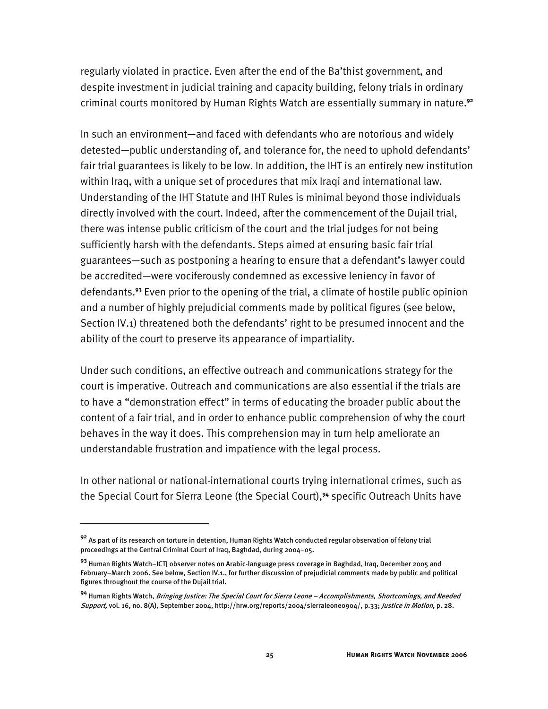regularly violated in practice. Even after the end of the Ba'thist government, and despite investment in judicial training and capacity building, felony trials in ordinary criminal courts monitored by Human Rights Watch are essentially summary in nature.**<sup>92</sup>**

In such an environment—and faced with defendants who are notorious and widely detested—public understanding of, and tolerance for, the need to uphold defendants' fair trial guarantees is likely to be low. In addition, the IHT is an entirely new institution within Iraq, with a unique set of procedures that mix Iraqi and international law. Understanding of the IHT Statute and IHT Rules is minimal beyond those individuals directly involved with the court. Indeed, after the commencement of the Dujail trial, there was intense public criticism of the court and the trial judges for not being sufficiently harsh with the defendants. Steps aimed at ensuring basic fair trial guarantees—such as postponing a hearing to ensure that a defendant's lawyer could be accredited—were vociferously condemned as excessive leniency in favor of defendants.**<sup>93</sup>** Even prior to the opening of the trial, a climate of hostile public opinion and a number of highly prejudicial comments made by political figures (see below, Section IV.1) threatened both the defendants' right to be presumed innocent and the ability of the court to preserve its appearance of impartiality.

Under such conditions, an effective outreach and communications strategy for the court is imperative. Outreach and communications are also essential if the trials are to have a "demonstration effect" in terms of educating the broader public about the content of a fair trial, and in order to enhance public comprehension of why the court behaves in the way it does. This comprehension may in turn help ameliorate an understandable frustration and impatience with the legal process.

In other national or national-international courts trying international crimes, such as the Special Court for Sierra Leone (the Special Court),**<sup>94</sup>** specific Outreach Units have

**<sup>92</sup>** As part of its research on torture in detention, Human Rights Watch conducted regular observation of felony trial proceedings at the Central Criminal Court of Iraq, Baghdad, during 2004–05.

**<sup>93</sup>** Human Rights Watch–ICTJ observer notes on Arabic-language press coverage in Baghdad, Iraq, December 2005 and February–March 2006. See below, Section IV.1., for further discussion of prejudicial comments made by public and political figures throughout the course of the Dujail trial.

**<sup>94</sup>** Human Rights Watch, Bringing Justice: The Special Court for Sierra Leone – Accomplishments, Shortcomings, and Needed Support, vol. 16, no. 8(A), September 2004, http://hrw.org/reports/2004/sierraleone0904/, p.33; Justice in Motion, p. 28.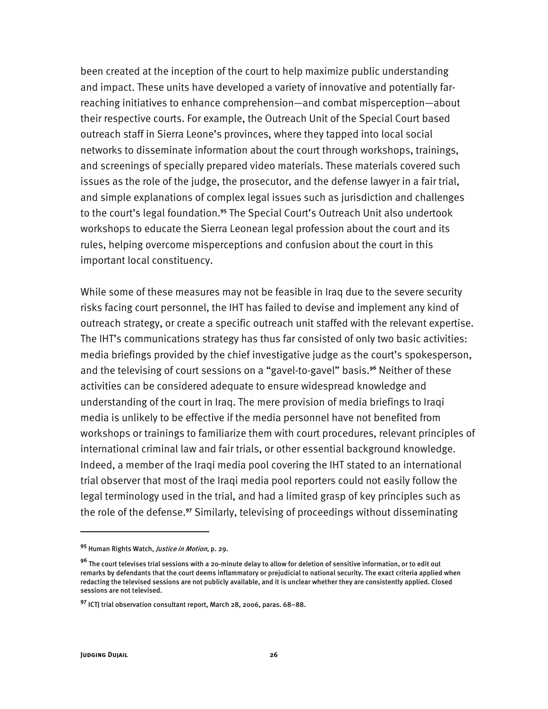been created at the inception of the court to help maximize public understanding and impact. These units have developed a variety of innovative and potentially farreaching initiatives to enhance comprehension—and combat misperception—about their respective courts. For example, the Outreach Unit of the Special Court based outreach staff in Sierra Leone's provinces, where they tapped into local social networks to disseminate information about the court through workshops, trainings, and screenings of specially prepared video materials. These materials covered such issues as the role of the judge, the prosecutor, and the defense lawyer in a fair trial, and simple explanations of complex legal issues such as jurisdiction and challenges to the court's legal foundation.**<sup>95</sup>** The Special Court's Outreach Unit also undertook workshops to educate the Sierra Leonean legal profession about the court and its rules, helping overcome misperceptions and confusion about the court in this important local constituency.

While some of these measures may not be feasible in Iraq due to the severe security risks facing court personnel, the IHT has failed to devise and implement any kind of outreach strategy, or create a specific outreach unit staffed with the relevant expertise. The IHT's communications strategy has thus far consisted of only two basic activities: media briefings provided by the chief investigative judge as the court's spokesperson, and the televising of court sessions on a "gavel-to-gavel" basis.**<sup>96</sup>** Neither of these activities can be considered adequate to ensure widespread knowledge and understanding of the court in Iraq. The mere provision of media briefings to Iraqi media is unlikely to be effective if the media personnel have not benefited from workshops or trainings to familiarize them with court procedures, relevant principles of international criminal law and fair trials, or other essential background knowledge. Indeed, a member of the Iraqi media pool covering the IHT stated to an international trial observer that most of the Iraqi media pool reporters could not easily follow the legal terminology used in the trial, and had a limited grasp of key principles such as the role of the defense.**<sup>97</sup>** Similarly, televising of proceedings without disseminating

**<sup>95</sup>** Human Rights Watch, Justice in Motion, p. 29.

**<sup>96</sup>** The court televises trial sessions with a 20-minute delay to allow for deletion of sensitive information, or to edit out remarks by defendants that the court deems inflammatory or prejudicial to national security. The exact criteria applied when redacting the televised sessions are not publicly available, and it is unclear whether they are consistently applied. Closed sessions are not televised.

**<sup>97</sup>** ICTJ trial observation consultant report, March 28, 2006, paras. 68–88.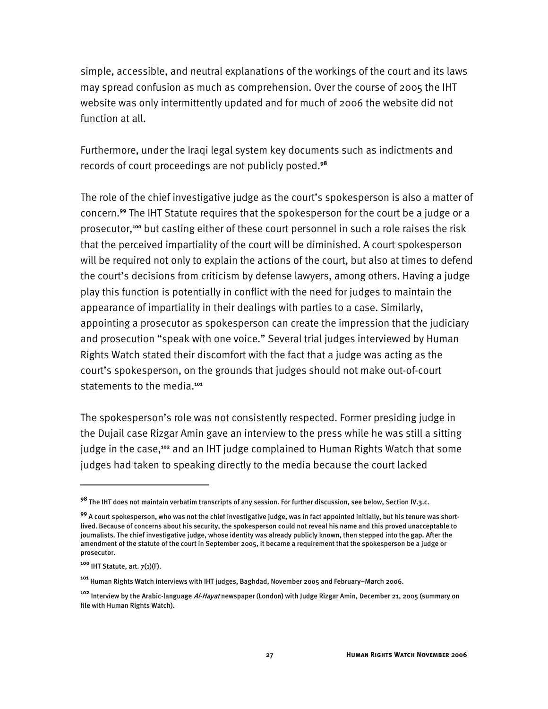simple, accessible, and neutral explanations of the workings of the court and its laws may spread confusion as much as comprehension. Over the course of 2005 the IHT website was only intermittently updated and for much of 2006 the website did not function at all.

Furthermore, under the Iraqi legal system key documents such as indictments and records of court proceedings are not publicly posted.**<sup>98</sup>**

The role of the chief investigative judge as the court's spokesperson is also a matter of concern.**<sup>99</sup>** The IHT Statute requires that the spokesperson for the court be a judge or a prosecutor,**<sup>100</sup>** but casting either of these court personnel in such a role raises the risk that the perceived impartiality of the court will be diminished. A court spokesperson will be required not only to explain the actions of the court, but also at times to defend the court's decisions from criticism by defense lawyers, among others. Having a judge play this function is potentially in conflict with the need for judges to maintain the appearance of impartiality in their dealings with parties to a case. Similarly, appointing a prosecutor as spokesperson can create the impression that the judiciary and prosecution "speak with one voice." Several trial judges interviewed by Human Rights Watch stated their discomfort with the fact that a judge was acting as the court's spokesperson, on the grounds that judges should not make out-of-court statements to the media.**<sup>101</sup>**

The spokesperson's role was not consistently respected. Former presiding judge in the Dujail case Rizgar Amin gave an interview to the press while he was still a sitting judge in the case,**<sup>102</sup>** and an IHT judge complained to Human Rights Watch that some judges had taken to speaking directly to the media because the court lacked

**<sup>98</sup>** The IHT does not maintain verbatim transcripts of any session. For further discussion, see below, Section IV.3.c.

**<sup>99</sup>** A court spokesperson, who was not the chief investigative judge, was in fact appointed initially, but his tenure was shortlived. Because of concerns about his security, the spokesperson could not reveal his name and this proved unacceptable to journalists. The chief investigative judge, whose identity was already publicly known, then stepped into the gap. After the amendment of the statute of the court in September 2005, it became a requirement that the spokesperson be a judge or prosecutor.

**<sup>100</sup>** IHT Statute, art. 7(1)(F).

**<sup>101</sup>** Human Rights Watch interviews with IHT judges, Baghdad, November 2005 and February–March 2006.

**<sup>102</sup>** Interview by the Arabic-language Al-Hayat newspaper (London) with Judge Rizgar Amin, December 21, 2005 (summary on file with Human Rights Watch).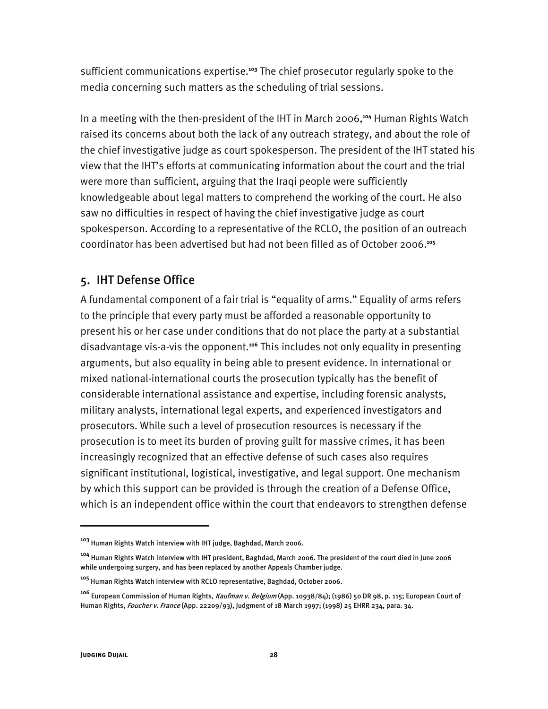sufficient communications expertise.**<sup>103</sup>** The chief prosecutor regularly spoke to the media concerning such matters as the scheduling of trial sessions.

In a meeting with the then-president of the IHT in March 2006,**<sup>104</sup>** Human Rights Watch raised its concerns about both the lack of any outreach strategy, and about the role of the chief investigative judge as court spokesperson. The president of the IHT stated his view that the IHT's efforts at communicating information about the court and the trial were more than sufficient, arguing that the Iraqi people were sufficiently knowledgeable about legal matters to comprehend the working of the court. He also saw no difficulties in respect of having the chief investigative judge as court spokesperson. According to a representative of the RCLO, the position of an outreach coordinator has been advertised but had not been filled as of October 2006.**<sup>105</sup>**

## 5. IHT Defense Office

A fundamental component of a fair trial is "equality of arms." Equality of arms refers to the principle that every party must be afforded a reasonable opportunity to present his or her case under conditions that do not place the party at a substantial disadvantage vis-a-vis the opponent.**<sup>106</sup>** This includes not only equality in presenting arguments, but also equality in being able to present evidence. In international or mixed national-international courts the prosecution typically has the benefit of considerable international assistance and expertise, including forensic analysts, military analysts, international legal experts, and experienced investigators and prosecutors. While such a level of prosecution resources is necessary if the prosecution is to meet its burden of proving guilt for massive crimes, it has been increasingly recognized that an effective defense of such cases also requires significant institutional, logistical, investigative, and legal support. One mechanism by which this support can be provided is through the creation of a Defense Office, which is an independent office within the court that endeavors to strengthen defense

**<sup>103</sup>** Human Rights Watch interview with IHT judge, Baghdad, March 2006.

**<sup>104</sup>** Human Rights Watch interview with IHT president, Baghdad, March 2006. The president of the court died in June 2006 while undergoing surgery, and has been replaced by another Appeals Chamber judge.

**<sup>105</sup>** Human Rights Watch interview with RCLO representative, Baghdad, October 2006.

**<sup>106</sup>** European Commission of Human Rights, Kaufman v. Belgium (App. 10938/84); (1986) 50 DR 98, p. 115; European Court of Human Rights, Foucher v. France (App. 22209/93), Judgment of 18 March 1997; (1998) 25 EHRR 234, para. 34.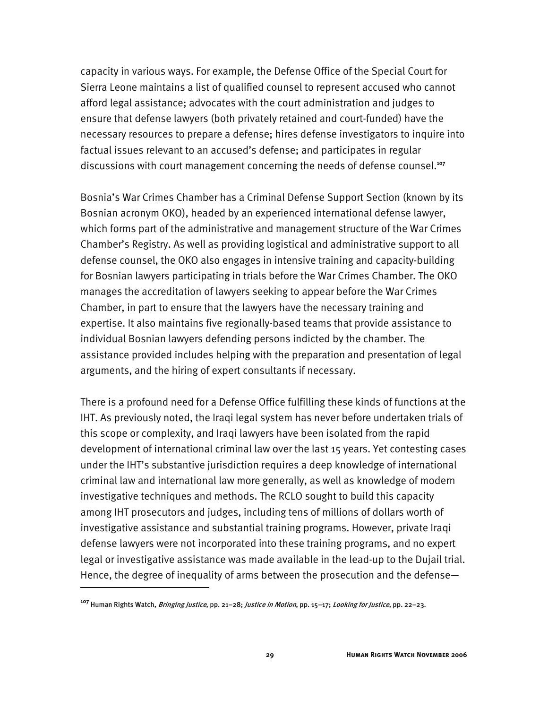capacity in various ways. For example, the Defense Office of the Special Court for Sierra Leone maintains a list of qualified counsel to represent accused who cannot afford legal assistance; advocates with the court administration and judges to ensure that defense lawyers (both privately retained and court-funded) have the necessary resources to prepare a defense; hires defense investigators to inquire into factual issues relevant to an accused's defense; and participates in regular discussions with court management concerning the needs of defense counsel.**<sup>107</sup>**

Bosnia's War Crimes Chamber has a Criminal Defense Support Section (known by its Bosnian acronym OKO), headed by an experienced international defense lawyer, which forms part of the administrative and management structure of the War Crimes Chamber's Registry. As well as providing logistical and administrative support to all defense counsel, the OKO also engages in intensive training and capacity-building for Bosnian lawyers participating in trials before the War Crimes Chamber. The OKO manages the accreditation of lawyers seeking to appear before the War Crimes Chamber, in part to ensure that the lawyers have the necessary training and expertise. It also maintains five regionally-based teams that provide assistance to individual Bosnian lawyers defending persons indicted by the chamber. The assistance provided includes helping with the preparation and presentation of legal arguments, and the hiring of expert consultants if necessary.

There is a profound need for a Defense Office fulfilling these kinds of functions at the IHT. As previously noted, the Iraqi legal system has never before undertaken trials of this scope or complexity, and Iraqi lawyers have been isolated from the rapid development of international criminal law over the last 15 years. Yet contesting cases under the IHT's substantive jurisdiction requires a deep knowledge of international criminal law and international law more generally, as well as knowledge of modern investigative techniques and methods. The RCLO sought to build this capacity among IHT prosecutors and judges, including tens of millions of dollars worth of investigative assistance and substantial training programs. However, private Iraqi defense lawyers were not incorporated into these training programs, and no expert legal or investigative assistance was made available in the lead-up to the Dujail trial. Hence, the degree of inequality of arms between the prosecution and the defense—

**<sup>107</sup>** Human Rights Watch, Bringing Justice, pp. 21–28; Justice in Motion, pp. 15–17; Looking for Justice, pp. 22–23.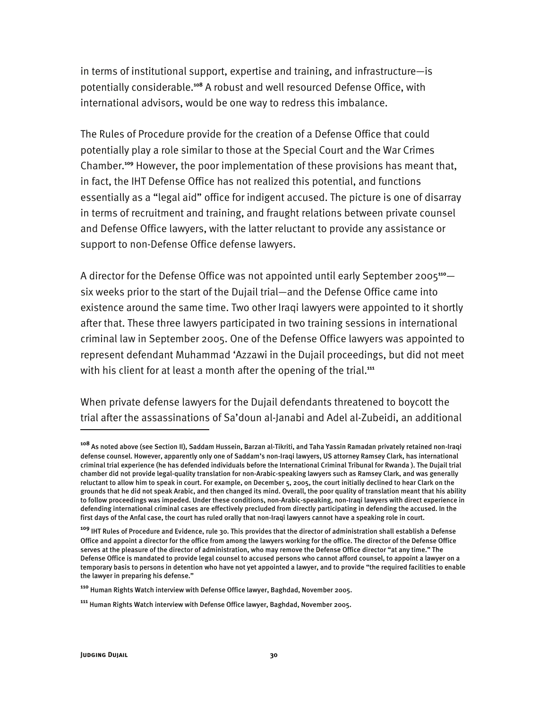in terms of institutional support, expertise and training, and infrastructure—is potentially considerable.**<sup>108</sup>** A robust and well resourced Defense Office, with international advisors, would be one way to redress this imbalance.

The Rules of Procedure provide for the creation of a Defense Office that could potentially play a role similar to those at the Special Court and the War Crimes Chamber.**<sup>109</sup>** However, the poor implementation of these provisions has meant that, in fact, the IHT Defense Office has not realized this potential, and functions essentially as a "legal aid" office for indigent accused. The picture is one of disarray in terms of recruitment and training, and fraught relations between private counsel and Defense Office lawyers, with the latter reluctant to provide any assistance or support to non-Defense Office defense lawyers.

A director for the Defense Office was not appointed until early September 2005**<sup>110</sup>** six weeks prior to the start of the Dujail trial—and the Defense Office came into existence around the same time. Two other Iraqi lawyers were appointed to it shortly after that. These three lawyers participated in two training sessions in international criminal law in September 2005. One of the Defense Office lawyers was appointed to represent defendant Muhammad 'Azzawi in the Dujail proceedings, but did not meet with his client for at least a month after the opening of the trial.<sup>111</sup>

When private defense lawyers for the Dujail defendants threatened to boycott the trial after the assassinations of Sa'doun al-Janabi and Adel al-Zubeidi, an additional

**<sup>108</sup>** As noted above (see Section II), Saddam Hussein, Barzan al-Tikriti, and Taha Yassin Ramadan privately retained non-Iraqi defense counsel. However, apparently only one of Saddam's non-Iraqi lawyers, US attorney Ramsey Clark, has international criminal trial experience (he has defended individuals before the International Criminal Tribunal for Rwanda ). The Dujail trial chamber did not provide legal-quality translation for non-Arabic-speaking lawyers such as Ramsey Clark, and was generally reluctant to allow him to speak in court. For example, on December 5, 2005, the court initially declined to hear Clark on the grounds that he did not speak Arabic, and then changed its mind. Overall, the poor quality of translation meant that his ability to follow proceedings was impeded. Under these conditions, non-Arabic-speaking, non-Iraqi lawyers with direct experience in defending international criminal cases are effectively precluded from directly participating in defending the accused. In the first days of the Anfal case, the court has ruled orally that non-Iraqi lawyers cannot have a speaking role in court.

**<sup>109</sup>** IHT Rules of Procedure and Evidence, rule 30. This provides that the director of administration shall establish a Defense Office and appoint a director for the office from among the lawyers working for the office. The director of the Defense Office serves at the pleasure of the director of administration, who may remove the Defense Office director "at any time." The Defense Office is mandated to provide legal counsel to accused persons who cannot afford counsel, to appoint a lawyer on a temporary basis to persons in detention who have not yet appointed a lawyer, and to provide "the required facilities to enable the lawyer in preparing his defense."

**<sup>110</sup>** Human Rights Watch interview with Defense Office lawyer, Baghdad, November 2005.

**<sup>111</sup>** Human Rights Watch interview with Defense Office lawyer, Baghdad, November 2005.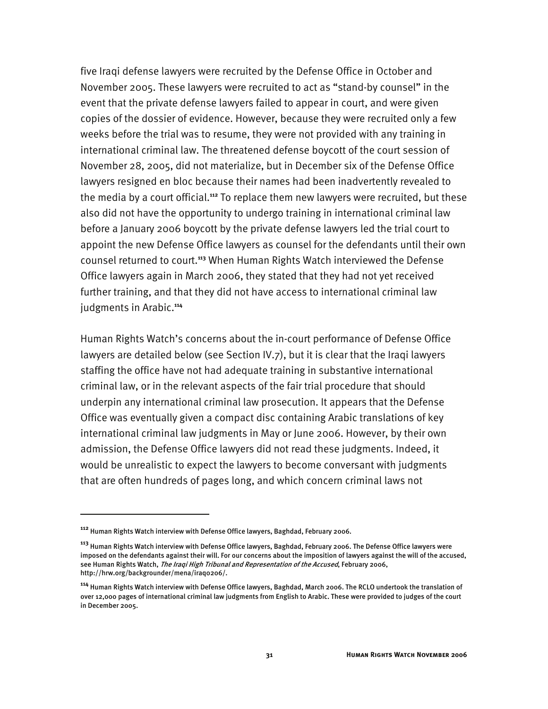five Iraqi defense lawyers were recruited by the Defense Office in October and November 2005. These lawyers were recruited to act as "stand-by counsel" in the event that the private defense lawyers failed to appear in court, and were given copies of the dossier of evidence. However, because they were recruited only a few weeks before the trial was to resume, they were not provided with any training in international criminal law. The threatened defense boycott of the court session of November 28, 2005, did not materialize, but in December six of the Defense Office lawyers resigned en bloc because their names had been inadvertently revealed to the media by a court official.**<sup>112</sup>** To replace them new lawyers were recruited, but these also did not have the opportunity to undergo training in international criminal law before a January 2006 boycott by the private defense lawyers led the trial court to appoint the new Defense Office lawyers as counsel for the defendants until their own counsel returned to court.**<sup>113</sup>** When Human Rights Watch interviewed the Defense Office lawyers again in March 2006, they stated that they had not yet received further training, and that they did not have access to international criminal law judgments in Arabic.**<sup>114</sup>**

Human Rights Watch's concerns about the in-court performance of Defense Office lawyers are detailed below (see Section IV.7), but it is clear that the Iraqi lawyers staffing the office have not had adequate training in substantive international criminal law, or in the relevant aspects of the fair trial procedure that should underpin any international criminal law prosecution. It appears that the Defense Office was eventually given a compact disc containing Arabic translations of key international criminal law judgments in May or June 2006. However, by their own admission, the Defense Office lawyers did not read these judgments. Indeed, it would be unrealistic to expect the lawyers to become conversant with judgments that are often hundreds of pages long, and which concern criminal laws not

**<sup>112</sup>** Human Rights Watch interview with Defense Office lawyers, Baghdad, February 2006.

**<sup>113</sup>** Human Rights Watch interview with Defense Office lawyers, Baghdad, February 2006. The Defense Office lawyers were imposed on the defendants against their will. For our concerns about the imposition of lawyers against the will of the accused, see Human Rights Watch, The Iraqi High Tribunal and Representation of the Accused, February 2006, http://hrw.org/backgrounder/mena/iraq0206/.

**<sup>114</sup>** Human Rights Watch interview with Defense Office lawyers, Baghdad, March 2006. The RCLO undertook the translation of over 12,000 pages of international criminal law judgments from English to Arabic. These were provided to judges of the court in December 2005.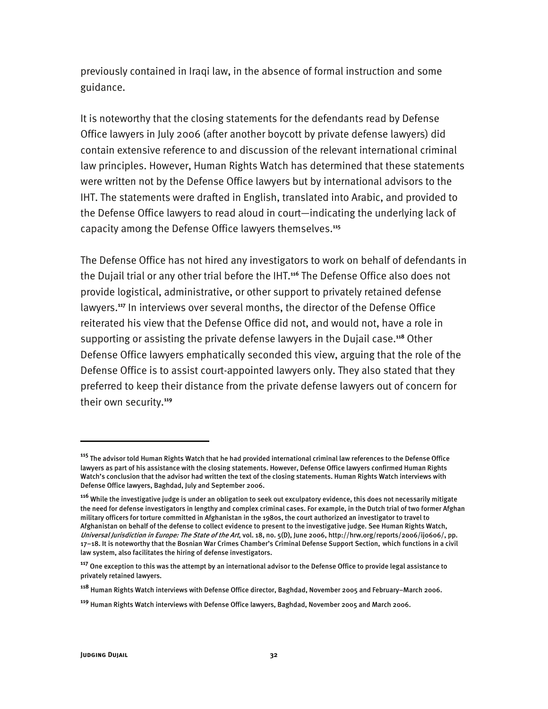previously contained in Iraqi law, in the absence of formal instruction and some guidance.

It is noteworthy that the closing statements for the defendants read by Defense Office lawyers in July 2006 (after another boycott by private defense lawyers) did contain extensive reference to and discussion of the relevant international criminal law principles. However, Human Rights Watch has determined that these statements were written not by the Defense Office lawyers but by international advisors to the IHT. The statements were drafted in English, translated into Arabic, and provided to the Defense Office lawyers to read aloud in court—indicating the underlying lack of capacity among the Defense Office lawyers themselves.**<sup>115</sup>**

The Defense Office has not hired any investigators to work on behalf of defendants in the Dujail trial or any other trial before the IHT.**<sup>116</sup>** The Defense Office also does not provide logistical, administrative, or other support to privately retained defense lawyers.**<sup>117</sup>** In interviews over several months, the director of the Defense Office reiterated his view that the Defense Office did not, and would not, have a role in supporting or assisting the private defense lawyers in the Dujail case.**<sup>118</sup>** Other Defense Office lawyers emphatically seconded this view, arguing that the role of the Defense Office is to assist court-appointed lawyers only. They also stated that they preferred to keep their distance from the private defense lawyers out of concern for their own security.**<sup>119</sup>**

**<sup>115</sup>** The advisor told Human Rights Watch that he had provided international criminal law references to the Defense Office lawyers as part of his assistance with the closing statements. However, Defense Office lawyers confirmed Human Rights Watch's conclusion that the advisor had written the text of the closing statements. Human Rights Watch interviews with Defense Office lawyers, Baghdad, July and September 2006.

**<sup>116</sup>** While the investigative judge is under an obligation to seek out exculpatory evidence, this does not necessarily mitigate the need for defense investigators in lengthy and complex criminal cases. For example, in the Dutch trial of two former Afghan military officers for torture committed in Afghanistan in the 1980s, the court authorized an investigator to travel to Afghanistan on behalf of the defense to collect evidence to present to the investigative judge. See Human Rights Watch, Universal Jurisdiction in Europe: The State of the Art, vol. 18, no. 5(D), June 2006, http://hrw.org/reports/2006/ij0606/, pp. 17–18. It is noteworthy that the Bosnian War Crimes Chamber's Criminal Defense Support Section, which functions in a civil law system, also facilitates the hiring of defense investigators.

**<sup>117</sup>** One exception to this was the attempt by an international advisor to the Defense Office to provide legal assistance to privately retained lawyers.

**<sup>118</sup>** Human Rights Watch interviews with Defense Office director, Baghdad, November 2005 and February–March 2006.

**<sup>119</sup>** Human Rights Watch interviews with Defense Office lawyers, Baghdad, November 2005 and March 2006.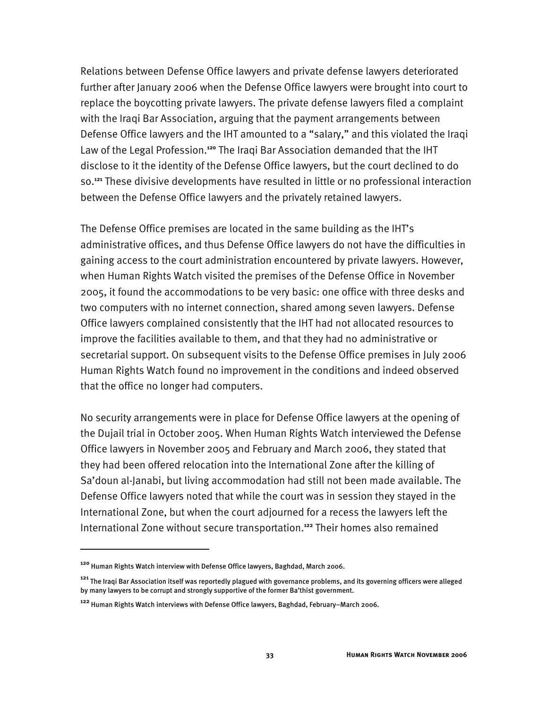Relations between Defense Office lawyers and private defense lawyers deteriorated further after January 2006 when the Defense Office lawyers were brought into court to replace the boycotting private lawyers. The private defense lawyers filed a complaint with the Iraqi Bar Association, arguing that the payment arrangements between Defense Office lawyers and the IHT amounted to a "salary," and this violated the Iraqi Law of the Legal Profession.**<sup>120</sup>** The Iraqi Bar Association demanded that the IHT disclose to it the identity of the Defense Office lawyers, but the court declined to do so.**<sup>121</sup>** These divisive developments have resulted in little or no professional interaction between the Defense Office lawyers and the privately retained lawyers.

The Defense Office premises are located in the same building as the IHT's administrative offices, and thus Defense Office lawyers do not have the difficulties in gaining access to the court administration encountered by private lawyers. However, when Human Rights Watch visited the premises of the Defense Office in November 2005, it found the accommodations to be very basic: one office with three desks and two computers with no internet connection, shared among seven lawyers. Defense Office lawyers complained consistently that the IHT had not allocated resources to improve the facilities available to them, and that they had no administrative or secretarial support. On subsequent visits to the Defense Office premises in July 2006 Human Rights Watch found no improvement in the conditions and indeed observed that the office no longer had computers.

No security arrangements were in place for Defense Office lawyers at the opening of the Dujail trial in October 2005. When Human Rights Watch interviewed the Defense Office lawyers in November 2005 and February and March 2006, they stated that they had been offered relocation into the International Zone after the killing of Sa'doun al-Janabi, but living accommodation had still not been made available. The Defense Office lawyers noted that while the court was in session they stayed in the International Zone, but when the court adjourned for a recess the lawyers left the International Zone without secure transportation.**<sup>122</sup>** Their homes also remained

**<sup>120</sup>** Human Rights Watch interview with Defense Office lawyers, Baghdad, March 2006.

**<sup>121</sup>** The Iraqi Bar Association itself was reportedly plagued with governance problems, and its governing officers were alleged by many lawyers to be corrupt and strongly supportive of the former Ba'thist government.

**<sup>122</sup>** Human Rights Watch interviews with Defense Office lawyers, Baghdad, February–March 2006.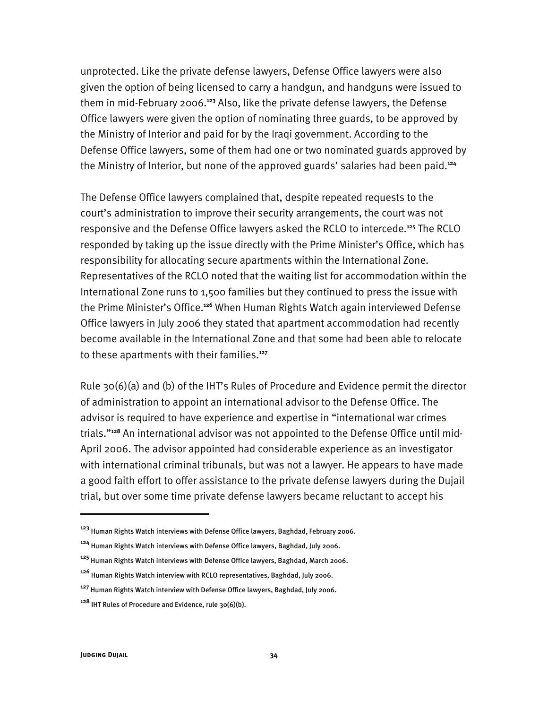unprotected. Like the private defense lawyers, Defense Office lawyers were also given the option of being licensed to carry a handgun, and handguns were issued to them in mid-February 2006.**<sup>123</sup>** Also, like the private defense lawyers, the Defense Office lawyers were given the option of nominating three guards, to be approved by the Ministry of Interior and paid for by the Iraqi government. According to the Defense Office lawyers, some of them had one or two nominated guards approved by the Ministry of Interior, but none of the approved guards' salaries had been paid.**<sup>124</sup>**

The Defense Office lawyers complained that, despite repeated requests to the court's administration to improve their security arrangements, the court was not responsive and the Defense Office lawyers asked the RCLO to intercede.**<sup>125</sup>** The RCLO responded by taking up the issue directly with the Prime Minister's Office, which has responsibility for allocating secure apartments within the International Zone. Representatives of the RCLO noted that the waiting list for accommodation within the International Zone runs to 1,500 families but they continued to press the issue with the Prime Minister's Office.**<sup>126</sup>** When Human Rights Watch again interviewed Defense Office lawyers in July 2006 they stated that apartment accommodation had recently become available in the International Zone and that some had been able to relocate to these apartments with their families.**<sup>127</sup>**

Rule 30(6)(a) and (b) of the IHT's Rules of Procedure and Evidence permit the director of administration to appoint an international advisor to the Defense Office. The advisor is required to have experience and expertise in "international war crimes trials."**128** An international advisor was not appointed to the Defense Office until mid-April 2006. The advisor appointed had considerable experience as an investigator with international criminal tribunals, but was not a lawyer. He appears to have made a good faith effort to offer assistance to the private defense lawyers during the Dujail trial, but over some time private defense lawyers became reluctant to accept his

**<sup>123</sup>** Human Rights Watch interviews with Defense Office lawyers, Baghdad, February 2006.

**<sup>124</sup>** Human Rights Watch interviews with Defense Office lawyers, Baghdad, July 2006.

**<sup>125</sup>** Human Rights Watch interviews with Defense Office lawyers, Baghdad, March 2006.

**<sup>126</sup>** Human Rights Watch interview with RCLO representatives, Baghdad, July 2006.

**<sup>127</sup>** Human Rights Watch interview with Defense Office lawyers, Baghdad, July 2006.

**<sup>128</sup>** IHT Rules of Procedure and Evidence, rule 30(6)(b).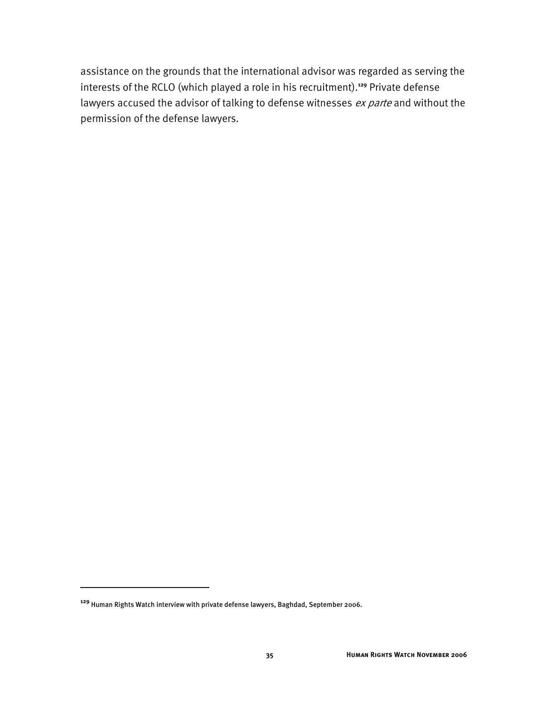assistance on the grounds that the international advisor was regarded as serving the interests of the RCLO (which played a role in his recruitment).**<sup>129</sup>** Private defense lawyers accused the advisor of talking to defense witnesses ex parte and without the permission of the defense lawyers.

**<sup>129</sup>** Human Rights Watch interview with private defense lawyers, Baghdad, September 2006.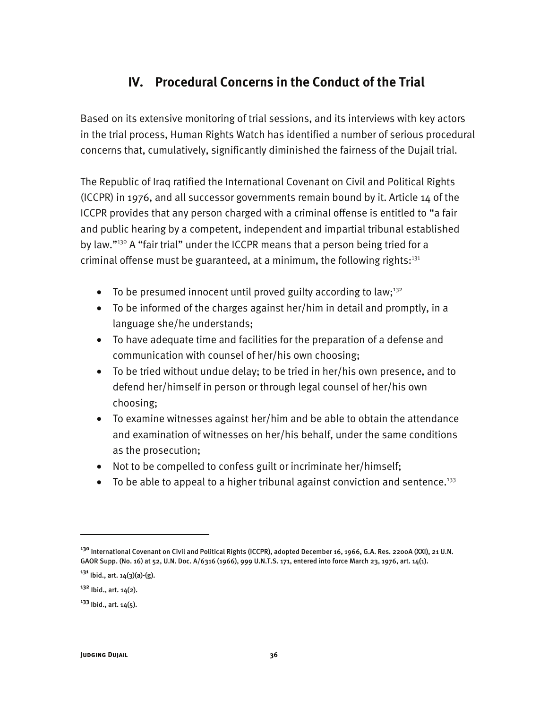# **IV. Procedural Concerns in the Conduct of the Trial**

Based on its extensive monitoring of trial sessions, and its interviews with key actors in the trial process, Human Rights Watch has identified a number of serious procedural concerns that, cumulatively, significantly diminished the fairness of the Dujail trial.

The Republic of Iraq ratified the International Covenant on Civil and Political Rights (ICCPR) in 1976, and all successor governments remain bound by it. Article 14 of the ICCPR provides that any person charged with a criminal offense is entitled to "a fair and public hearing by a competent, independent and impartial tribunal established by law."<sup>130</sup> A "fair trial" under the ICCPR means that a person being tried for a criminal offense must be guaranteed, at a minimum, the following rights: $131$ 

- To be presumed innocent until proved guilty according to law;<sup>132</sup>
- To be informed of the charges against her/him in detail and promptly, in a language she/he understands;
- To have adequate time and facilities for the preparation of a defense and communication with counsel of her/his own choosing;
- To be tried without undue delay; to be tried in her/his own presence, and to defend her/himself in person or through legal counsel of her/his own choosing;
- To examine witnesses against her/him and be able to obtain the attendance and examination of witnesses on her/his behalf, under the same conditions as the prosecution;
- Not to be compelled to confess guilt or incriminate her/himself;
- To be able to appeal to a higher tribunal against conviction and sentence.<sup>133</sup>

j

**<sup>130</sup>** International Covenant on Civil and Political Rights (ICCPR), adopted December 16, 1966, G.A. Res. 2200A (XXI), 21 U.N. GAOR Supp. (No. 16) at 52, U.N. Doc. A/6316 (1966), 999 U.N.T.S. 171, entered into force March 23, 1976, art. 14(1).

**<sup>131</sup>** Ibid., art. 14(3)(a)-(g).

**<sup>132</sup>** Ibid., art. 14(2).

**<sup>133</sup>** Ibid., art. 14(5).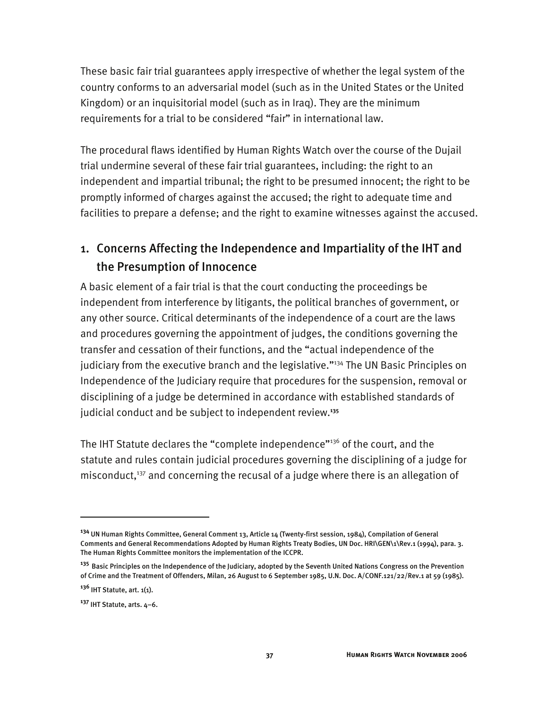These basic fair trial guarantees apply irrespective of whether the legal system of the country conforms to an adversarial model (such as in the United States or the United Kingdom) or an inquisitorial model (such as in Iraq). They are the minimum requirements for a trial to be considered "fair" in international law.

The procedural flaws identified by Human Rights Watch over the course of the Dujail trial undermine several of these fair trial guarantees, including: the right to an independent and impartial tribunal; the right to be presumed innocent; the right to be promptly informed of charges against the accused; the right to adequate time and facilities to prepare a defense; and the right to examine witnesses against the accused.

# 1. Concerns Affecting the Independence and Impartiality of the IHT and the Presumption of Innocence

A basic element of a fair trial is that the court conducting the proceedings be independent from interference by litigants, the political branches of government, or any other source. Critical determinants of the independence of a court are the laws and procedures governing the appointment of judges, the conditions governing the transfer and cessation of their functions, and the "actual independence of the judiciary from the executive branch and the legislative."<sup>134</sup> The UN Basic Principles on Independence of the Judiciary require that procedures for the suspension, removal or disciplining of a judge be determined in accordance with established standards of judicial conduct and be subject to independent review.**<sup>135</sup>**

The IHT Statute declares the "complete independence"<sup>136</sup> of the court, and the statute and rules contain judicial procedures governing the disciplining of a judge for misconduct, $137$  and concerning the recusal of a judge where there is an allegation of

**<sup>134</sup>** UN Human Rights Committee, General Comment 13, Article 14 (Twenty-first session, 1984), Compilation of General Comments and General Recommendations Adopted by Human Rights Treaty Bodies, UN Doc. HRI\GEN\1\Rev.1 (1994), para. 3. The Human Rights Committee monitors the implementation of the ICCPR.

**<sup>135</sup>** Basic Principles on the Independence of the Judiciary, adopted by the Seventh United Nations Congress on the Prevention of Crime and the Treatment of Offenders, Milan, 26 August to 6 September 1985, U.N. Doc. A/CONF.121/22/Rev.1 at 59 (1985).

**<sup>136</sup>** IHT Statute, art. 1(1).

**<sup>137</sup>** IHT Statute, arts. 4–6.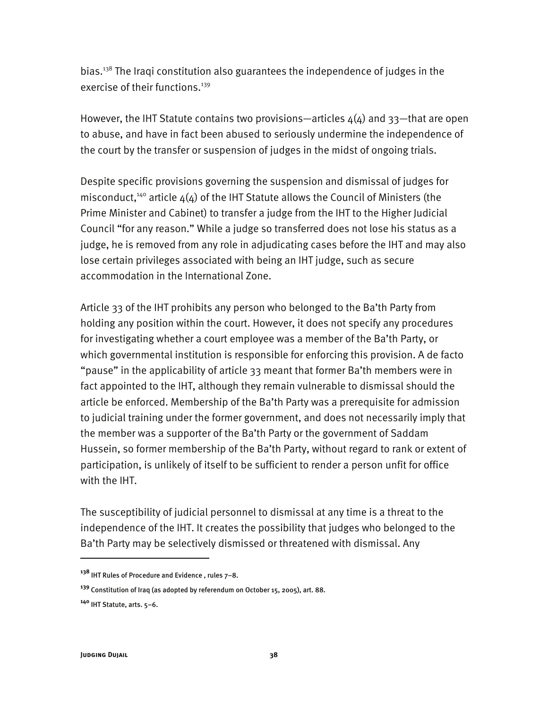bias.138 The Iraqi constitution also guarantees the independence of judges in the exercise of their functions.<sup>139</sup>

However, the IHT Statute contains two provisions—articles  $4(4)$  and 33—that are open to abuse, and have in fact been abused to seriously undermine the independence of the court by the transfer or suspension of judges in the midst of ongoing trials.

Despite specific provisions governing the suspension and dismissal of judges for misconduct,<sup>140</sup> article  $\Delta(\Delta)$  of the IHT Statute allows the Council of Ministers (the Prime Minister and Cabinet) to transfer a judge from the IHT to the Higher Judicial Council "for any reason." While a judge so transferred does not lose his status as a judge, he is removed from any role in adjudicating cases before the IHT and may also lose certain privileges associated with being an IHT judge, such as secure accommodation in the International Zone.

Article 33 of the IHT prohibits any person who belonged to the Ba'th Party from holding any position within the court. However, it does not specify any procedures for investigating whether a court employee was a member of the Ba'th Party, or which governmental institution is responsible for enforcing this provision. A de facto "pause" in the applicability of article 33 meant that former Ba'th members were in fact appointed to the IHT, although they remain vulnerable to dismissal should the article be enforced. Membership of the Ba'th Party was a prerequisite for admission to judicial training under the former government, and does not necessarily imply that the member was a supporter of the Ba'th Party or the government of Saddam Hussein, so former membership of the Ba'th Party, without regard to rank or extent of participation, is unlikely of itself to be sufficient to render a person unfit for office with the IHT.

The susceptibility of judicial personnel to dismissal at any time is a threat to the independence of the IHT. It creates the possibility that judges who belonged to the Ba'th Party may be selectively dismissed or threatened with dismissal. Any

**<sup>138</sup>** IHT Rules of Procedure and Evidence , rules 7–8.

**<sup>139</sup>** Constitution of Iraq (as adopted by referendum on October 15, 2005), art. 88.

**<sup>140</sup>** IHT Statute, arts. 5–6.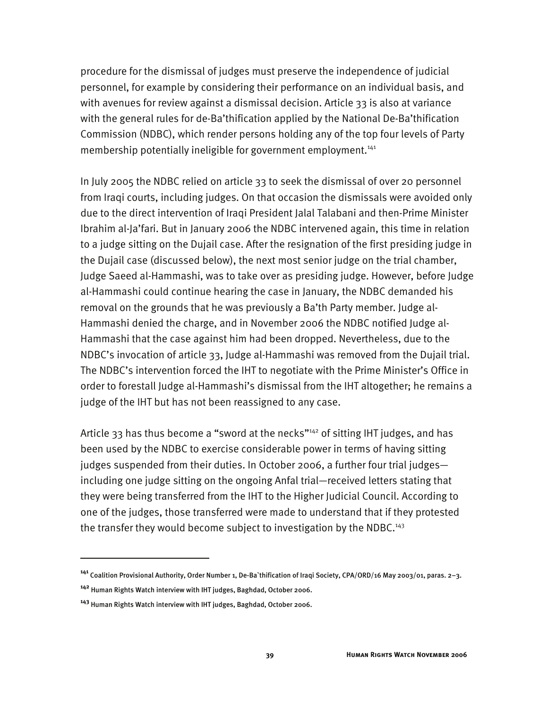procedure for the dismissal of judges must preserve the independence of judicial personnel, for example by considering their performance on an individual basis, and with avenues for review against a dismissal decision. Article 33 is also at variance with the general rules for de-Ba'thification applied by the National De-Ba'thification Commission (NDBC), which render persons holding any of the top four levels of Party membership potentially ineligible for government employment.<sup>141</sup>

In July 2005 the NDBC relied on article 33 to seek the dismissal of over 20 personnel from Iraqi courts, including judges. On that occasion the dismissals were avoided only due to the direct intervention of Iraqi President Jalal Talabani and then-Prime Minister Ibrahim al-Ja'fari. But in January 2006 the NDBC intervened again, this time in relation to a judge sitting on the Dujail case. After the resignation of the first presiding judge in the Dujail case (discussed below), the next most senior judge on the trial chamber, Judge Saeed al-Hammashi, was to take over as presiding judge. However, before Judge al-Hammashi could continue hearing the case in January, the NDBC demanded his removal on the grounds that he was previously a Ba'th Party member. Judge al-Hammashi denied the charge, and in November 2006 the NDBC notified Judge al-Hammashi that the case against him had been dropped. Nevertheless, due to the NDBC's invocation of article 33, Judge al-Hammashi was removed from the Dujail trial. The NDBC's intervention forced the IHT to negotiate with the Prime Minister's Office in order to forestall Judge al-Hammashi's dismissal from the IHT altogether; he remains a judge of the IHT but has not been reassigned to any case.

Article 33 has thus become a "sword at the necks"<sup>142</sup> of sitting IHT judges, and has been used by the NDBC to exercise considerable power in terms of having sitting judges suspended from their duties. In October 2006, a further four trial judges including one judge sitting on the ongoing Anfal trial—received letters stating that they were being transferred from the IHT to the Higher Judicial Council. According to one of the judges, those transferred were made to understand that if they protested the transfer they would become subject to investigation by the NDBC.<sup>143</sup>

**<sup>141</sup>** Coalition Provisional Authority, Order Number 1, De-Ba`thification of Iraqi Society, CPA/ORD/16 May 2003/01, paras. 2–3.

**<sup>142</sup>** Human Rights Watch interview with IHT judges, Baghdad, October 2006.

**<sup>143</sup>** Human Rights Watch interview with IHT judges, Baghdad, October 2006.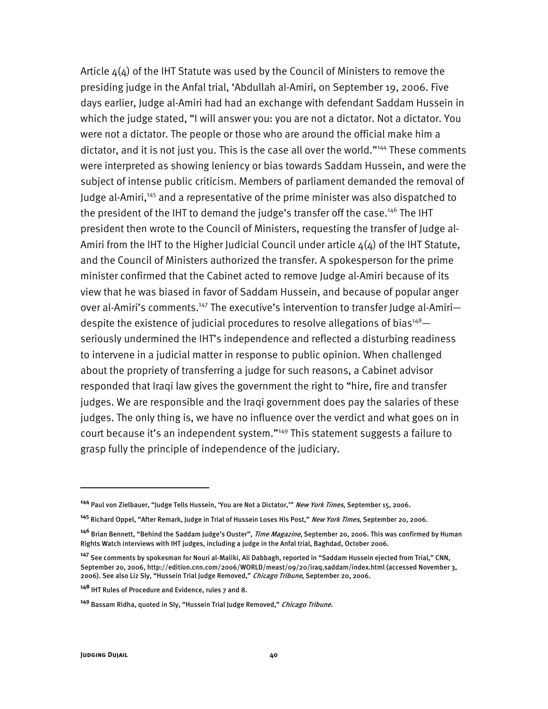Article  $4(4)$  of the IHT Statute was used by the Council of Ministers to remove the presiding judge in the Anfal trial, 'Abdullah al-Amiri, on September 19, 2006. Five days earlier, Judge al-Amiri had had an exchange with defendant Saddam Hussein in which the judge stated, "I will answer you: you are not a dictator. Not a dictator. You were not a dictator. The people or those who are around the official make him a dictator, and it is not just you. This is the case all over the world."<sup>144</sup> These comments were interpreted as showing leniency or bias towards Saddam Hussein, and were the subject of intense public criticism. Members of parliament demanded the removal of Judge al-Amiri,<sup>145</sup> and a representative of the prime minister was also dispatched to the president of the IHT to demand the judge's transfer off the case.<sup>146</sup> The IHT president then wrote to the Council of Ministers, requesting the transfer of Judge al-Amiri from the IHT to the Higher Judicial Council under article  $4(4)$  of the IHT Statute, and the Council of Ministers authorized the transfer. A spokesperson for the prime minister confirmed that the Cabinet acted to remove Judge al-Amiri because of its view that he was biased in favor of Saddam Hussein, and because of popular anger over al-Amiri's comments.<sup>147</sup> The executive's intervention to transfer Judge al-Amiridespite the existence of judicial procedures to resolve allegations of bias<sup>148</sup> $$ seriously undermined the IHT's independence and reflected a disturbing readiness to intervene in a judicial matter in response to public opinion. When challenged about the propriety of transferring a judge for such reasons, a Cabinet advisor responded that Iraqi law gives the government the right to "hire, fire and transfer judges. We are responsible and the Iraqi government does pay the salaries of these judges. The only thing is, we have no influence over the verdict and what goes on in court because it's an independent system."149 This statement suggests a failure to grasp fully the principle of independence of the judiciary.

j

**<sup>144</sup>** Paul von Zielbauer, "Judge Tells Hussein, 'You are Not a Dictator,'" New York Times, September 15, 2006.

**<sup>145</sup>** Richard Oppel, "After Remark, Judge in Trial of Hussein Loses His Post," New York Times, September 20, 2006.

**<sup>146</sup>** Brian Bennett, "Behind the Saddam Judge's Ouster", Time Magazine, September 20, 2006. This was confirmed by Human Rights Watch interviews with IHT judges, including a judge in the Anfal trial, Baghdad, October 2006.

**<sup>147</sup>** See comments by spokesman for Nouri al-Maliki, Ali Dabbagh, reported in "Saddam Hussein ejected from Trial," CNN, September 20, 2006, http://edition.cnn.com/2006/WORLD/meast/09/20/iraq.saddam/index.html (accessed November 3, 2006). See also Liz Sly, "Hussein Trial Judge Removed," Chicago Tribune, September 20, 2006.

**<sup>148</sup>** IHT Rules of Procedure and Evidence, rules 7 and 8.

**<sup>149</sup>** Bassam Ridha, quoted in Sly, "Hussein Trial Judge Removed," Chicago Tribune.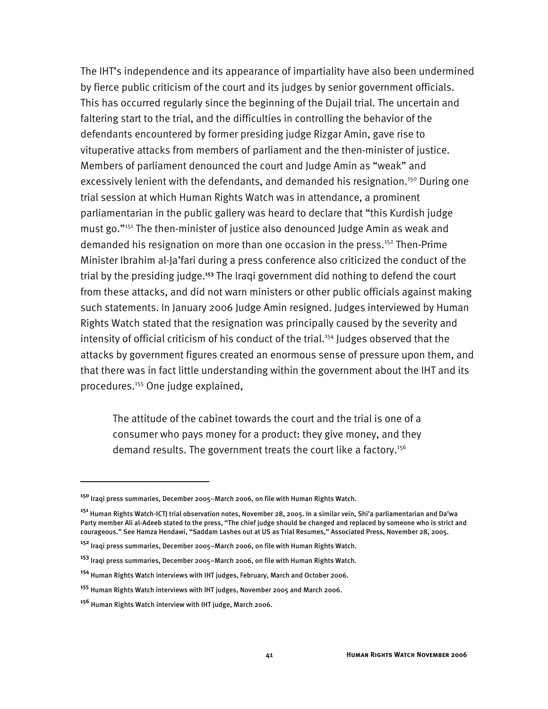The IHT's independence and its appearance of impartiality have also been undermined by fierce public criticism of the court and its judges by senior government officials. This has occurred regularly since the beginning of the Dujail trial. The uncertain and faltering start to the trial, and the difficulties in controlling the behavior of the defendants encountered by former presiding judge Rizgar Amin, gave rise to vituperative attacks from members of parliament and the then-minister of justice. Members of parliament denounced the court and Judge Amin as "weak" and excessively lenient with the defendants, and demanded his resignation.<sup>150</sup> During one trial session at which Human Rights Watch was in attendance, a prominent parliamentarian in the public gallery was heard to declare that "this Kurdish judge must go."151 The then-minister of justice also denounced Judge Amin as weak and demanded his resignation on more than one occasion in the press.<sup>152</sup> Then-Prime Minister Ibrahim al-Ja'fari during a press conference also criticized the conduct of the trial by the presiding judge.**<sup>153</sup>** The Iraqi government did nothing to defend the court from these attacks, and did not warn ministers or other public officials against making such statements. In January 2006 Judge Amin resigned. Judges interviewed by Human Rights Watch stated that the resignation was principally caused by the severity and intensity of official criticism of his conduct of the trial.<sup>154</sup> Judges observed that the attacks by government figures created an enormous sense of pressure upon them, and that there was in fact little understanding within the government about the IHT and its procedures.155 One judge explained,

The attitude of the cabinet towards the court and the trial is one of a consumer who pays money for a product: they give money, and they demand results. The government treats the court like a factory.<sup>156</sup>

**<sup>150</sup>** Iraqi press summaries, December 2005–March 2006, on file with Human Rights Watch.

**<sup>151</sup>** Human Rights Watch-ICTJ trial observation notes, November 28, 2005. In a similar vein, Shi'a parliamentarian and Da'wa Party member Ali al-Adeeb stated to the press, "The chief judge should be changed and replaced by someone who is strict and courageous." See Hamza Hendawi, "Saddam Lashes out at US as Trial Resumes," Associated Press, November 28, 2005.

**<sup>152</sup>** Iraqi press summaries, December 2005–March 2006, on file with Human Rights Watch.

**<sup>153</sup>** Iraqi press summaries, December 2005–March 2006, on file with Human Rights Watch.

**<sup>154</sup>** Human Rights Watch interviews with IHT judges, February, March and October 2006.

**<sup>155</sup>** Human Rights Watch interviews with IHT judges, November 2005 and March 2006.

**<sup>156</sup>** Human Rights Watch interview with IHT judge, March 2006.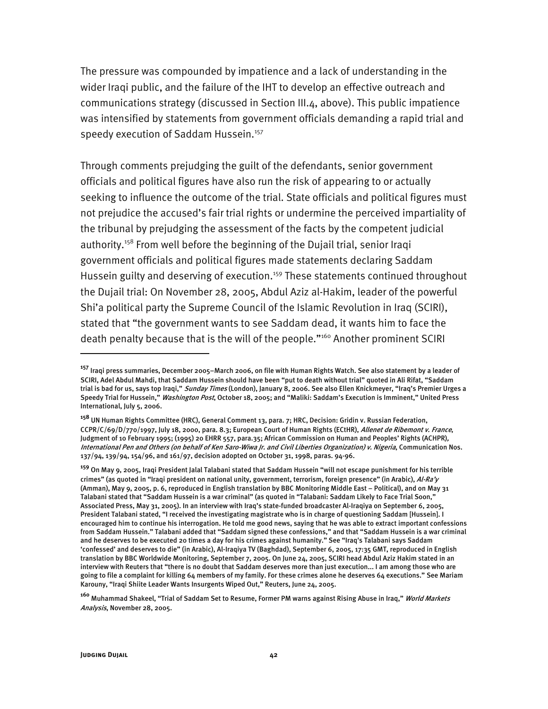The pressure was compounded by impatience and a lack of understanding in the wider Iraqi public, and the failure of the IHT to develop an effective outreach and communications strategy (discussed in Section III.4, above). This public impatience was intensified by statements from government officials demanding a rapid trial and speedy execution of Saddam Hussein.<sup>157</sup>

Through comments prejudging the guilt of the defendants, senior government officials and political figures have also run the risk of appearing to or actually seeking to influence the outcome of the trial. State officials and political figures must not prejudice the accused's fair trial rights or undermine the perceived impartiality of the tribunal by prejudging the assessment of the facts by the competent judicial authority.<sup>158</sup> From well before the beginning of the Dujail trial, senior Iraqi government officials and political figures made statements declaring Saddam Hussein guilty and deserving of execution.<sup>159</sup> These statements continued throughout the Dujail trial: On November 28, 2005, Abdul Aziz al-Hakim, leader of the powerful Shi'a political party the Supreme Council of the Islamic Revolution in Iraq (SCIRI), stated that "the government wants to see Saddam dead, it wants him to face the death penalty because that is the will of the people."160 Another prominent SCIRI

j

**<sup>157</sup>** Iraqi press summaries, December 2005–March 2006, on file with Human Rights Watch. See also statement by a leader of SCIRI, Adel Abdul Mahdi, that Saddam Hussein should have been "put to death without trial" quoted in Ali Rifat, "Saddam trial is bad for us, says top Iraqi," *Sunday Times* (London), January 8, 2006. See also Ellen Knickmeyer, "Iraq's Premier Urges a Speedy Trial for Hussein," Washington Post, October 18, 2005; and "Maliki: Saddam's Execution is Imminent," United Press International, July 5, 2006.

**<sup>158</sup>** UN Human Rights Committee (HRC), General Comment 13, para. 7; HRC, Decision: Gridin v. Russian Federation, CCPR/C/69/D/770/1997, July 18, 2000, para. 8.3; European Court of Human Rights (ECtHR), Allenet de Ribemont v. France, Judgment of 10 February 1995; (1995) 20 EHRR 557, para.35; African Commission on Human and Peoples' Rights (ACHPR), International Pen and Others (on behalf of Ken Saro-Wiwa Jr. and Civil Liberties Organization) v. Nigeria, Communication Nos. 137/94, 139/94, 154/96, and 161/97, decision adopted on October 31, 1998, paras. 94-96.

**<sup>159</sup>** On May 9, 2005, Iraqi President Jalal Talabani stated that Saddam Hussein "will not escape punishment for his terrible crimes" (as quoted in "Iraqi president on national unity, government, terrorism, foreign presence" (in Arabic), Al-Ra'y (Amman), May 9, 2005, p. 6, reproduced in English translation by BBC Monitoring Middle East – Political), and on May 31 Talabani stated that "Saddam Hussein is a war criminal" (as quoted in "Talabani: Saddam Likely to Face Trial Soon," Associated Press, May 31, 2005). In an interview with Iraq's state-funded broadcaster Al-Iraqiya on September 6, 2005, President Talabani stated, "I received the investigating magistrate who is in charge of questioning Saddam [Hussein]. I encouraged him to continue his interrogation. He told me good news, saying that he was able to extract important confessions from Saddam Hussein." Talabani added that "Saddam signed these confessions," and that "Saddam Hussein is a war criminal and he deserves to be executed 20 times a day for his crimes against humanity." See "Iraq's Talabani says Saddam 'confessed' and deserves to die" (in Arabic), Al-Iraqiya TV (Baghdad), September 6, 2005, 17:35 GMT, reproduced in English translation by BBC Worldwide Monitoring, September 7, 2005. On June 24, 2005, SCIRI head Abdul Aziz Hakim stated in an interview with Reuters that "there is no doubt that Saddam deserves more than just execution... I am among those who are going to file a complaint for killing 64 members of my family. For these crimes alone he deserves 64 executions." See Mariam Karouny, "Iraqi Shiite Leader Wants Insurgents Wiped Out," Reuters, June 24, 2005.

**<sup>160</sup>** Muhammad Shakeel, "Trial of Saddam Set to Resume, Former PM warns against Rising Abuse in Iraq," World Markets Analysis, November 28, 2005.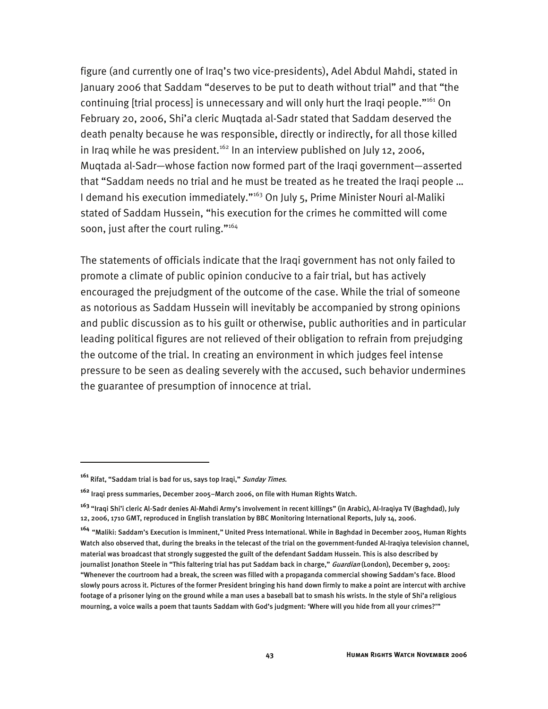figure (and currently one of Iraq's two vice-presidents), Adel Abdul Mahdi, stated in January 2006 that Saddam "deserves to be put to death without trial" and that "the continuing [trial process] is unnecessary and will only hurt the Iraqi people."<sup>161</sup> On February 20, 2006, Shi'a cleric Muqtada al-Sadr stated that Saddam deserved the death penalty because he was responsible, directly or indirectly, for all those killed in Iraq while he was president.<sup>162</sup> In an interview published on July 12, 2006, Muqtada al-Sadr—whose faction now formed part of the Iraqi government—asserted that "Saddam needs no trial and he must be treated as he treated the Iraqi people … I demand his execution immediately."<sup>163</sup> On July 5, Prime Minister Nouri al-Maliki stated of Saddam Hussein, "his execution for the crimes he committed will come soon, just after the court ruling."<sup>164</sup>

The statements of officials indicate that the Iraqi government has not only failed to promote a climate of public opinion conducive to a fair trial, but has actively encouraged the prejudgment of the outcome of the case. While the trial of someone as notorious as Saddam Hussein will inevitably be accompanied by strong opinions and public discussion as to his guilt or otherwise, public authorities and in particular leading political figures are not relieved of their obligation to refrain from prejudging the outcome of the trial. In creating an environment in which judges feel intense pressure to be seen as dealing severely with the accused, such behavior undermines the guarantee of presumption of innocence at trial.

**<sup>161</sup>** Rifat, "Saddam trial is bad for us, says top Iraqi," Sunday Times.

**<sup>162</sup>** Iraqi press summaries, December 2005–March 2006, on file with Human Rights Watch.

**<sup>163</sup>** "Iraqi Shi'i cleric Al-Sadr denies Al-Mahdi Army's involvement in recent killings" (in Arabic), Al-Iraqiya TV (Baghdad), July 12, 2006, 1710 GMT, reproduced in English translation by BBC Monitoring International Reports, July 14, 2006.

**<sup>164</sup>** "Maliki: Saddam's Execution is Imminent," United Press International. While in Baghdad in December 2005, Human Rights Watch also observed that, during the breaks in the telecast of the trial on the government-funded Al-Iraqiya television channel, material was broadcast that strongly suggested the guilt of the defendant Saddam Hussein. This is also described by journalist Jonathon Steele in "This faltering trial has put Saddam back in charge," *Guardian* (London), December 9, 2005: "Whenever the courtroom had a break, the screen was filled with a propaganda commercial showing Saddam's face. Blood slowly pours across it. Pictures of the former President bringing his hand down firmly to make a point are intercut with archive footage of a prisoner lying on the ground while a man uses a baseball bat to smash his wrists. In the style of Shi'a religious mourning, a voice wails a poem that taunts Saddam with God's judgment: 'Where will you hide from all your crimes?'"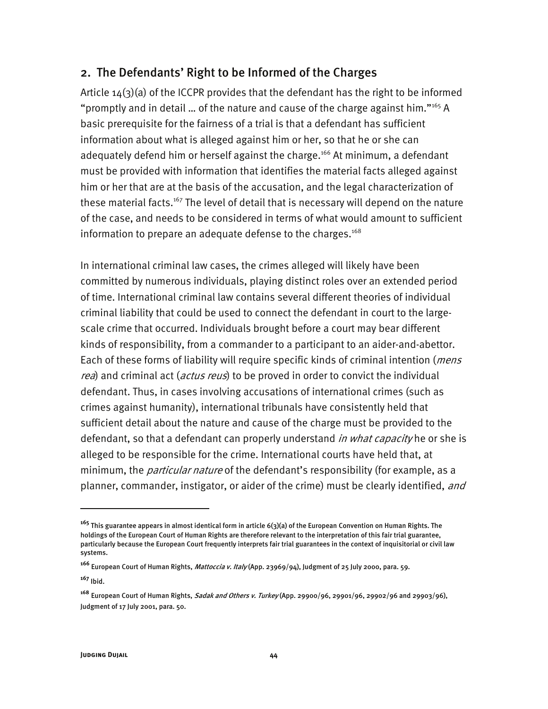### 2. The Defendants' Right to be Informed of the Charges

Article  $14(3)(a)$  of the ICCPR provides that the defendant has the right to be informed "promptly and in detail ... of the nature and cause of the charge against him." $165$  A basic prerequisite for the fairness of a trial is that a defendant has sufficient information about what is alleged against him or her, so that he or she can adequately defend him or herself against the charge.<sup>166</sup> At minimum, a defendant must be provided with information that identifies the material facts alleged against him or her that are at the basis of the accusation, and the legal characterization of these material facts.<sup>167</sup> The level of detail that is necessary will depend on the nature of the case, and needs to be considered in terms of what would amount to sufficient information to prepare an adequate defense to the charges.<sup>168</sup>

In international criminal law cases, the crimes alleged will likely have been committed by numerous individuals, playing distinct roles over an extended period of time. International criminal law contains several different theories of individual criminal liability that could be used to connect the defendant in court to the largescale crime that occurred. Individuals brought before a court may bear different kinds of responsibility, from a commander to a participant to an aider-and-abettor. Each of these forms of liability will require specific kinds of criminal intention (*mens* rea) and criminal act (*actus reus*) to be proved in order to convict the individual defendant. Thus, in cases involving accusations of international crimes (such as crimes against humanity), international tribunals have consistently held that sufficient detail about the nature and cause of the charge must be provided to the defendant, so that a defendant can properly understand *in what capacity* he or she is alleged to be responsible for the crime. International courts have held that, at minimum, the *particular nature* of the defendant's responsibility (for example, as a planner, commander, instigator, or aider of the crime) must be clearly identified, and

**<sup>165</sup>** This guarantee appears in almost identical form in article 6(3)(a) of the European Convention on Human Rights. The holdings of the European Court of Human Rights are therefore relevant to the interpretation of this fair trial guarantee, particularly because the European Court frequently interprets fair trial guarantees in the context of inquisitorial or civil law systems.

**<sup>166</sup>** European Court of Human Rights, Mattoccia v. Italy (App. 23969/94), Judgment of 25 July 2000, para. 59.

**<sup>167</sup>** Ibid.

**<sup>168</sup>** European Court of Human Rights, Sadak and Others v. Turkey (App. 29900/96, 29901/96, 29902/96 and 29903/96), Judgment of 17 July 2001, para. 50.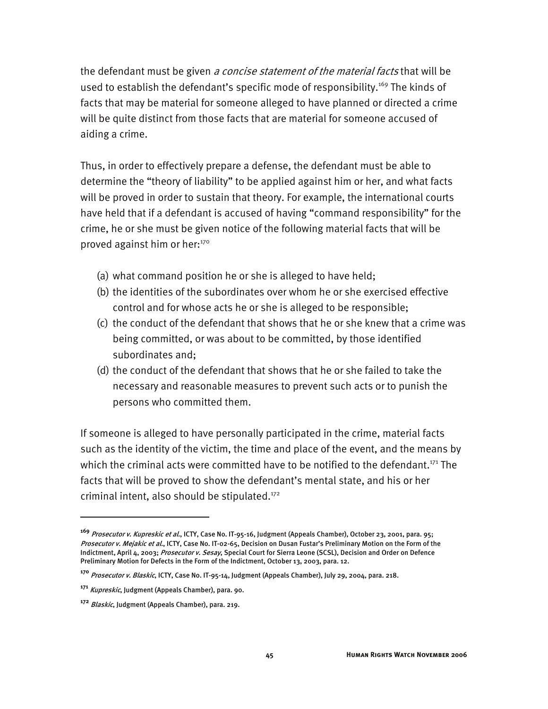the defendant must be given *a concise statement of the material facts* that will be used to establish the defendant's specific mode of responsibility.<sup>169</sup> The kinds of facts that may be material for someone alleged to have planned or directed a crime will be quite distinct from those facts that are material for someone accused of aiding a crime.

Thus, in order to effectively prepare a defense, the defendant must be able to determine the "theory of liability" to be applied against him or her, and what facts will be proved in order to sustain that theory. For example, the international courts have held that if a defendant is accused of having "command responsibility" for the crime, he or she must be given notice of the following material facts that will be proved against him or her:170

- (a) what command position he or she is alleged to have held;
- (b) the identities of the subordinates over whom he or she exercised effective control and for whose acts he or she is alleged to be responsible;
- (c) the conduct of the defendant that shows that he or she knew that a crime was being committed, or was about to be committed, by those identified subordinates and;
- (d) the conduct of the defendant that shows that he or she failed to take the necessary and reasonable measures to prevent such acts or to punish the persons who committed them.

If someone is alleged to have personally participated in the crime, material facts such as the identity of the victim, the time and place of the event, and the means by which the criminal acts were committed have to be notified to the defendant.<sup>171</sup> The facts that will be proved to show the defendant's mental state, and his or her criminal intent, also should be stipulated.<sup>172</sup>

**<sup>169</sup>** Prosecutor v. Kupreskic et al., ICTY, Case No. IT-95-16, Judgment (Appeals Chamber), October 23, 2001, para. 95; Prosecutor v. Mejakic et al., ICTY, Case No. IT-02-65, Decision on Dusan Fustar's Preliminary Motion on the Form of the Indictment, April 4, 2003; Prosecutor v. Sesay, Special Court for Sierra Leone (SCSL), Decision and Order on Defence Preliminary Motion for Defects in the Form of the Indictment, October 13, 2003, para. 12.

**<sup>170</sup>** Prosecutor v. Blaskic, ICTY, Case No. IT-95-14, Judgment (Appeals Chamber), July 29, 2004, para. 218.

**<sup>171</sup>** Kupreskic, Judgment (Appeals Chamber), para. 90.

**<sup>172</sup>** Blaskic, Judgment (Appeals Chamber), para. 219.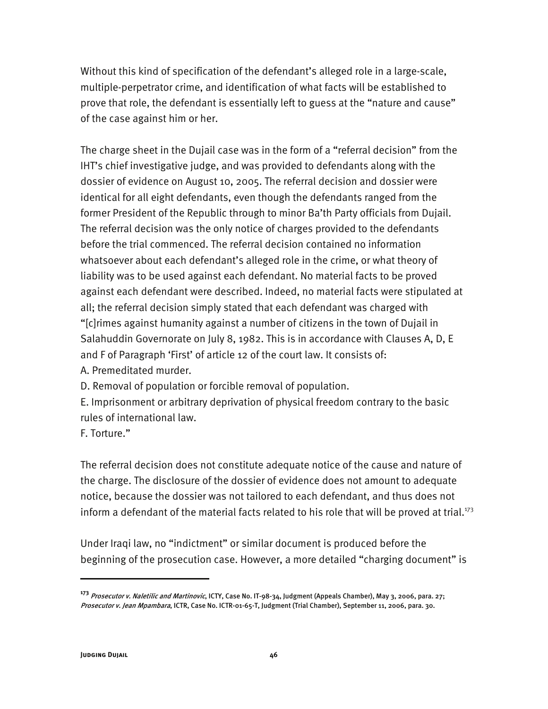Without this kind of specification of the defendant's alleged role in a large-scale, multiple-perpetrator crime, and identification of what facts will be established to prove that role, the defendant is essentially left to guess at the "nature and cause" of the case against him or her.

The charge sheet in the Dujail case was in the form of a "referral decision" from the IHT's chief investigative judge, and was provided to defendants along with the dossier of evidence on August 10, 2005. The referral decision and dossier were identical for all eight defendants, even though the defendants ranged from the former President of the Republic through to minor Ba'th Party officials from Dujail. The referral decision was the only notice of charges provided to the defendants before the trial commenced. The referral decision contained no information whatsoever about each defendant's alleged role in the crime, or what theory of liability was to be used against each defendant. No material facts to be proved against each defendant were described. Indeed, no material facts were stipulated at all; the referral decision simply stated that each defendant was charged with "[c]rimes against humanity against a number of citizens in the town of Dujail in Salahuddin Governorate on July 8, 1982. This is in accordance with Clauses A, D, E and F of Paragraph 'First' of article 12 of the court law. It consists of: A. Premeditated murder.

D. Removal of population or forcible removal of population.

E. Imprisonment or arbitrary deprivation of physical freedom contrary to the basic rules of international law.

F. Torture."

The referral decision does not constitute adequate notice of the cause and nature of the charge. The disclosure of the dossier of evidence does not amount to adequate notice, because the dossier was not tailored to each defendant, and thus does not inform a defendant of the material facts related to his role that will be proved at trial. $173$ 

Under Iraqi law, no "indictment" or similar document is produced before the beginning of the prosecution case. However, a more detailed "charging document" is

**<sup>173</sup>** Prosecutor v. Naletilic and Martinovic, ICTY, Case No. IT-98-34, Judgment (Appeals Chamber), May 3, 2006, para. 27; Prosecutor v. Jean Mpambara, ICTR, Case No. ICTR-01-65-T, Judgment (Trial Chamber), September 11, 2006, para. 30.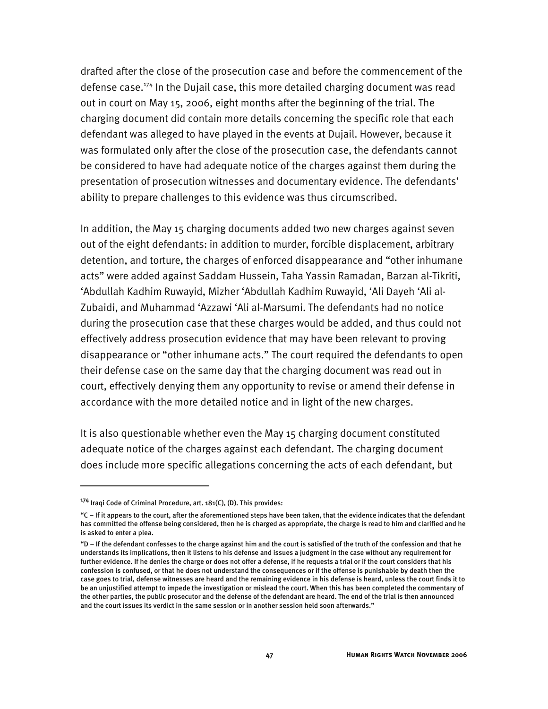drafted after the close of the prosecution case and before the commencement of the defense case.174 In the Dujail case, this more detailed charging document was read out in court on May 15, 2006, eight months after the beginning of the trial. The charging document did contain more details concerning the specific role that each defendant was alleged to have played in the events at Dujail. However, because it was formulated only after the close of the prosecution case, the defendants cannot be considered to have had adequate notice of the charges against them during the presentation of prosecution witnesses and documentary evidence. The defendants' ability to prepare challenges to this evidence was thus circumscribed.

In addition, the May 15 charging documents added two new charges against seven out of the eight defendants: in addition to murder, forcible displacement, arbitrary detention, and torture, the charges of enforced disappearance and "other inhumane acts" were added against Saddam Hussein, Taha Yassin Ramadan, Barzan al-Tikriti, 'Abdullah Kadhim Ruwayid, Mizher 'Abdullah Kadhim Ruwayid, 'Ali Dayeh 'Ali al-Zubaidi, and Muhammad 'Azzawi 'Ali al-Marsumi. The defendants had no notice during the prosecution case that these charges would be added, and thus could not effectively address prosecution evidence that may have been relevant to proving disappearance or "other inhumane acts." The court required the defendants to open their defense case on the same day that the charging document was read out in court, effectively denying them any opportunity to revise or amend their defense in accordance with the more detailed notice and in light of the new charges.

It is also questionable whether even the May 15 charging document constituted adequate notice of the charges against each defendant. The charging document does include more specific allegations concerning the acts of each defendant, but

**<sup>174</sup>** Iraqi Code of Criminal Procedure, art. 181(C), (D). This provides:

<sup>&</sup>quot;C – If it appears to the court, after the aforementioned steps have been taken, that the evidence indicates that the defendant has committed the offense being considered, then he is charged as appropriate, the charge is read to him and clarified and he is asked to enter a plea.

<sup>&</sup>quot;D – If the defendant confesses to the charge against him and the court is satisfied of the truth of the confession and that he understands its implications, then it listens to his defense and issues a judgment in the case without any requirement for further evidence. If he denies the charge or does not offer a defense, if he requests a trial or if the court considers that his confession is confused, or that he does not understand the consequences or if the offense is punishable by death then the case goes to trial, defense witnesses are heard and the remaining evidence in his defense is heard, unless the court finds it to be an unjustified attempt to impede the investigation or mislead the court. When this has been completed the commentary of the other parties, the public prosecutor and the defense of the defendant are heard. The end of the trial is then announced and the court issues its verdict in the same session or in another session held soon afterwards."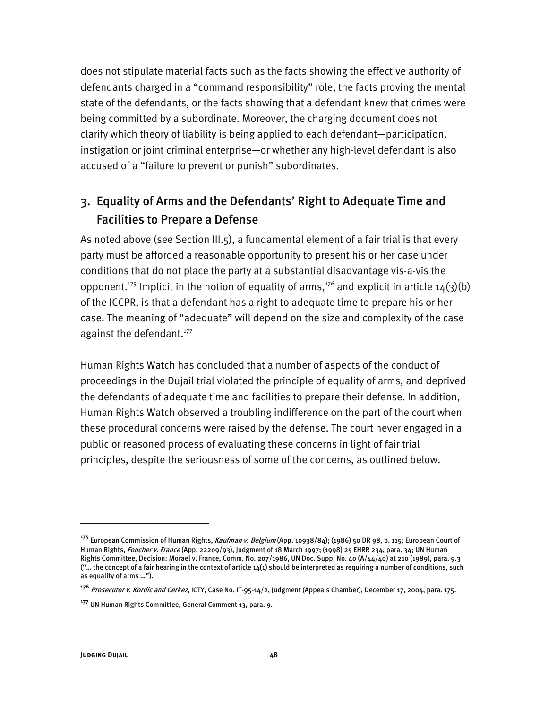does not stipulate material facts such as the facts showing the effective authority of defendants charged in a "command responsibility" role, the facts proving the mental state of the defendants, or the facts showing that a defendant knew that crimes were being committed by a subordinate. Moreover, the charging document does not clarify which theory of liability is being applied to each defendant—participation, instigation or joint criminal enterprise—or whether any high-level defendant is also accused of a "failure to prevent or punish" subordinates.

## 3. Equality of Arms and the Defendants' Right to Adequate Time and Facilities to Prepare a Defense

As noted above (see Section III.5), a fundamental element of a fair trial is that every party must be afforded a reasonable opportunity to present his or her case under conditions that do not place the party at a substantial disadvantage vis-a-vis the opponent.<sup>175</sup> Implicit in the notion of equality of arms,<sup>176</sup> and explicit in article 14(3)(b) of the ICCPR, is that a defendant has a right to adequate time to prepare his or her case. The meaning of "adequate" will depend on the size and complexity of the case against the defendant.<sup>177</sup>

Human Rights Watch has concluded that a number of aspects of the conduct of proceedings in the Dujail trial violated the principle of equality of arms, and deprived the defendants of adequate time and facilities to prepare their defense. In addition, Human Rights Watch observed a troubling indifference on the part of the court when these procedural concerns were raised by the defense. The court never engaged in a public or reasoned process of evaluating these concerns in light of fair trial principles, despite the seriousness of some of the concerns, as outlined below.

**<sup>175</sup>** European Commission of Human Rights, Kaufman v. Belgium (App. 10938/84); (1986) 50 DR 98, p. 115; European Court of Human Rights, *Foucher v. France* (App. 22209/93), Judgment of 18 March 1997; (1998) 25 EHRR 234, para. 34; UN Human Rights Committee, Decision: Morael v. France, Comm. No. 207/1986, UN Doc. Supp. No. 40 (A/44/40) at 210 (1989), para. 9.3 ("... the concept of a fair hearing in the context of article  $14(1)$  should be interpreted as requiring a number of conditions, such as equality of arms …").

**<sup>176</sup>** Prosecutor v. Kordic and Cerkez, ICTY, Case No. IT-95-14/2, Judgment (Appeals Chamber), December 17, 2004, para. 175.

**<sup>177</sup>** UN Human Rights Committee, General Comment 13, para. 9.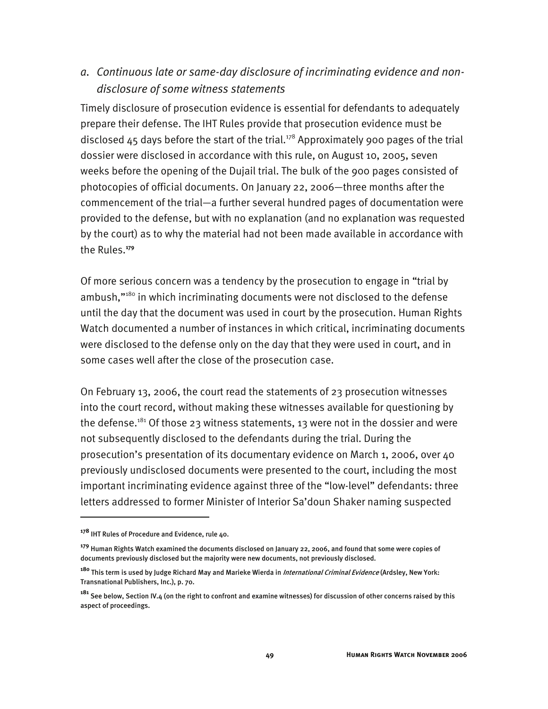### *a. Continuous late or same-day disclosure of incriminating evidence and nondisclosure of some witness statements*

Timely disclosure of prosecution evidence is essential for defendants to adequately prepare their defense. The IHT Rules provide that prosecution evidence must be disclosed  $45$  days before the start of the trial.<sup>178</sup> Approximately 900 pages of the trial dossier were disclosed in accordance with this rule, on August 10, 2005, seven weeks before the opening of the Dujail trial. The bulk of the 900 pages consisted of photocopies of official documents. On January 22, 2006—three months after the commencement of the trial—a further several hundred pages of documentation were provided to the defense, but with no explanation (and no explanation was requested by the court) as to why the material had not been made available in accordance with the Rules.**<sup>179</sup>**

Of more serious concern was a tendency by the prosecution to engage in "trial by ambush,"<sup>180</sup> in which incriminating documents were not disclosed to the defense until the day that the document was used in court by the prosecution. Human Rights Watch documented a number of instances in which critical, incriminating documents were disclosed to the defense only on the day that they were used in court, and in some cases well after the close of the prosecution case.

On February 13, 2006, the court read the statements of 23 prosecution witnesses into the court record, without making these witnesses available for questioning by the defense.<sup>181</sup> Of those 23 witness statements, 13 were not in the dossier and were not subsequently disclosed to the defendants during the trial. During the prosecution's presentation of its documentary evidence on March 1, 2006, over 40 previously undisclosed documents were presented to the court, including the most important incriminating evidence against three of the "low-level" defendants: three letters addressed to former Minister of Interior Sa'doun Shaker naming suspected

**<sup>178</sup>** IHT Rules of Procedure and Evidence, rule 40.

**<sup>179</sup>** Human Rights Watch examined the documents disclosed on January 22, 2006, and found that some were copies of documents previously disclosed but the majority were new documents, not previously disclosed.

**<sup>180</sup>** This term is used by Judge Richard May and Marieke Wierda in International Criminal Evidence (Ardsley, New York: Transnational Publishers, Inc.), p. 70.

**<sup>181</sup>** See below, Section IV.4 (on the right to confront and examine witnesses) for discussion of other concerns raised by this aspect of proceedings.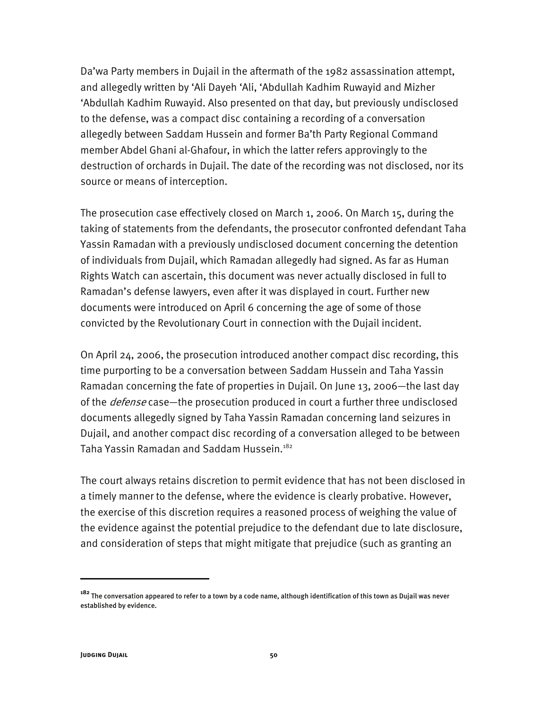Da'wa Party members in Dujail in the aftermath of the 1982 assassination attempt, and allegedly written by 'Ali Dayeh 'Ali, 'Abdullah Kadhim Ruwayid and Mizher 'Abdullah Kadhim Ruwayid. Also presented on that day, but previously undisclosed to the defense, was a compact disc containing a recording of a conversation allegedly between Saddam Hussein and former Ba'th Party Regional Command member Abdel Ghani al-Ghafour, in which the latter refers approvingly to the destruction of orchards in Dujail. The date of the recording was not disclosed, nor its source or means of interception.

The prosecution case effectively closed on March 1, 2006. On March 15, during the taking of statements from the defendants, the prosecutor confronted defendant Taha Yassin Ramadan with a previously undisclosed document concerning the detention of individuals from Dujail, which Ramadan allegedly had signed. As far as Human Rights Watch can ascertain, this document was never actually disclosed in full to Ramadan's defense lawyers, even after it was displayed in court. Further new documents were introduced on April 6 concerning the age of some of those convicted by the Revolutionary Court in connection with the Dujail incident.

On April 24, 2006, the prosecution introduced another compact disc recording, this time purporting to be a conversation between Saddam Hussein and Taha Yassin Ramadan concerning the fate of properties in Dujail. On June 13, 2006—the last day of the *defense* case—the prosecution produced in court a further three undisclosed documents allegedly signed by Taha Yassin Ramadan concerning land seizures in Dujail, and another compact disc recording of a conversation alleged to be between Taha Yassin Ramadan and Saddam Hussein.<sup>182</sup>

The court always retains discretion to permit evidence that has not been disclosed in a timely manner to the defense, where the evidence is clearly probative. However, the exercise of this discretion requires a reasoned process of weighing the value of the evidence against the potential prejudice to the defendant due to late disclosure, and consideration of steps that might mitigate that prejudice (such as granting an

**<sup>182</sup>** The conversation appeared to refer to a town by a code name, although identification of this town as Dujail was never established by evidence.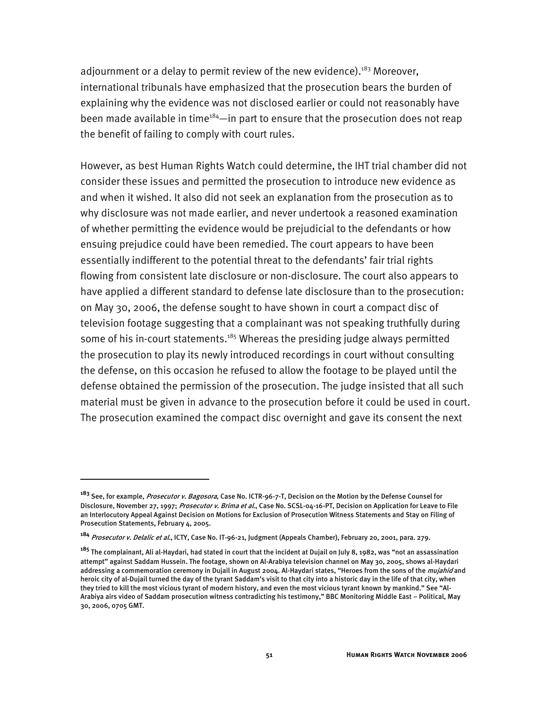adjournment or a delay to permit review of the new evidence).<sup>183</sup> Moreover, international tribunals have emphasized that the prosecution bears the burden of explaining why the evidence was not disclosed earlier or could not reasonably have been made available in time $184$ —in part to ensure that the prosecution does not reap the benefit of failing to comply with court rules.

However, as best Human Rights Watch could determine, the IHT trial chamber did not consider these issues and permitted the prosecution to introduce new evidence as and when it wished. It also did not seek an explanation from the prosecution as to why disclosure was not made earlier, and never undertook a reasoned examination of whether permitting the evidence would be prejudicial to the defendants or how ensuing prejudice could have been remedied. The court appears to have been essentially indifferent to the potential threat to the defendants' fair trial rights flowing from consistent late disclosure or non-disclosure. The court also appears to have applied a different standard to defense late disclosure than to the prosecution: on May 30, 2006, the defense sought to have shown in court a compact disc of television footage suggesting that a complainant was not speaking truthfully during some of his in-court statements.<sup>185</sup> Whereas the presiding judge always permitted the prosecution to play its newly introduced recordings in court without consulting the defense, on this occasion he refused to allow the footage to be played until the defense obtained the permission of the prosecution. The judge insisted that all such material must be given in advance to the prosecution before it could be used in court. The prosecution examined the compact disc overnight and gave its consent the next

**<sup>183</sup>** See, for example, Prosecutor v. Bagosora, Case No. ICTR-96-7-T, Decision on the Motion by the Defense Counsel for Disclosure, November 27, 1997; Prosecutor v. Brima et al., Case No. SCSL-04-16-PT, Decision on Application for Leave to File an Interlocutory Appeal Against Decision on Motions for Exclusion of Prosecution Witness Statements and Stay on Filing of Prosecution Statements, February 4, 2005.

**<sup>184</sup>** Prosecutor v. Delalic et al., ICTY, Case No. IT-96-21, Judgment (Appeals Chamber), February 20, 2001, para. 279.

**<sup>185</sup>** The complainant, Ali al-Haydari, had stated in court that the incident at Dujail on July 8, 1982, was "not an assassination attempt" against Saddam Hussein. The footage, shown on Al-Arabiya television channel on May 30, 2005, shows al-Haydari addressing a commemoration ceremony in Dujail in August 2004. Al-Haydari states, "Heroes from the sons of the *mujahid* and heroic city of al-Dujail turned the day of the tyrant Saddam's visit to that city into a historic day in the life of that city, when they tried to kill the most vicious tyrant of modern history, and even the most vicious tyrant known by mankind." See "Al-Arabiya airs video of Saddam prosecution witness contradicting his testimony," BBC Monitoring Middle East – Political, May 30, 2006, 0705 GMT.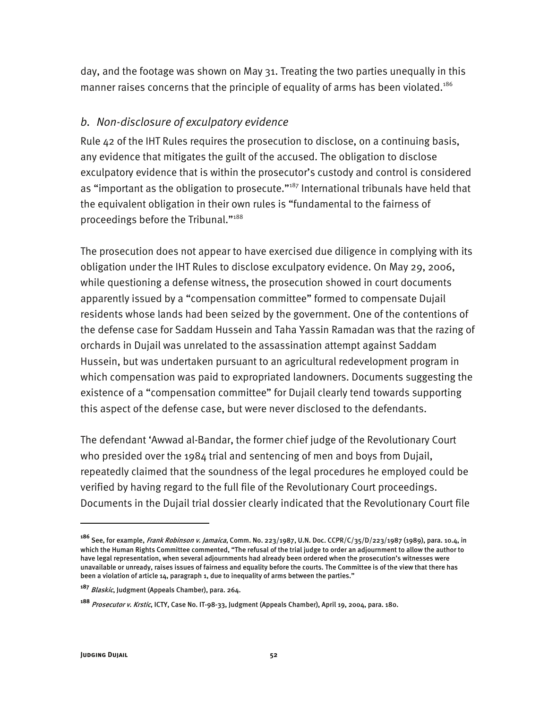day, and the footage was shown on May 31. Treating the two parties unequally in this manner raises concerns that the principle of equality of arms has been violated.<sup>186</sup>

### *b. Non-disclosure of exculpatory evidence*

Rule 42 of the IHT Rules requires the prosecution to disclose, on a continuing basis, any evidence that mitigates the guilt of the accused. The obligation to disclose exculpatory evidence that is within the prosecutor's custody and control is considered as "important as the obligation to prosecute."<sup>187</sup> International tribunals have held that the equivalent obligation in their own rules is "fundamental to the fairness of proceedings before the Tribunal."188

The prosecution does not appear to have exercised due diligence in complying with its obligation under the IHT Rules to disclose exculpatory evidence. On May 29, 2006, while questioning a defense witness, the prosecution showed in court documents apparently issued by a "compensation committee" formed to compensate Dujail residents whose lands had been seized by the government. One of the contentions of the defense case for Saddam Hussein and Taha Yassin Ramadan was that the razing of orchards in Dujail was unrelated to the assassination attempt against Saddam Hussein, but was undertaken pursuant to an agricultural redevelopment program in which compensation was paid to expropriated landowners. Documents suggesting the existence of a "compensation committee" for Dujail clearly tend towards supporting this aspect of the defense case, but were never disclosed to the defendants.

The defendant 'Awwad al-Bandar, the former chief judge of the Revolutionary Court who presided over the 1984 trial and sentencing of men and boys from Dujail, repeatedly claimed that the soundness of the legal procedures he employed could be verified by having regard to the full file of the Revolutionary Court proceedings. Documents in the Dujail trial dossier clearly indicated that the Revolutionary Court file

**<sup>186</sup>** See, for example, Frank Robinson v. Jamaica, Comm. No. 223/1987, U.N. Doc. CCPR/C/35/D/223/1987 (1989), para. 10.4, in which the Human Rights Committee commented, "The refusal of the trial judge to order an adjournment to allow the author to have legal representation, when several adjournments had already been ordered when the prosecution's witnesses were unavailable or unready, raises issues of fairness and equality before the courts. The Committee is of the view that there has been a violation of article 14, paragraph 1, due to inequality of arms between the parties."

**<sup>187</sup>** Blaskic, Judgment (Appeals Chamber), para. 264.

**<sup>188</sup>** Prosecutor v. Krstic, ICTY, Case No. IT-98-33, Judgment (Appeals Chamber), April 19, 2004, para. 180.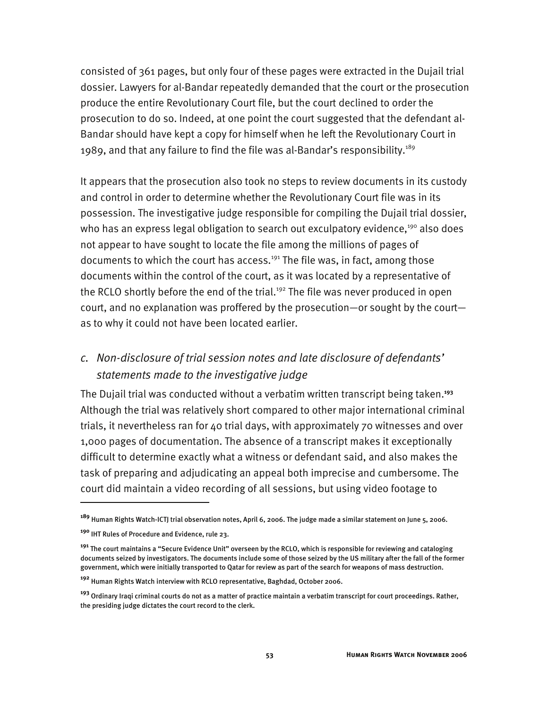consisted of 361 pages, but only four of these pages were extracted in the Dujail trial dossier. Lawyers for al-Bandar repeatedly demanded that the court or the prosecution produce the entire Revolutionary Court file, but the court declined to order the prosecution to do so. Indeed, at one point the court suggested that the defendant al-Bandar should have kept a copy for himself when he left the Revolutionary Court in 1989, and that any failure to find the file was al-Bandar's responsibility.<sup>189</sup>

It appears that the prosecution also took no steps to review documents in its custody and control in order to determine whether the Revolutionary Court file was in its possession. The investigative judge responsible for compiling the Dujail trial dossier, who has an express legal obligation to search out exculpatory evidence, $190$  also does not appear to have sought to locate the file among the millions of pages of documents to which the court has access.<sup>191</sup> The file was, in fact, among those documents within the control of the court, as it was located by a representative of the RCLO shortly before the end of the trial.<sup>192</sup> The file was never produced in open court, and no explanation was proffered by the prosecution—or sought by the court as to why it could not have been located earlier.

## *c. Non-disclosure of trial session notes and late disclosure of defendants' statements made to the investigative judge*

The Dujail trial was conducted without a verbatim written transcript being taken.**<sup>193</sup>** Although the trial was relatively short compared to other major international criminal trials, it nevertheless ran for 40 trial days, with approximately 70 witnesses and over 1,000 pages of documentation. The absence of a transcript makes it exceptionally difficult to determine exactly what a witness or defendant said, and also makes the task of preparing and adjudicating an appeal both imprecise and cumbersome. The court did maintain a video recording of all sessions, but using video footage to

**<sup>189</sup>** Human Rights Watch-ICTJ trial observation notes, April 6, 2006. The judge made a similar statement on June 5, 2006.

**<sup>190</sup>** IHT Rules of Procedure and Evidence, rule 23.

**<sup>191</sup>** The court maintains a "Secure Evidence Unit" overseen by the RCLO, which is responsible for reviewing and cataloging documents seized by investigators. The documents include some of those seized by the US military after the fall of the former government, which were initially transported to Qatar for review as part of the search for weapons of mass destruction.

**<sup>192</sup>** Human Rights Watch interview with RCLO representative, Baghdad, October 2006.

**<sup>193</sup>** Ordinary Iraqi criminal courts do not as a matter of practice maintain a verbatim transcript for court proceedings. Rather, the presiding judge dictates the court record to the clerk.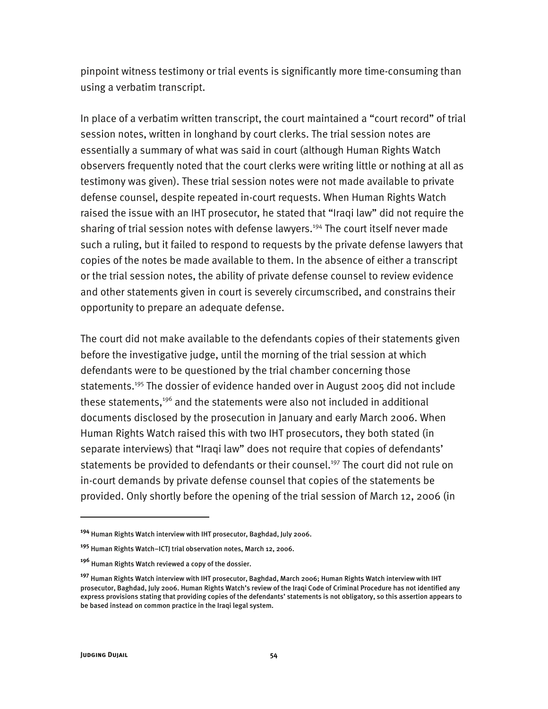pinpoint witness testimony or trial events is significantly more time-consuming than using a verbatim transcript.

In place of a verbatim written transcript, the court maintained a "court record" of trial session notes, written in longhand by court clerks. The trial session notes are essentially a summary of what was said in court (although Human Rights Watch observers frequently noted that the court clerks were writing little or nothing at all as testimony was given). These trial session notes were not made available to private defense counsel, despite repeated in-court requests. When Human Rights Watch raised the issue with an IHT prosecutor, he stated that "Iraqi law" did not require the sharing of trial session notes with defense lawyers.<sup>194</sup> The court itself never made such a ruling, but it failed to respond to requests by the private defense lawyers that copies of the notes be made available to them. In the absence of either a transcript or the trial session notes, the ability of private defense counsel to review evidence and other statements given in court is severely circumscribed, and constrains their opportunity to prepare an adequate defense.

The court did not make available to the defendants copies of their statements given before the investigative judge, until the morning of the trial session at which defendants were to be questioned by the trial chamber concerning those statements.<sup>195</sup> The dossier of evidence handed over in August 2005 did not include these statements,<sup>196</sup> and the statements were also not included in additional documents disclosed by the prosecution in January and early March 2006. When Human Rights Watch raised this with two IHT prosecutors, they both stated (in separate interviews) that "Iraqi law" does not require that copies of defendants' statements be provided to defendants or their counsel.<sup>197</sup> The court did not rule on in-court demands by private defense counsel that copies of the statements be provided. Only shortly before the opening of the trial session of March 12, 2006 (in

**<sup>194</sup>** Human Rights Watch interview with IHT prosecutor, Baghdad, July 2006.

**<sup>195</sup>** Human Rights Watch–ICTJ trial observation notes, March 12, 2006.

**<sup>196</sup>** Human Rights Watch reviewed a copy of the dossier.

**<sup>197</sup>** Human Rights Watch interview with IHT prosecutor, Baghdad, March 2006; Human Rights Watch interview with IHT prosecutor, Baghdad, July 2006. Human Rights Watch's review of the Iraqi Code of Criminal Procedure has not identified any express provisions stating that providing copies of the defendants' statements is not obligatory, so this assertion appears to be based instead on common practice in the Iraqi legal system.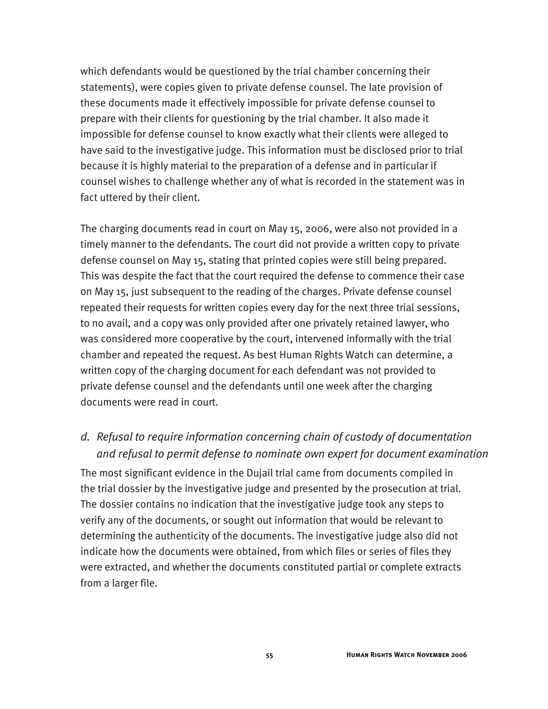which defendants would be questioned by the trial chamber concerning their statements), were copies given to private defense counsel. The late provision of these documents made it effectively impossible for private defense counsel to prepare with their clients for questioning by the trial chamber. It also made it impossible for defense counsel to know exactly what their clients were alleged to have said to the investigative judge. This information must be disclosed prior to trial because it is highly material to the preparation of a defense and in particular if counsel wishes to challenge whether any of what is recorded in the statement was in fact uttered by their client.

The charging documents read in court on May 15, 2006, were also not provided in a timely manner to the defendants. The court did not provide a written copy to private defense counsel on May 15, stating that printed copies were still being prepared. This was despite the fact that the court required the defense to commence their case on May 15, just subsequent to the reading of the charges. Private defense counsel repeated their requests for written copies every day for the next three trial sessions, to no avail, and a copy was only provided after one privately retained lawyer, who was considered more cooperative by the court, intervened informally with the trial chamber and repeated the request. As best Human Rights Watch can determine, a written copy of the charging document for each defendant was not provided to private defense counsel and the defendants until one week after the charging documents were read in court.

## *d. Refusal to require information concerning chain of custody of documentation and refusal to permit defense to nominate own expert for document examination*

The most significant evidence in the Dujail trial came from documents compiled in the trial dossier by the investigative judge and presented by the prosecution at trial. The dossier contains no indication that the investigative judge took any steps to verify any of the documents, or sought out information that would be relevant to determining the authenticity of the documents. The investigative judge also did not indicate how the documents were obtained, from which files or series of files they were extracted, and whether the documents constituted partial or complete extracts from a larger file.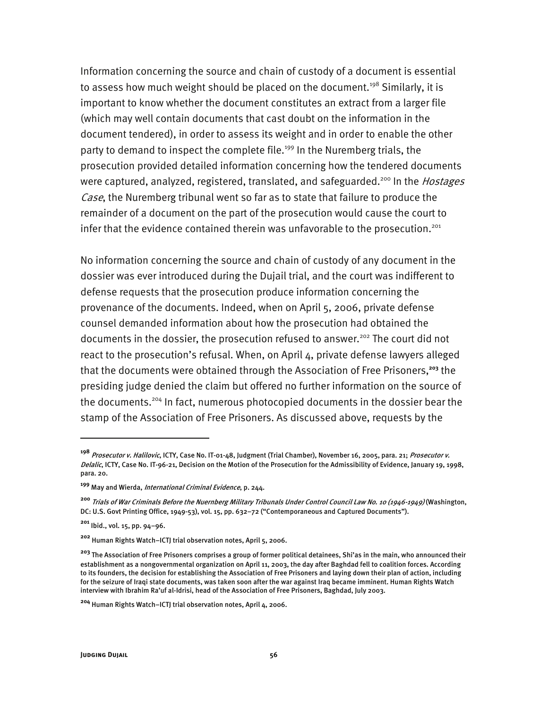Information concerning the source and chain of custody of a document is essential to assess how much weight should be placed on the document.<sup>198</sup> Similarly, it is important to know whether the document constitutes an extract from a larger file (which may well contain documents that cast doubt on the information in the document tendered), in order to assess its weight and in order to enable the other party to demand to inspect the complete file.<sup>199</sup> In the Nuremberg trials, the prosecution provided detailed information concerning how the tendered documents were captured, analyzed, registered, translated, and safeguarded.<sup>200</sup> In the *Hostages* Case, the Nuremberg tribunal went so far as to state that failure to produce the remainder of a document on the part of the prosecution would cause the court to infer that the evidence contained therein was unfavorable to the prosecution.<sup>201</sup>

No information concerning the source and chain of custody of any document in the dossier was ever introduced during the Dujail trial, and the court was indifferent to defense requests that the prosecution produce information concerning the provenance of the documents. Indeed, when on April 5, 2006, private defense counsel demanded information about how the prosecution had obtained the documents in the dossier, the prosecution refused to answer.<sup>202</sup> The court did not react to the prosecution's refusal. When, on April 4, private defense lawyers alleged that the documents were obtained through the Association of Free Prisoners,**<sup>203</sup>** the presiding judge denied the claim but offered no further information on the source of the documents.204 In fact, numerous photocopied documents in the dossier bear the stamp of the Association of Free Prisoners. As discussed above, requests by the

j

**<sup>198</sup>** Prosecutor v. Halilovic, ICTY, Case No. IT-01-48, Judgment (Trial Chamber), November 16, 2005, para. 21; Prosecutor v. Delalic, ICTY, Case No. IT-96-21, Decision on the Motion of the Prosecution for the Admissibility of Evidence, January 19, 1998, para. 20.

**<sup>199</sup>** May and Wierda, International Criminal Evidence, p. 244.

**<sup>200</sup>** Trials of War Criminals Before the Nuernberg Military Tribunals Under Control Council Law No. 10 (1946-1949) (Washington, DC: U.S. Govt Printing Office, 1949-53), vol. 15, pp. 632–72 ("Contemporaneous and Captured Documents").

**<sup>201</sup>** Ibid., vol. 15, pp. 94–96.

**<sup>202</sup>** Human Rights Watch–ICTJ trial observation notes, April 5, 2006.

**<sup>203</sup>** The Association of Free Prisoners comprises a group of former political detainees, Shi'as in the main, who announced their establishment as a nongovernmental organization on April 11, 2003, the day after Baghdad fell to coalition forces. According to its founders, the decision for establishing the Association of Free Prisoners and laying down their plan of action, including for the seizure of Iraqi state documents, was taken soon after the war against Iraq became imminent. Human Rights Watch interview with Ibrahim Ra'uf al-Idrisi, head of the Association of Free Prisoners, Baghdad, July 2003.

**<sup>204</sup>** Human Rights Watch–ICTJ trial observation notes, April 4, 2006.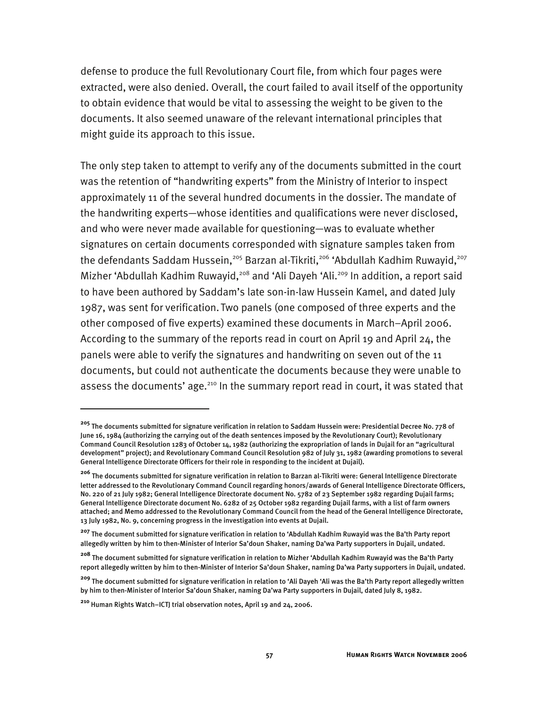defense to produce the full Revolutionary Court file, from which four pages were extracted, were also denied. Overall, the court failed to avail itself of the opportunity to obtain evidence that would be vital to assessing the weight to be given to the documents. It also seemed unaware of the relevant international principles that might guide its approach to this issue.

The only step taken to attempt to verify any of the documents submitted in the court was the retention of "handwriting experts" from the Ministry of Interior to inspect approximately 11 of the several hundred documents in the dossier. The mandate of the handwriting experts—whose identities and qualifications were never disclosed, and who were never made available for questioning—was to evaluate whether signatures on certain documents corresponded with signature samples taken from the defendants Saddam Hussein,<sup>205</sup> Barzan al-Tikriti,<sup>206</sup> 'Abdullah Kadhim Ruwayid,<sup>207</sup> Mizher 'Abdullah Kadhim Ruwayid,<sup>208</sup> and 'Ali Dayeh 'Ali.<sup>209</sup> In addition, a report said to have been authored by Saddam's late son-in-law Hussein Kamel, and dated July 1987, was sent for verification. Two panels (one composed of three experts and the other composed of five experts) examined these documents in March–April 2006. According to the summary of the reports read in court on April 19 and April 24, the panels were able to verify the signatures and handwriting on seven out of the 11 documents, but could not authenticate the documents because they were unable to assess the documents' age.<sup>210</sup> In the summary report read in court, it was stated that

**<sup>205</sup>** The documents submitted for signature verification in relation to Saddam Hussein were: Presidential Decree No. 778 of June 16, 1984 (authorizing the carrying out of the death sentences imposed by the Revolutionary Court); Revolutionary Command Council Resolution 1283 of October 14, 1982 (authorizing the expropriation of lands in Dujail for an "agricultural development" project); and Revolutionary Command Council Resolution 982 of July 31, 1982 (awarding promotions to several General Intelligence Directorate Officers for their role in responding to the incident at Dujail).

**<sup>206</sup>** The documents submitted for signature verification in relation to Barzan al-Tikriti were: General Intelligence Directorate letter addressed to the Revolutionary Command Council regarding honors/awards of General Intelligence Directorate Officers, No. 220 of 21 July 1982; General Intelligence Directorate document No. 5782 of 23 September 1982 regarding Dujail farms; General Intelligence Directorate document No. 6282 of 25 October 1982 regarding Dujail farms, with a list of farm owners attached; and Memo addressed to the Revolutionary Command Council from the head of the General Intelligence Directorate, 13 July 1982, No. 9, concerning progress in the investigation into events at Dujail.

**<sup>207</sup>** The document submitted for signature verification in relation to 'Abdullah Kadhim Ruwayid was the Ba'th Party report allegedly written by him to then-Minister of Interior Sa'doun Shaker, naming Da'wa Party supporters in Dujail, undated.

**<sup>208</sup>** The document submitted for signature verification in relation to Mizher 'Abdullah Kadhim Ruwayid was the Ba'th Party report allegedly written by him to then-Minister of Interior Sa'doun Shaker, naming Da'wa Party supporters in Dujail, undated.

**<sup>209</sup>** The document submitted for signature verification in relation to 'Ali Dayeh 'Ali was the Ba'th Party report allegedly written by him to then-Minister of Interior Sa'doun Shaker, naming Da'wa Party supporters in Dujail, dated July 8, 1982.

**<sup>210</sup>** Human Rights Watch–ICTJ trial observation notes, April 19 and 24, 2006.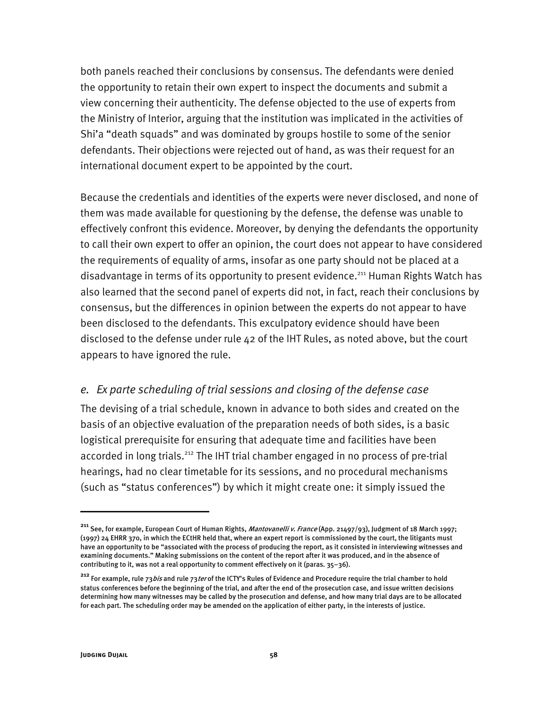both panels reached their conclusions by consensus. The defendants were denied the opportunity to retain their own expert to inspect the documents and submit a view concerning their authenticity. The defense objected to the use of experts from the Ministry of Interior, arguing that the institution was implicated in the activities of Shi'a "death squads" and was dominated by groups hostile to some of the senior defendants. Their objections were rejected out of hand, as was their request for an international document expert to be appointed by the court.

Because the credentials and identities of the experts were never disclosed, and none of them was made available for questioning by the defense, the defense was unable to effectively confront this evidence. Moreover, by denying the defendants the opportunity to call their own expert to offer an opinion, the court does not appear to have considered the requirements of equality of arms, insofar as one party should not be placed at a disadvantage in terms of its opportunity to present evidence.<sup>211</sup> Human Rights Watch has also learned that the second panel of experts did not, in fact, reach their conclusions by consensus, but the differences in opinion between the experts do not appear to have been disclosed to the defendants. This exculpatory evidence should have been disclosed to the defense under rule 42 of the IHT Rules, as noted above, but the court appears to have ignored the rule.

#### *e. Ex parte scheduling of trial sessions and closing of the defense case*

The devising of a trial schedule, known in advance to both sides and created on the basis of an objective evaluation of the preparation needs of both sides, is a basic logistical prerequisite for ensuring that adequate time and facilities have been accorded in long trials.<sup>212</sup> The IHT trial chamber engaged in no process of pre-trial hearings, had no clear timetable for its sessions, and no procedural mechanisms (such as "status conferences") by which it might create one: it simply issued the

<sup>&</sup>lt;sup>211</sup> See, for example, European Court of Human Rights, *Mantovanelli v. France* (App. 21497/93), Judgment of 18 March 1997; (1997) 24 EHRR 370, in which the ECtHR held that, where an expert report is commissioned by the court, the litigants must have an opportunity to be "associated with the process of producing the report, as it consisted in interviewing witnesses and examining documents." Making submissions on the content of the report after it was produced, and in the absence of contributing to it, was not a real opportunity to comment effectively on it (paras. 35–36).

<sup>&</sup>lt;sup>212</sup> For example, rule 73*bis* and rule 73*ter* of the ICTY's Rules of Evidence and Procedure require the trial chamber to hold status conferences before the beginning of the trial, and after the end of the prosecution case, and issue written decisions determining how many witnesses may be called by the prosecution and defense, and how many trial days are to be allocated for each part. The scheduling order may be amended on the application of either party, in the interests of justice.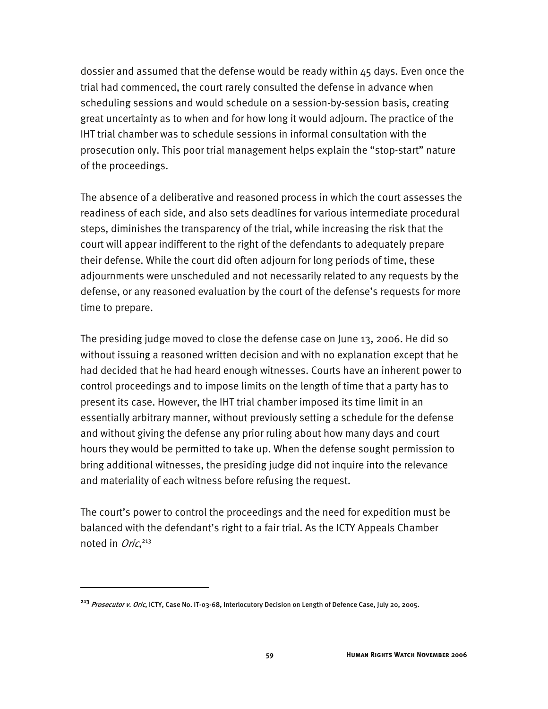dossier and assumed that the defense would be ready within 45 days. Even once the trial had commenced, the court rarely consulted the defense in advance when scheduling sessions and would schedule on a session-by-session basis, creating great uncertainty as to when and for how long it would adjourn. The practice of the IHT trial chamber was to schedule sessions in informal consultation with the prosecution only. This poor trial management helps explain the "stop-start" nature of the proceedings.

The absence of a deliberative and reasoned process in which the court assesses the readiness of each side, and also sets deadlines for various intermediate procedural steps, diminishes the transparency of the trial, while increasing the risk that the court will appear indifferent to the right of the defendants to adequately prepare their defense. While the court did often adjourn for long periods of time, these adjournments were unscheduled and not necessarily related to any requests by the defense, or any reasoned evaluation by the court of the defense's requests for more time to prepare.

The presiding judge moved to close the defense case on June 13, 2006. He did so without issuing a reasoned written decision and with no explanation except that he had decided that he had heard enough witnesses. Courts have an inherent power to control proceedings and to impose limits on the length of time that a party has to present its case. However, the IHT trial chamber imposed its time limit in an essentially arbitrary manner, without previously setting a schedule for the defense and without giving the defense any prior ruling about how many days and court hours they would be permitted to take up. When the defense sought permission to bring additional witnesses, the presiding judge did not inquire into the relevance and materiality of each witness before refusing the request.

The court's power to control the proceedings and the need for expedition must be balanced with the defendant's right to a fair trial. As the ICTY Appeals Chamber noted in Oric,<sup>213</sup>

**<sup>213</sup>** Prosecutor v. Oric, ICTY, Case No. IT-03-68, Interlocutory Decision on Length of Defence Case, July 20, 2005.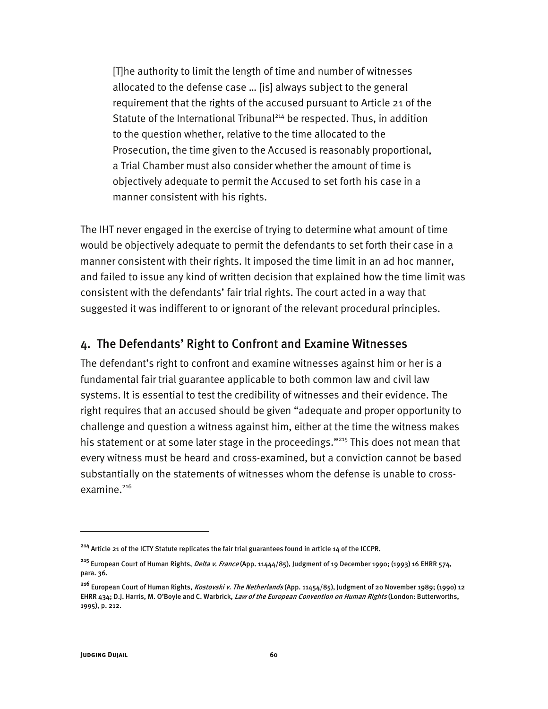[T]he authority to limit the length of time and number of witnesses allocated to the defense case … [is] always subject to the general requirement that the rights of the accused pursuant to Article 21 of the Statute of the International Tribunal<sup>214</sup> be respected. Thus, in addition to the question whether, relative to the time allocated to the Prosecution, the time given to the Accused is reasonably proportional, a Trial Chamber must also consider whether the amount of time is objectively adequate to permit the Accused to set forth his case in a manner consistent with his rights.

The IHT never engaged in the exercise of trying to determine what amount of time would be objectively adequate to permit the defendants to set forth their case in a manner consistent with their rights. It imposed the time limit in an ad hoc manner, and failed to issue any kind of written decision that explained how the time limit was consistent with the defendants' fair trial rights. The court acted in a way that suggested it was indifferent to or ignorant of the relevant procedural principles.

### 4. The Defendants' Right to Confront and Examine Witnesses

The defendant's right to confront and examine witnesses against him or her is a fundamental fair trial guarantee applicable to both common law and civil law systems. It is essential to test the credibility of witnesses and their evidence. The right requires that an accused should be given "adequate and proper opportunity to challenge and question a witness against him, either at the time the witness makes his statement or at some later stage in the proceedings."<sup>215</sup> This does not mean that every witness must be heard and cross-examined, but a conviction cannot be based substantially on the statements of witnesses whom the defense is unable to crossexamine.<sup>216</sup>

**<sup>214</sup>** Article 21 of the ICTY Statute replicates the fair trial guarantees found in article 14 of the ICCPR.

**<sup>215</sup>** European Court of Human Rights, Delta v. France (App. 11444/85), Judgment of 19 December 1990; (1993) 16 EHRR 574, para. 36.

**<sup>216</sup>** European Court of Human Rights, Kostovski v. The Netherlands (App. 11454/85), Judgment of 20 November 1989; (1990) 12 EHRR 434; D.J. Harris, M. O'Boyle and C. Warbrick, *Law of the European Convention on Human Rights* (London: Butterworths, 1995), p. 212.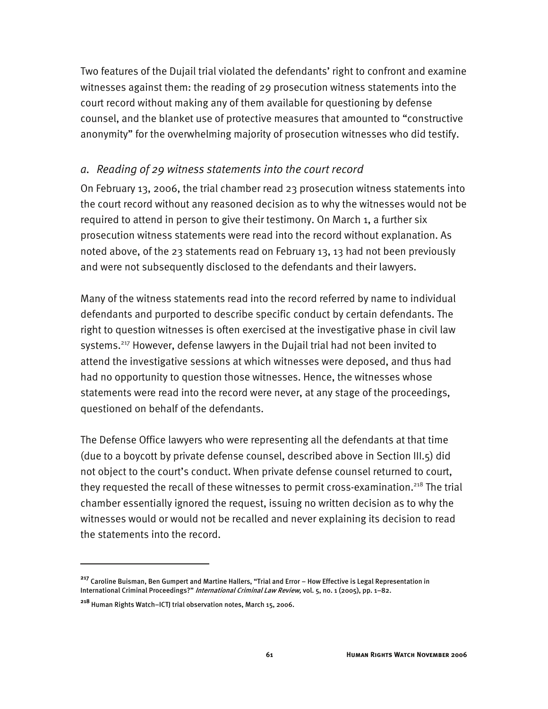Two features of the Dujail trial violated the defendants' right to confront and examine witnesses against them: the reading of 29 prosecution witness statements into the court record without making any of them available for questioning by defense counsel, and the blanket use of protective measures that amounted to "constructive anonymity" for the overwhelming majority of prosecution witnesses who did testify.

#### *a. Reading of 29 witness statements into the court record*

On February 13, 2006, the trial chamber read 23 prosecution witness statements into the court record without any reasoned decision as to why the witnesses would not be required to attend in person to give their testimony. On March 1, a further six prosecution witness statements were read into the record without explanation. As noted above, of the 23 statements read on February 13, 13 had not been previously and were not subsequently disclosed to the defendants and their lawyers.

Many of the witness statements read into the record referred by name to individual defendants and purported to describe specific conduct by certain defendants. The right to question witnesses is often exercised at the investigative phase in civil law systems.<sup>217</sup> However, defense lawyers in the Dujail trial had not been invited to attend the investigative sessions at which witnesses were deposed, and thus had had no opportunity to question those witnesses. Hence, the witnesses whose statements were read into the record were never, at any stage of the proceedings, questioned on behalf of the defendants.

The Defense Office lawyers who were representing all the defendants at that time (due to a boycott by private defense counsel, described above in Section III.5) did not object to the court's conduct. When private defense counsel returned to court, they requested the recall of these witnesses to permit cross-examination.<sup>218</sup> The trial chamber essentially ignored the request, issuing no written decision as to why the witnesses would or would not be recalled and never explaining its decision to read the statements into the record.

**<sup>217</sup>** Caroline Buisman, Ben Gumpert and Martine Hallers, "Trial and Error – How Effective is Legal Representation in International Criminal Proceedings?" International Criminal Law Review, vol. 5, no. 1 (2005), pp. 1-82.

**<sup>218</sup>** Human Rights Watch–ICTJ trial observation notes, March 15, 2006.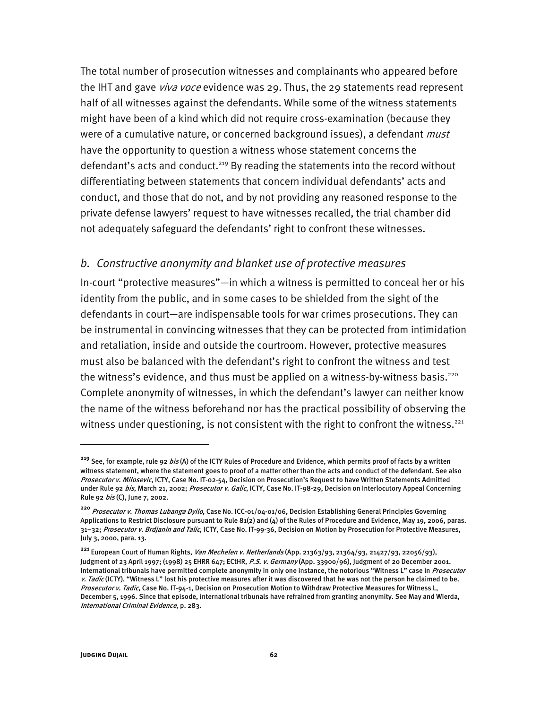The total number of prosecution witnesses and complainants who appeared before the IHT and gave *viva voce* evidence was 29. Thus, the 29 statements read represent half of all witnesses against the defendants. While some of the witness statements might have been of a kind which did not require cross-examination (because they were of a cumulative nature, or concerned background issues), a defendant *must* have the opportunity to question a witness whose statement concerns the defendant's acts and conduct.<sup>219</sup> By reading the statements into the record without differentiating between statements that concern individual defendants' acts and conduct, and those that do not, and by not providing any reasoned response to the private defense lawyers' request to have witnesses recalled, the trial chamber did not adequately safeguard the defendants' right to confront these witnesses.

#### *b. Constructive anonymity and blanket use of protective measures*

In-court "protective measures"—in which a witness is permitted to conceal her or his identity from the public, and in some cases to be shielded from the sight of the defendants in court—are indispensable tools for war crimes prosecutions. They can be instrumental in convincing witnesses that they can be protected from intimidation and retaliation, inside and outside the courtroom. However, protective measures must also be balanced with the defendant's right to confront the witness and test the witness's evidence, and thus must be applied on a witness-by-witness basis.<sup>220</sup> Complete anonymity of witnesses, in which the defendant's lawyer can neither know the name of the witness beforehand nor has the practical possibility of observing the witness under questioning, is not consistent with the right to confront the witness.<sup>221</sup>

**<sup>219</sup>** See, for example, rule 92 bis (A) of the ICTY Rules of Procedure and Evidence, which permits proof of facts by a written witness statement, where the statement goes to proof of a matter other than the acts and conduct of the defendant. See also Prosecutor v. Milosevic, ICTY, Case No. IT-02-54, Decision on Prosecution's Request to have Written Statements Admitted under Rule 92 bis, March 21, 2002; Prosecutor v. Galic, ICTY, Case No. IT-98-29, Decision on Interlocutory Appeal Concerning Rule 92 *bis* (C), June 7, 2002.

**<sup>220</sup>** Prosecutor v. Thomas Lubanga Dyilo, Case No. ICC-01/04-01/06, Decision Establishing General Principles Governing Applications to Restrict Disclosure pursuant to Rule 81(2) and (4) of the Rules of Procedure and Evidence, May 19, 2006, paras. 31-32; Prosecutor v. Brdjanin and Talic, ICTY, Case No. IT-99-36, Decision on Motion by Prosecution for Protective Measures, July 3, 2000, para. 13.

**<sup>221</sup>** European Court of Human Rights, Van Mechelen v. Netherlands (App. 21363/93, 21364/93, 21427/93, 22056/93), Judgment of 23 April 1997; (1998) 25 EHRR 647; ECtHR, P.S. v. Germany (App. 33900/96), Judgment of 20 December 2001. International tribunals have permitted complete anonymity in only one instance, the notorious "Witness L" case in *Prosecutor* v. Tadic (ICTY). "Witness L" lost his protective measures after it was discovered that he was not the person he claimed to be. Prosecutor v. Tadic, Case No. IT-94-1, Decision on Prosecution Motion to Withdraw Protective Measures for Witness L, December 5, 1996. Since that episode, international tribunals have refrained from granting anonymity. See May and Wierda, International Criminal Evidence, p. 283.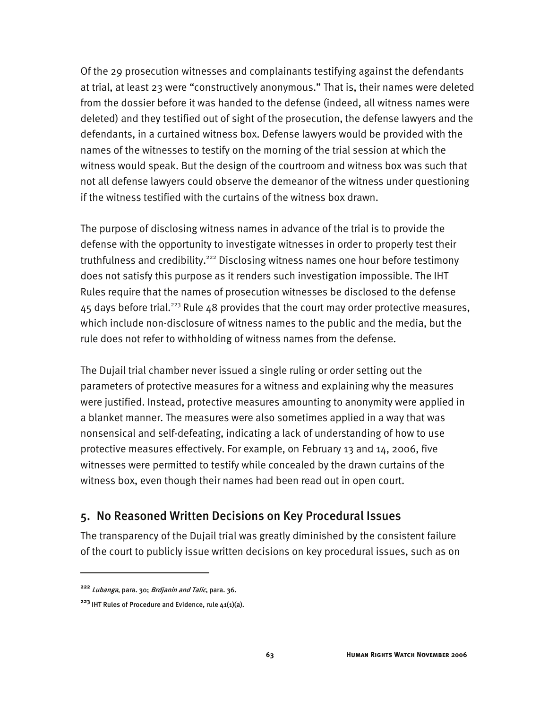Of the 29 prosecution witnesses and complainants testifying against the defendants at trial, at least 23 were "constructively anonymous." That is, their names were deleted from the dossier before it was handed to the defense (indeed, all witness names were deleted) and they testified out of sight of the prosecution, the defense lawyers and the defendants, in a curtained witness box. Defense lawyers would be provided with the names of the witnesses to testify on the morning of the trial session at which the witness would speak. But the design of the courtroom and witness box was such that not all defense lawyers could observe the demeanor of the witness under questioning if the witness testified with the curtains of the witness box drawn.

The purpose of disclosing witness names in advance of the trial is to provide the defense with the opportunity to investigate witnesses in order to properly test their truthfulness and credibility.<sup>222</sup> Disclosing witness names one hour before testimony does not satisfy this purpose as it renders such investigation impossible. The IHT Rules require that the names of prosecution witnesses be disclosed to the defense  $45$  days before trial.<sup>223</sup> Rule  $48$  provides that the court may order protective measures, which include non-disclosure of witness names to the public and the media, but the rule does not refer to withholding of witness names from the defense.

The Dujail trial chamber never issued a single ruling or order setting out the parameters of protective measures for a witness and explaining why the measures were justified. Instead, protective measures amounting to anonymity were applied in a blanket manner. The measures were also sometimes applied in a way that was nonsensical and self-defeating, indicating a lack of understanding of how to use protective measures effectively. For example, on February 13 and 14, 2006, five witnesses were permitted to testify while concealed by the drawn curtains of the witness box, even though their names had been read out in open court.

## 5. No Reasoned Written Decisions on Key Procedural Issues

The transparency of the Dujail trial was greatly diminished by the consistent failure of the court to publicly issue written decisions on key procedural issues, such as on

**<sup>222</sup>** Lubanga, para. 30; Brdjanin and Talic, para. 36.

**<sup>223</sup>** IHT Rules of Procedure and Evidence, rule 41(1)(a).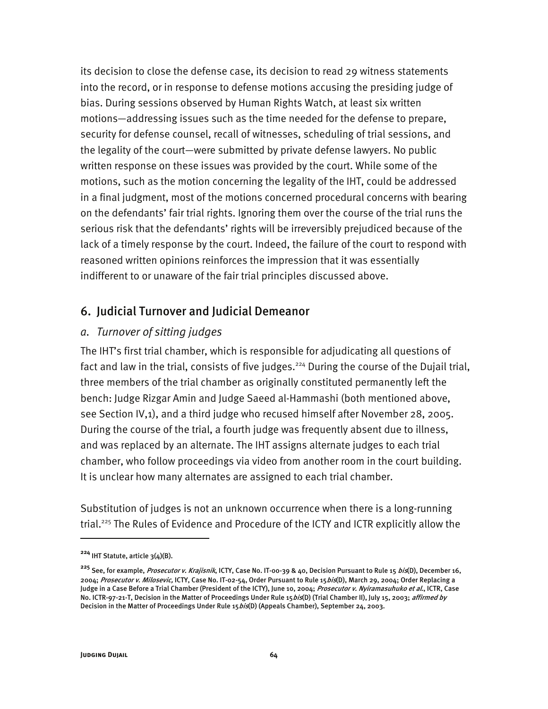its decision to close the defense case, its decision to read 29 witness statements into the record, or in response to defense motions accusing the presiding judge of bias. During sessions observed by Human Rights Watch, at least six written motions—addressing issues such as the time needed for the defense to prepare, security for defense counsel, recall of witnesses, scheduling of trial sessions, and the legality of the court—were submitted by private defense lawyers. No public written response on these issues was provided by the court. While some of the motions, such as the motion concerning the legality of the IHT, could be addressed in a final judgment, most of the motions concerned procedural concerns with bearing on the defendants' fair trial rights. Ignoring them over the course of the trial runs the serious risk that the defendants' rights will be irreversibly prejudiced because of the lack of a timely response by the court. Indeed, the failure of the court to respond with reasoned written opinions reinforces the impression that it was essentially indifferent to or unaware of the fair trial principles discussed above.

### 6. Judicial Turnover and Judicial Demeanor

#### *a. Turnover of sitting judges*

The IHT's first trial chamber, which is responsible for adjudicating all questions of fact and law in the trial, consists of five judges.<sup>224</sup> During the course of the Dujail trial, three members of the trial chamber as originally constituted permanently left the bench: Judge Rizgar Amin and Judge Saeed al-Hammashi (both mentioned above, see Section IV,1), and a third judge who recused himself after November 28, 2005. During the course of the trial, a fourth judge was frequently absent due to illness, and was replaced by an alternate. The IHT assigns alternate judges to each trial chamber, who follow proceedings via video from another room in the court building. It is unclear how many alternates are assigned to each trial chamber.

Substitution of judges is not an unknown occurrence when there is a long-running trial.<sup>225</sup> The Rules of Evidence and Procedure of the ICTY and ICTR explicitly allow the

**<sup>224</sup>** IHT Statute, article 3(4)(B).

**<sup>225</sup>** See, for example, Prosecutor v. Krajisnik, ICTY, Case No. IT-00-39 & 40, Decision Pursuant to Rule 15 bis(D), December 16, 2004; Prosecutor v. Milosevic, ICTY, Case No. IT-02-54, Order Pursuant to Rule 15 bis(D), March 29, 2004; Order Replacing a Judge in a Case Before a Trial Chamber (President of the ICTY), June 10, 2004; Prosecutor v. Nyiramasuhuko et al., ICTR, Case No. ICTR-97-21-T, Decision in the Matter of Proceedings Under Rule 15*bis*(D) (Trial Chamber II), July 15, 2003; *affirmed by* Decision in the Matter of Proceedings Under Rule 15 bis(D) (Appeals Chamber), September 24, 2003.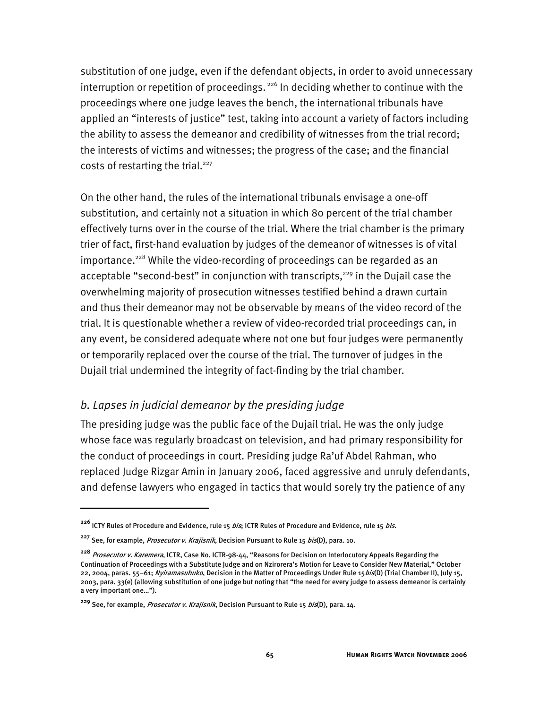substitution of one judge, even if the defendant objects, in order to avoid unnecessary interruption or repetition of proceedings.<sup>226</sup> In deciding whether to continue with the proceedings where one judge leaves the bench, the international tribunals have applied an "interests of justice" test, taking into account a variety of factors including the ability to assess the demeanor and credibility of witnesses from the trial record; the interests of victims and witnesses; the progress of the case; and the financial costs of restarting the trial.<sup>227</sup>

On the other hand, the rules of the international tribunals envisage a one-off substitution, and certainly not a situation in which 80 percent of the trial chamber effectively turns over in the course of the trial. Where the trial chamber is the primary trier of fact, first-hand evaluation by judges of the demeanor of witnesses is of vital importance.<sup>228</sup> While the video-recording of proceedings can be regarded as an acceptable "second-best" in conjunction with transcripts, $229$  in the Dujail case the overwhelming majority of prosecution witnesses testified behind a drawn curtain and thus their demeanor may not be observable by means of the video record of the trial. It is questionable whether a review of video-recorded trial proceedings can, in any event, be considered adequate where not one but four judges were permanently or temporarily replaced over the course of the trial. The turnover of judges in the Dujail trial undermined the integrity of fact-finding by the trial chamber.

#### *b. Lapses in judicial demeanor by the presiding judge*

The presiding judge was the public face of the Dujail trial. He was the only judge whose face was regularly broadcast on television, and had primary responsibility for the conduct of proceedings in court. Presiding judge Ra'uf Abdel Rahman, who replaced Judge Rizgar Amin in January 2006, faced aggressive and unruly defendants, and defense lawyers who engaged in tactics that would sorely try the patience of any

**<sup>226</sup>** ICTY Rules of Procedure and Evidence, rule 15 bis; ICTR Rules of Procedure and Evidence, rule 15 bis.

**<sup>227</sup>** See, for example, Prosecutor v. Krajisnik, Decision Pursuant to Rule 15 bis(D), para. 10.

**<sup>228</sup>** Prosecutor v. Karemera, ICTR, Case No. ICTR-98-44, "Reasons for Decision on Interlocutory Appeals Regarding the Continuation of Proceedings with a Substitute Judge and on Nzirorera's Motion for Leave to Consider New Material," October 22, 2004, paras. 55–61; Nyiramasuhuko, Decision in the Matter of Proceedings Under Rule 15 bis(D) (Trial Chamber II), July 15, 2003, para. 33(e) (allowing substitution of one judge but noting that "the need for every judge to assess demeanor is certainly a very important one…").

**<sup>229</sup>** See, for example, Prosecutor v. Krajisnik, Decision Pursuant to Rule 15 bis(D), para. 14.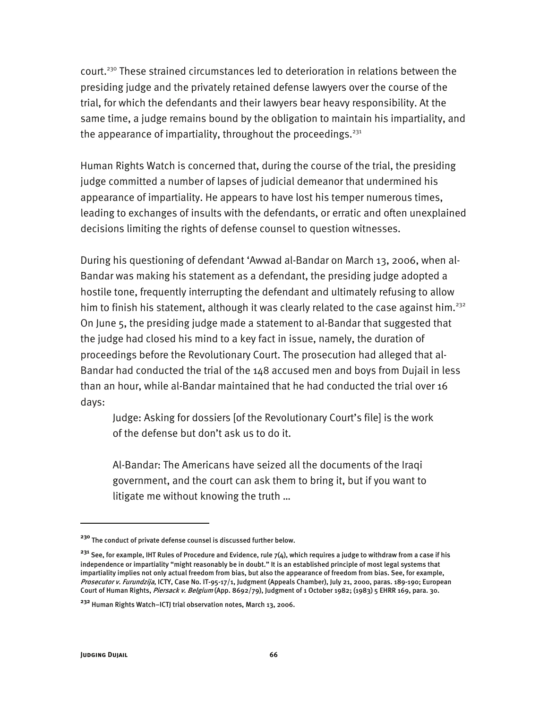court.<sup>230</sup> These strained circumstances led to deterioration in relations between the presiding judge and the privately retained defense lawyers over the course of the trial, for which the defendants and their lawyers bear heavy responsibility. At the same time, a judge remains bound by the obligation to maintain his impartiality, and the appearance of impartiality, throughout the proceedings.<sup>231</sup>

Human Rights Watch is concerned that, during the course of the trial, the presiding judge committed a number of lapses of judicial demeanor that undermined his appearance of impartiality. He appears to have lost his temper numerous times, leading to exchanges of insults with the defendants, or erratic and often unexplained decisions limiting the rights of defense counsel to question witnesses.

During his questioning of defendant 'Awwad al-Bandar on March 13, 2006, when al-Bandar was making his statement as a defendant, the presiding judge adopted a hostile tone, frequently interrupting the defendant and ultimately refusing to allow him to finish his statement, although it was clearly related to the case against him.<sup>232</sup> On June 5, the presiding judge made a statement to al-Bandar that suggested that the judge had closed his mind to a key fact in issue, namely, the duration of proceedings before the Revolutionary Court. The prosecution had alleged that al-Bandar had conducted the trial of the 148 accused men and boys from Dujail in less than an hour, while al-Bandar maintained that he had conducted the trial over 16 days:

Judge: Asking for dossiers [of the Revolutionary Court's file] is the work of the defense but don't ask us to do it.

Al-Bandar: The Americans have seized all the documents of the Iraqi government, and the court can ask them to bring it, but if you want to litigate me without knowing the truth …

**<sup>230</sup>** The conduct of private defense counsel is discussed further below.

**<sup>231</sup>** See, for example, IHT Rules of Procedure and Evidence, rule 7(4), which requires a judge to withdraw from a case if his independence or impartiality "might reasonably be in doubt." It is an established principle of most legal systems that impartiality implies not only actual freedom from bias, but also the appearance of freedom from bias. See, for example, Prosecutor v. Furundzija, ICTY, Case No. IT-95-17/1, Judgment (Appeals Chamber), July 21, 2000, paras. 189-190; European Court of Human Rights, Piersack v. Belgium (App. 8692/79), Judgment of 1 October 1982; (1983) 5 EHRR 169, para. 30.

**<sup>232</sup>** Human Rights Watch–ICTJ trial observation notes, March 13, 2006.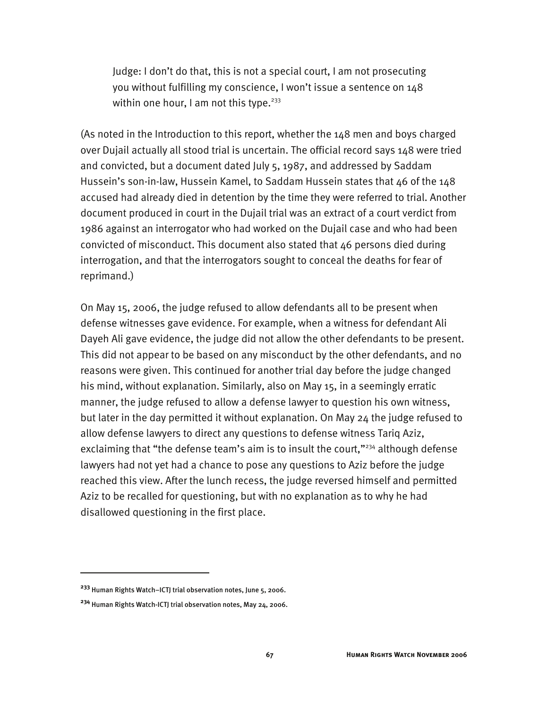Judge: I don't do that, this is not a special court, I am not prosecuting you without fulfilling my conscience, I won't issue a sentence on 148 within one hour, I am not this type.<sup>233</sup>

(As noted in the Introduction to this report, whether the 148 men and boys charged over Dujail actually all stood trial is uncertain. The official record says 148 were tried and convicted, but a document dated July 5, 1987, and addressed by Saddam Hussein's son-in-law, Hussein Kamel, to Saddam Hussein states that 46 of the 148 accused had already died in detention by the time they were referred to trial. Another document produced in court in the Dujail trial was an extract of a court verdict from 1986 against an interrogator who had worked on the Dujail case and who had been convicted of misconduct. This document also stated that 46 persons died during interrogation, and that the interrogators sought to conceal the deaths for fear of reprimand.)

On May 15, 2006, the judge refused to allow defendants all to be present when defense witnesses gave evidence. For example, when a witness for defendant Ali Dayeh Ali gave evidence, the judge did not allow the other defendants to be present. This did not appear to be based on any misconduct by the other defendants, and no reasons were given. This continued for another trial day before the judge changed his mind, without explanation. Similarly, also on May 15, in a seemingly erratic manner, the judge refused to allow a defense lawyer to question his own witness, but later in the day permitted it without explanation. On May 24 the judge refused to allow defense lawyers to direct any questions to defense witness Tariq Aziz, exclaiming that "the defense team's aim is to insult the court,"<sup>234</sup> although defense lawyers had not yet had a chance to pose any questions to Aziz before the judge reached this view. After the lunch recess, the judge reversed himself and permitted Aziz to be recalled for questioning, but with no explanation as to why he had disallowed questioning in the first place.

**<sup>233</sup>** Human Rights Watch–ICTJ trial observation notes, June 5, 2006.

**<sup>234</sup>** Human Rights Watch-ICTJ trial observation notes, May 24, 2006.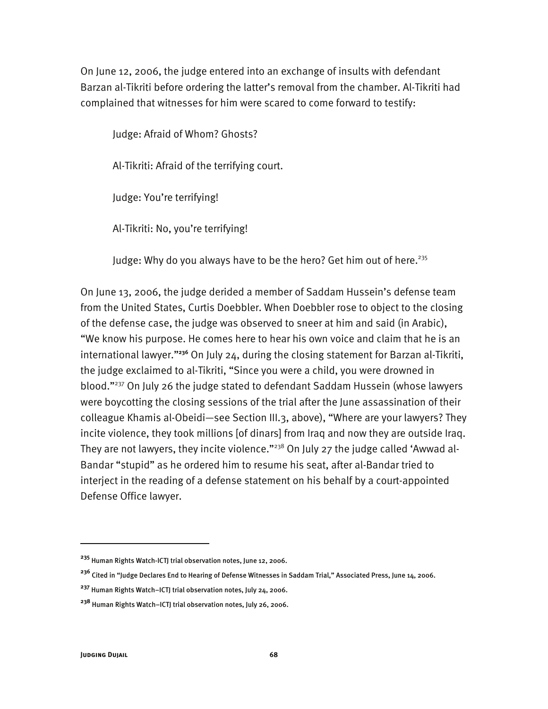On June 12, 2006, the judge entered into an exchange of insults with defendant Barzan al-Tikriti before ordering the latter's removal from the chamber. Al-Tikriti had complained that witnesses for him were scared to come forward to testify:

Judge: Afraid of Whom? Ghosts? Al-Tikriti: Afraid of the terrifying court. Judge: You're terrifying! Al-Tikriti: No, you're terrifying!

Judge: Why do you always have to be the hero? Get him out of here.<sup>235</sup>

On June 13, 2006, the judge derided a member of Saddam Hussein's defense team from the United States, Curtis Doebbler. When Doebbler rose to object to the closing of the defense case, the judge was observed to sneer at him and said (in Arabic), "We know his purpose. He comes here to hear his own voice and claim that he is an international lawyer."**<sup>236</sup>** On July 24, during the closing statement for Barzan al-Tikriti, the judge exclaimed to al-Tikriti, "Since you were a child, you were drowned in blood."237 On July 26 the judge stated to defendant Saddam Hussein (whose lawyers were boycotting the closing sessions of the trial after the June assassination of their colleague Khamis al-Obeidi—see Section III.3, above), "Where are your lawyers? They incite violence, they took millions [of dinars] from Iraq and now they are outside Iraq. They are not lawyers, they incite violence."<sup>238</sup> On July 27 the judge called 'Awwad al-Bandar "stupid" as he ordered him to resume his seat, after al-Bandar tried to interject in the reading of a defense statement on his behalf by a court-appointed Defense Office lawyer.

j

**<sup>235</sup>** Human Rights Watch-ICTJ trial observation notes, June 12, 2006.

**<sup>236</sup>** Cited in "Judge Declares End to Hearing of Defense Witnesses in Saddam Trial," Associated Press, June 14, 2006.

**<sup>237</sup>** Human Rights Watch–ICTJ trial observation notes, July 24, 2006.

**<sup>238</sup>** Human Rights Watch–ICTJ trial observation notes, July 26, 2006.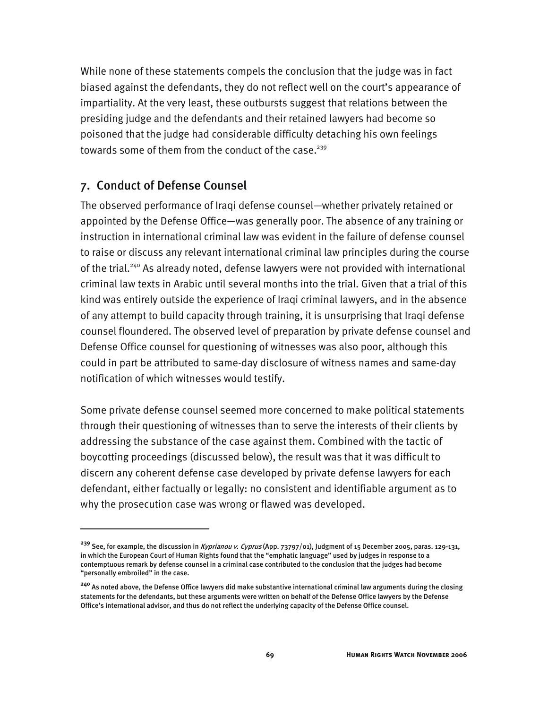While none of these statements compels the conclusion that the judge was in fact biased against the defendants, they do not reflect well on the court's appearance of impartiality. At the very least, these outbursts suggest that relations between the presiding judge and the defendants and their retained lawyers had become so poisoned that the judge had considerable difficulty detaching his own feelings towards some of them from the conduct of the case.<sup>239</sup>

## 7. Conduct of Defense Counsel

I

The observed performance of Iraqi defense counsel—whether privately retained or appointed by the Defense Office—was generally poor. The absence of any training or instruction in international criminal law was evident in the failure of defense counsel to raise or discuss any relevant international criminal law principles during the course of the trial.<sup>240</sup> As already noted, defense lawyers were not provided with international criminal law texts in Arabic until several months into the trial. Given that a trial of this kind was entirely outside the experience of Iraqi criminal lawyers, and in the absence of any attempt to build capacity through training, it is unsurprising that Iraqi defense counsel floundered. The observed level of preparation by private defense counsel and Defense Office counsel for questioning of witnesses was also poor, although this could in part be attributed to same-day disclosure of witness names and same-day notification of which witnesses would testify.

Some private defense counsel seemed more concerned to make political statements through their questioning of witnesses than to serve the interests of their clients by addressing the substance of the case against them. Combined with the tactic of boycotting proceedings (discussed below), the result was that it was difficult to discern any coherent defense case developed by private defense lawyers for each defendant, either factually or legally: no consistent and identifiable argument as to why the prosecution case was wrong or flawed was developed.

**<sup>239</sup>** See, for example, the discussion in Kyprianou v. Cyprus (App. 73797/01), Judgment of 15 December 2005, paras. 129-131, in which the European Court of Human Rights found that the "emphatic language" used by judges in response to a contemptuous remark by defense counsel in a criminal case contributed to the conclusion that the judges had become "personally embroiled" in the case.

**<sup>240</sup>** As noted above, the Defense Office lawyers did make substantive international criminal law arguments during the closing statements for the defendants, but these arguments were written on behalf of the Defense Office lawyers by the Defense Office's international advisor, and thus do not reflect the underlying capacity of the Defense Office counsel.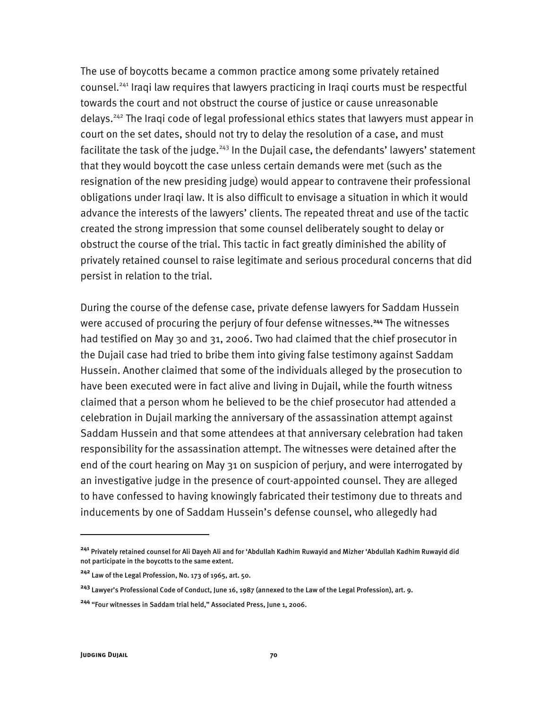The use of boycotts became a common practice among some privately retained counsel.241 Iraqi law requires that lawyers practicing in Iraqi courts must be respectful towards the court and not obstruct the course of justice or cause unreasonable delays.242 The Iraqi code of legal professional ethics states that lawyers must appear in court on the set dates, should not try to delay the resolution of a case, and must facilitate the task of the judge.<sup>243</sup> In the Dujail case, the defendants' lawyers' statement that they would boycott the case unless certain demands were met (such as the resignation of the new presiding judge) would appear to contravene their professional obligations under Iraqi law. It is also difficult to envisage a situation in which it would advance the interests of the lawyers' clients. The repeated threat and use of the tactic created the strong impression that some counsel deliberately sought to delay or obstruct the course of the trial. This tactic in fact greatly diminished the ability of privately retained counsel to raise legitimate and serious procedural concerns that did persist in relation to the trial.

During the course of the defense case, private defense lawyers for Saddam Hussein were accused of procuring the perjury of four defense witnesses.**<sup>244</sup>** The witnesses had testified on May 30 and 31, 2006. Two had claimed that the chief prosecutor in the Dujail case had tried to bribe them into giving false testimony against Saddam Hussein. Another claimed that some of the individuals alleged by the prosecution to have been executed were in fact alive and living in Dujail, while the fourth witness claimed that a person whom he believed to be the chief prosecutor had attended a celebration in Dujail marking the anniversary of the assassination attempt against Saddam Hussein and that some attendees at that anniversary celebration had taken responsibility for the assassination attempt. The witnesses were detained after the end of the court hearing on May 31 on suspicion of perjury, and were interrogated by an investigative judge in the presence of court-appointed counsel. They are alleged to have confessed to having knowingly fabricated their testimony due to threats and inducements by one of Saddam Hussein's defense counsel, who allegedly had

j

**<sup>241</sup>** Privately retained counsel for Ali Dayeh Ali and for 'Abdullah Kadhim Ruwayid and Mizher 'Abdullah Kadhim Ruwayid did not participate in the boycotts to the same extent.

**<sup>242</sup>** Law of the Legal Profession, No. 173 of 1965, art. 50.

**<sup>243</sup>** Lawyer's Professional Code of Conduct, June 16, 1987 (annexed to the Law of the Legal Profession), art. 9.

**<sup>244</sup>** "Four witnesses in Saddam trial held," Associated Press, June 1, 2006.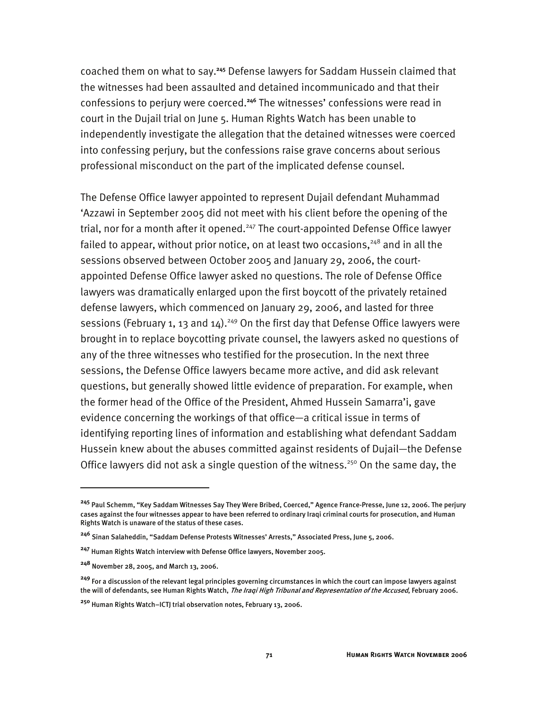coached them on what to say.**<sup>245</sup>** Defense lawyers for Saddam Hussein claimed that the witnesses had been assaulted and detained incommunicado and that their confessions to perjury were coerced.**<sup>246</sup>** The witnesses' confessions were read in court in the Dujail trial on June 5. Human Rights Watch has been unable to independently investigate the allegation that the detained witnesses were coerced into confessing perjury, but the confessions raise grave concerns about serious professional misconduct on the part of the implicated defense counsel.

The Defense Office lawyer appointed to represent Dujail defendant Muhammad 'Azzawi in September 2005 did not meet with his client before the opening of the trial, nor for a month after it opened.<sup>247</sup> The court-appointed Defense Office lawyer failed to appear, without prior notice, on at least two occasions,  $248$  and in all the sessions observed between October 2005 and January 29, 2006, the courtappointed Defense Office lawyer asked no questions. The role of Defense Office lawyers was dramatically enlarged upon the first boycott of the privately retained defense lawyers, which commenced on January 29, 2006, and lasted for three sessions (February 1, 13 and 14).<sup>249</sup> On the first day that Defense Office lawyers were brought in to replace boycotting private counsel, the lawyers asked no questions of any of the three witnesses who testified for the prosecution. In the next three sessions, the Defense Office lawyers became more active, and did ask relevant questions, but generally showed little evidence of preparation. For example, when the former head of the Office of the President, Ahmed Hussein Samarra'i, gave evidence concerning the workings of that office—a critical issue in terms of identifying reporting lines of information and establishing what defendant Saddam Hussein knew about the abuses committed against residents of Dujail—the Defense Office lawyers did not ask a single question of the witness.<sup>250</sup> On the same day, the

j

**<sup>245</sup>** Paul Schemm, "Key Saddam Witnesses Say They Were Bribed, Coerced," Agence France-Presse, June 12, 2006. The perjury cases against the four witnesses appear to have been referred to ordinary Iraqi criminal courts for prosecution, and Human Rights Watch is unaware of the status of these cases.

**<sup>246</sup>** Sinan Salaheddin, "Saddam Defense Protests Witnesses' Arrests," Associated Press, June 5, 2006.

**<sup>247</sup>** Human Rights Watch interview with Defense Office lawyers, November 2005.

**<sup>248</sup>** November 28, 2005, and March 13, 2006.

**<sup>249</sup>** For a discussion of the relevant legal principles governing circumstances in which the court can impose lawyers against the will of defendants, see Human Rights Watch, *The Iraqi High Tribunal and Representation of the Accused*, February 2006.

**<sup>250</sup>** Human Rights Watch–ICTJ trial observation notes, February 13, 2006.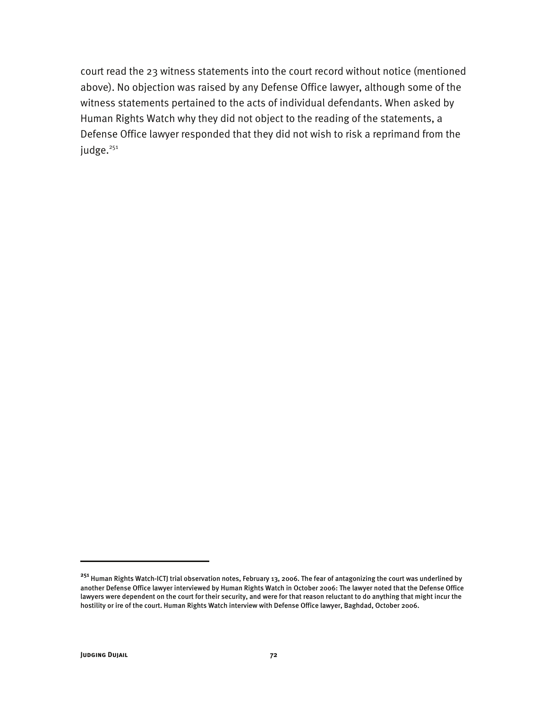court read the 23 witness statements into the court record without notice (mentioned above). No objection was raised by any Defense Office lawyer, although some of the witness statements pertained to the acts of individual defendants. When asked by Human Rights Watch why they did not object to the reading of the statements, a Defense Office lawyer responded that they did not wish to risk a reprimand from the judge.<sup>251</sup>

**<sup>251</sup>** Human Rights Watch-ICTJ trial observation notes, February 13, 2006. The fear of antagonizing the court was underlined by another Defense Office lawyer interviewed by Human Rights Watch in October 2006: The lawyer noted that the Defense Office lawyers were dependent on the court for their security, and were for that reason reluctant to do anything that might incur the hostility or ire of the court. Human Rights Watch interview with Defense Office lawyer, Baghdad, October 2006.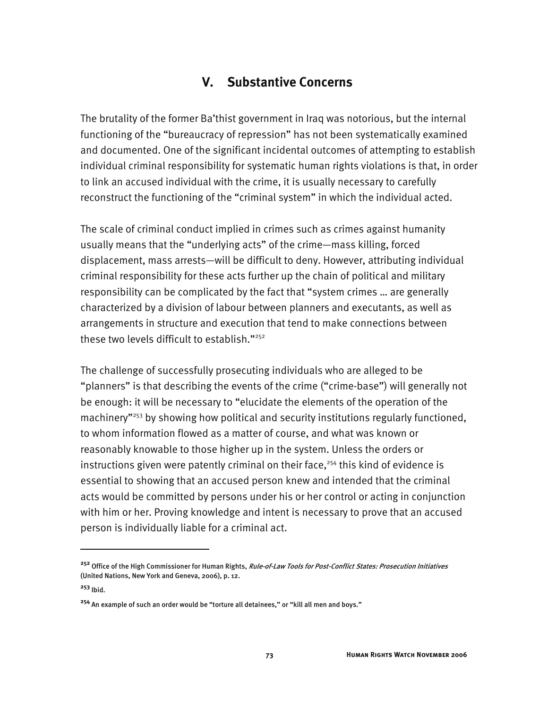## **V. Substantive Concerns**

The brutality of the former Ba'thist government in Iraq was notorious, but the internal functioning of the "bureaucracy of repression" has not been systematically examined and documented. One of the significant incidental outcomes of attempting to establish individual criminal responsibility for systematic human rights violations is that, in order to link an accused individual with the crime, it is usually necessary to carefully reconstruct the functioning of the "criminal system" in which the individual acted.

The scale of criminal conduct implied in crimes such as crimes against humanity usually means that the "underlying acts" of the crime—mass killing, forced displacement, mass arrests—will be difficult to deny. However, attributing individual criminal responsibility for these acts further up the chain of political and military responsibility can be complicated by the fact that "system crimes … are generally characterized by a division of labour between planners and executants, as well as arrangements in structure and execution that tend to make connections between these two levels difficult to establish."252

The challenge of successfully prosecuting individuals who are alleged to be "planners" is that describing the events of the crime ("crime-base") will generally not be enough: it will be necessary to "elucidate the elements of the operation of the machinery"<sup>253</sup> by showing how political and security institutions regularly functioned, to whom information flowed as a matter of course, and what was known or reasonably knowable to those higher up in the system. Unless the orders or instructions given were patently criminal on their face,<sup>254</sup> this kind of evidence is essential to showing that an accused person knew and intended that the criminal acts would be committed by persons under his or her control or acting in conjunction with him or her. Proving knowledge and intent is necessary to prove that an accused person is individually liable for a criminal act.

**<sup>252</sup>** Office of the High Commissioner for Human Rights, Rule-of-Law Tools for Post-Conflict States: Prosecution Initiatives (United Nations, New York and Geneva, 2006), p. 12.

**<sup>253</sup>** Ibid.

**<sup>254</sup>** An example of such an order would be "torture all detainees," or "kill all men and boys."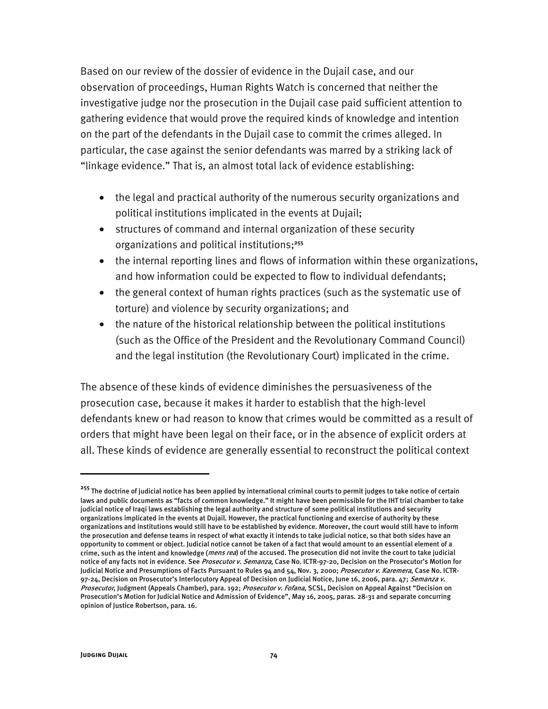Based on our review of the dossier of evidence in the Dujail case, and our observation of proceedings, Human Rights Watch is concerned that neither the investigative judge nor the prosecution in the Dujail case paid sufficient attention to gathering evidence that would prove the required kinds of knowledge and intention on the part of the defendants in the Dujail case to commit the crimes alleged. In particular, the case against the senior defendants was marred by a striking lack of "linkage evidence." That is, an almost total lack of evidence establishing:

- the legal and practical authority of the numerous security organizations and political institutions implicated in the events at Dujail;
- structures of command and internal organization of these security organizations and political institutions;**<sup>255</sup>**
- the internal reporting lines and flows of information within these organizations, and how information could be expected to flow to individual defendants;
- the general context of human rights practices (such as the systematic use of torture) and violence by security organizations; and
- the nature of the historical relationship between the political institutions (such as the Office of the President and the Revolutionary Command Council) and the legal institution (the Revolutionary Court) implicated in the crime.

The absence of these kinds of evidence diminishes the persuasiveness of the prosecution case, because it makes it harder to establish that the high-level defendants knew or had reason to know that crimes would be committed as a result of orders that might have been legal on their face, or in the absence of explicit orders at all. These kinds of evidence are generally essential to reconstruct the political context

-

**<sup>255</sup>** The doctrine of judicial notice has been applied by international criminal courts to permit judges to take notice of certain laws and public documents as "facts of common knowledge." It might have been permissible for the IHT trial chamber to take judicial notice of Iraqi laws establishing the legal authority and structure of some political institutions and security organizations implicated in the events at Dujail. However, the practical functioning and exercise of authority by these organizations and institutions would still have to be established by evidence. Moreover, the court would still have to inform the prosecution and defense teams in respect of what exactly it intends to take judicial notice, so that both sides have an opportunity to comment or object. Judicial notice cannot be taken of a fact that would amount to an essential element of a crime, such as the intent and knowledge (*mens rea*) of the accused. The prosecution did not invite the court to take judicial notice of any facts not in evidence. See Prosecutor v. Semanza, Case No. ICTR-97-20, Decision on the Prosecutor's Motion for Judicial Notice and Presumptions of Facts Pursuant to Rules 94 and 54, Nov. 3, 2000; Prosecutor v. Karemera, Case No. ICTR-97-24, Decision on Prosecutor's Interlocutory Appeal of Decision on Judicial Notice, June 16, 2006, para. 47; Semanza v. Prosecutor, Judgment (Appeals Chamber), para. 192; Prosecutor v. Fofana, SCSL, Decision on Appeal Against "Decision on Prosecution's Motion for Judicial Notice and Admission of Evidence", May 16, 2005, paras. 28-31 and separate concurring opinion of Justice Robertson, para. 16.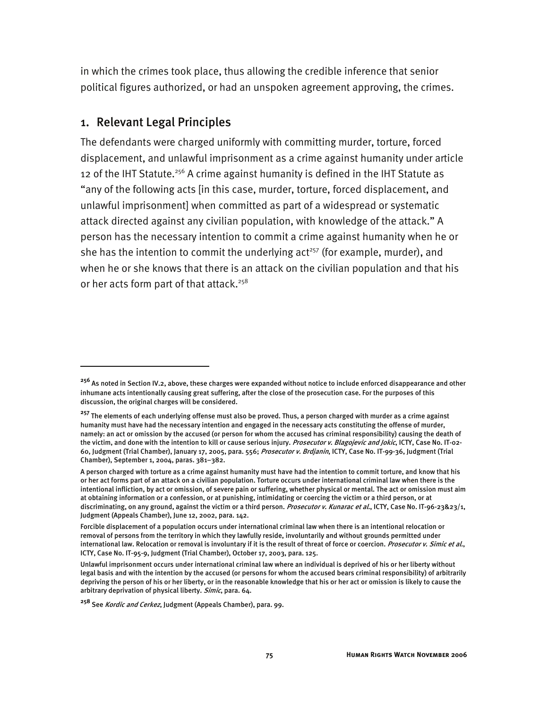in which the crimes took place, thus allowing the credible inference that senior political figures authorized, or had an unspoken agreement approving, the crimes.

#### 1. Relevant Legal Principles

-

The defendants were charged uniformly with committing murder, torture, forced displacement, and unlawful imprisonment as a crime against humanity under article 12 of the IHT Statute.<sup>256</sup> A crime against humanity is defined in the IHT Statute as "any of the following acts [in this case, murder, torture, forced displacement, and unlawful imprisonment] when committed as part of a widespread or systematic attack directed against any civilian population, with knowledge of the attack." A person has the necessary intention to commit a crime against humanity when he or she has the intention to commit the underlying  $act<sup>257</sup>$  (for example, murder), and when he or she knows that there is an attack on the civilian population and that his or her acts form part of that attack.<sup>258</sup>

**<sup>256</sup>** As noted in Section IV.2, above, these charges were expanded without notice to include enforced disappearance and other inhumane acts intentionally causing great suffering, after the close of the prosecution case. For the purposes of this discussion, the original charges will be considered.

<sup>&</sup>lt;sup>257</sup> The elements of each underlying offense must also be proved. Thus, a person charged with murder as a crime against humanity must have had the necessary intention and engaged in the necessary acts constituting the offense of murder, namely: an act or omission by the accused (or person for whom the accused has criminal responsibility) causing the death of the victim, and done with the intention to kill or cause serious injury. Prosecutor v. Blagojevic and Jokic, ICTY, Case No. IT-02-60, Judgment (Trial Chamber), January 17, 2005, para. 556; Prosecutor v. Brdjanin, ICTY, Case No. IT-99-36, Judgment (Trial Chamber), September 1, 2004, paras. 381–382.

A person charged with torture as a crime against humanity must have had the intention to commit torture, and know that his or her act forms part of an attack on a civilian population. Torture occurs under international criminal law when there is the intentional infliction, by act or omission, of severe pain or suffering, whether physical or mental. The act or omission must aim at obtaining information or a confession, or at punishing, intimidating or coercing the victim or a third person, or at discriminating, on any ground, against the victim or a third person. Prosecutor v. Kunarac et al., ICTY, Case No. IT-96-23&23/1, Judgment (Appeals Chamber), June 12, 2002, para. 142.

Forcible displacement of a population occurs under international criminal law when there is an intentional relocation or removal of persons from the territory in which they lawfully reside, involuntarily and without grounds permitted under international law. Relocation or removal is involuntary if it is the result of threat of force or coercion. Prosecutor v. Simic et al., ICTY, Case No. IT-95-9, Judgment (Trial Chamber), October 17, 2003, para. 125.

Unlawful imprisonment occurs under international criminal law where an individual is deprived of his or her liberty without legal basis and with the intention by the accused (or persons for whom the accused bears criminal responsibility) of arbitrarily depriving the person of his or her liberty, or in the reasonable knowledge that his or her act or omission is likely to cause the arbitrary deprivation of physical liberty. Simic, para. 64.

**<sup>258</sup>** See Kordic and Cerkez, Judgment (Appeals Chamber), para. 99.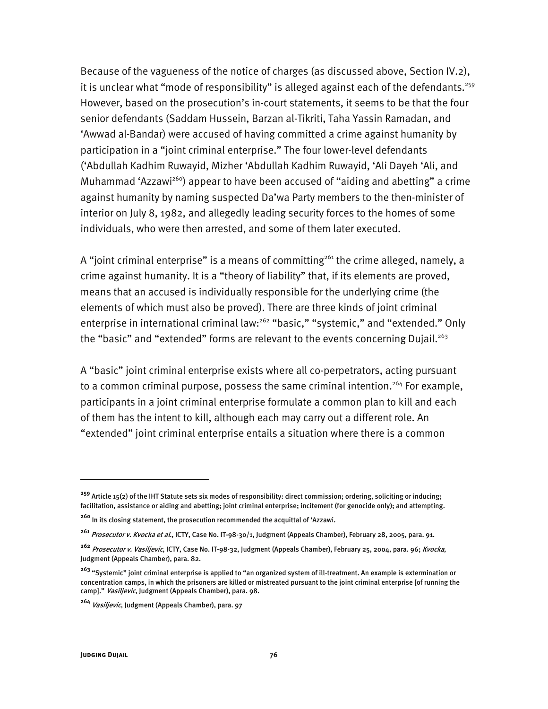Because of the vagueness of the notice of charges (as discussed above, Section IV.2), it is unclear what "mode of responsibility" is alleged against each of the defendants.<sup>259</sup> However, based on the prosecution's in-court statements, it seems to be that the four senior defendants (Saddam Hussein, Barzan al-Tikriti, Taha Yassin Ramadan, and 'Awwad al-Bandar) were accused of having committed a crime against humanity by participation in a "joint criminal enterprise." The four lower-level defendants ('Abdullah Kadhim Ruwayid, Mizher 'Abdullah Kadhim Ruwayid, 'Ali Dayeh 'Ali, and Muhammad 'Azzawi<sup>260</sup>) appear to have been accused of "aiding and abetting" a crime against humanity by naming suspected Da'wa Party members to the then-minister of interior on July 8, 1982, and allegedly leading security forces to the homes of some individuals, who were then arrested, and some of them later executed.

A "joint criminal enterprise" is a means of committing<sup>261</sup> the crime alleged, namely, a crime against humanity. It is a "theory of liability" that, if its elements are proved, means that an accused is individually responsible for the underlying crime (the elements of which must also be proved). There are three kinds of joint criminal enterprise in international criminal law:<sup>262</sup> "basic," "systemic," and "extended." Only the "basic" and "extended" forms are relevant to the events concerning Dujail.<sup>263</sup>

A "basic" joint criminal enterprise exists where all co-perpetrators, acting pursuant to a common criminal purpose, possess the same criminal intention.<sup>264</sup> For example, participants in a joint criminal enterprise formulate a common plan to kill and each of them has the intent to kill, although each may carry out a different role. An "extended" joint criminal enterprise entails a situation where there is a common

**<sup>259</sup>** Article 15(2) of the IHT Statute sets six modes of responsibility: direct commission; ordering, soliciting or inducing; facilitation, assistance or aiding and abetting; joint criminal enterprise; incitement (for genocide only); and attempting.

**<sup>260</sup>** In its closing statement, the prosecution recommended the acquittal of 'Azzawi.

**<sup>261</sup>** Prosecutor v. Kvocka et al., ICTY, Case No. IT-98-30/1, Judgment (Appeals Chamber), February 28, 2005, para. 91.

**<sup>262</sup>** Prosecutor v. Vasiljevic, ICTY, Case No. IT-98-32, Judgment (Appeals Chamber), February 25, 2004, para. 96; Kvocka, Judgment (Appeals Chamber), para. 82.

**<sup>263</sup>** "Systemic" joint criminal enterprise is applied to "an organized system of ill-treatment. An example is extermination or concentration camps, in which the prisoners are killed or mistreated pursuant to the joint criminal enterprise [of running the camp]." Vasiljevic, Judgment (Appeals Chamber), para. 98.

**<sup>264</sup>** Vasiljevic, Judgment (Appeals Chamber), para. 97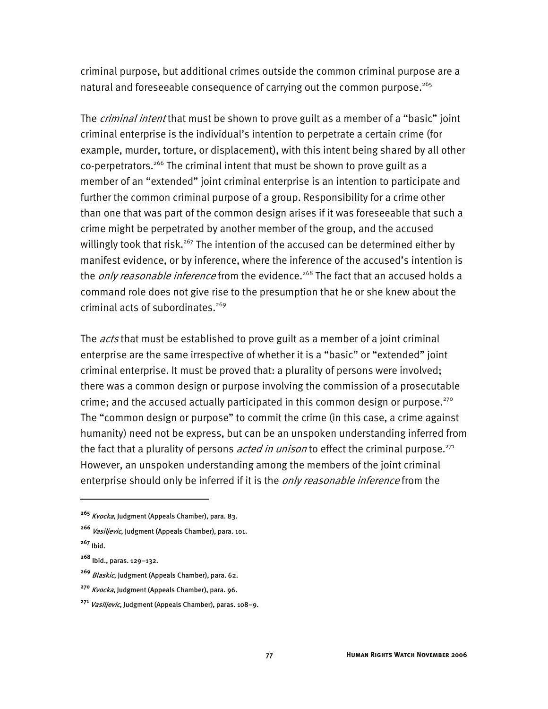criminal purpose, but additional crimes outside the common criminal purpose are a natural and foreseeable consequence of carrying out the common purpose.<sup>265</sup>

The *criminal intent* that must be shown to prove guilt as a member of a "basic" joint criminal enterprise is the individual's intention to perpetrate a certain crime (for example, murder, torture, or displacement), with this intent being shared by all other co-perpetrators.<sup>266</sup> The criminal intent that must be shown to prove guilt as a member of an "extended" joint criminal enterprise is an intention to participate and further the common criminal purpose of a group. Responsibility for a crime other than one that was part of the common design arises if it was foreseeable that such a crime might be perpetrated by another member of the group, and the accused willingly took that risk.<sup>267</sup> The intention of the accused can be determined either by manifest evidence, or by inference, where the inference of the accused's intention is the *only reasonable inference* from the evidence.<sup>268</sup> The fact that an accused holds a command role does not give rise to the presumption that he or she knew about the criminal acts of subordinates. $269$ 

The *acts* that must be established to prove guilt as a member of a joint criminal enterprise are the same irrespective of whether it is a "basic" or "extended" joint criminal enterprise. It must be proved that: a plurality of persons were involved; there was a common design or purpose involving the commission of a prosecutable crime; and the accused actually participated in this common design or purpose. $270$ The "common design or purpose" to commit the crime (in this case, a crime against humanity) need not be express, but can be an unspoken understanding inferred from the fact that a plurality of persons *acted in unison* to effect the criminal purpose.<sup>271</sup> However, an unspoken understanding among the members of the joint criminal enterprise should only be inferred if it is the *only reasonable inference* from the

**<sup>265</sup>** Kvocka, Judgment (Appeals Chamber), para. 83.

**<sup>266</sup>** Vasiljevic, Judgment (Appeals Chamber), para. 101.

**<sup>267</sup>** Ibid.

**<sup>268</sup>** Ibid., paras. 129–132.

**<sup>269</sup>** Blaskic, Judgment (Appeals Chamber), para. 62.

**<sup>270</sup>** Kvocka, Judgment (Appeals Chamber), para. 96.

**<sup>271</sup>** Vasiljevic, Judgment (Appeals Chamber), paras. 108–9.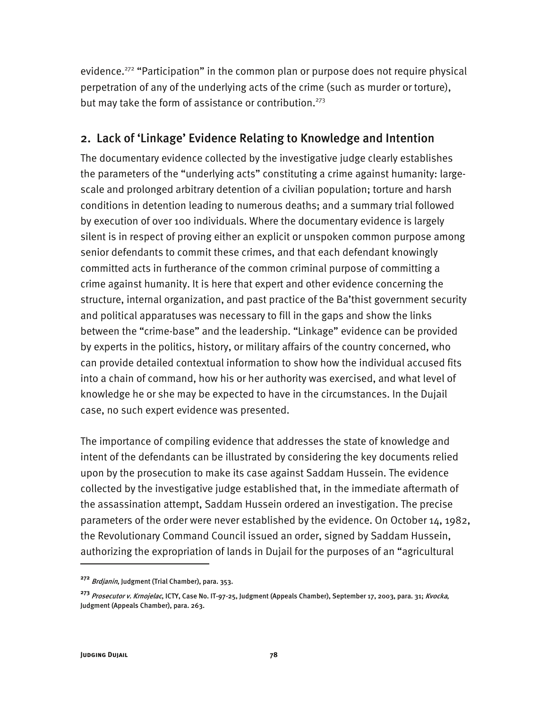evidence.<sup>272</sup> "Participation" in the common plan or purpose does not require physical perpetration of any of the underlying acts of the crime (such as murder or torture), but may take the form of assistance or contribution.<sup>273</sup>

### 2. Lack of 'Linkage' Evidence Relating to Knowledge and Intention

The documentary evidence collected by the investigative judge clearly establishes the parameters of the "underlying acts" constituting a crime against humanity: largescale and prolonged arbitrary detention of a civilian population; torture and harsh conditions in detention leading to numerous deaths; and a summary trial followed by execution of over 100 individuals. Where the documentary evidence is largely silent is in respect of proving either an explicit or unspoken common purpose among senior defendants to commit these crimes, and that each defendant knowingly committed acts in furtherance of the common criminal purpose of committing a crime against humanity. It is here that expert and other evidence concerning the structure, internal organization, and past practice of the Ba'thist government security and political apparatuses was necessary to fill in the gaps and show the links between the "crime-base" and the leadership. "Linkage" evidence can be provided by experts in the politics, history, or military affairs of the country concerned, who can provide detailed contextual information to show how the individual accused fits into a chain of command, how his or her authority was exercised, and what level of knowledge he or she may be expected to have in the circumstances. In the Dujail case, no such expert evidence was presented.

The importance of compiling evidence that addresses the state of knowledge and intent of the defendants can be illustrated by considering the key documents relied upon by the prosecution to make its case against Saddam Hussein. The evidence collected by the investigative judge established that, in the immediate aftermath of the assassination attempt, Saddam Hussein ordered an investigation. The precise parameters of the order were never established by the evidence. On October 14, 1982, the Revolutionary Command Council issued an order, signed by Saddam Hussein, authorizing the expropriation of lands in Dujail for the purposes of an "agricultural

**<sup>272</sup>** Brdjanin, Judgment (Trial Chamber), para. 353.

**<sup>273</sup>** Prosecutor v. Krnojelac, ICTY, Case No. IT-97-25, Judgment (Appeals Chamber), September 17, 2003, para. 31; Kvocka, Judgment (Appeals Chamber), para. 263.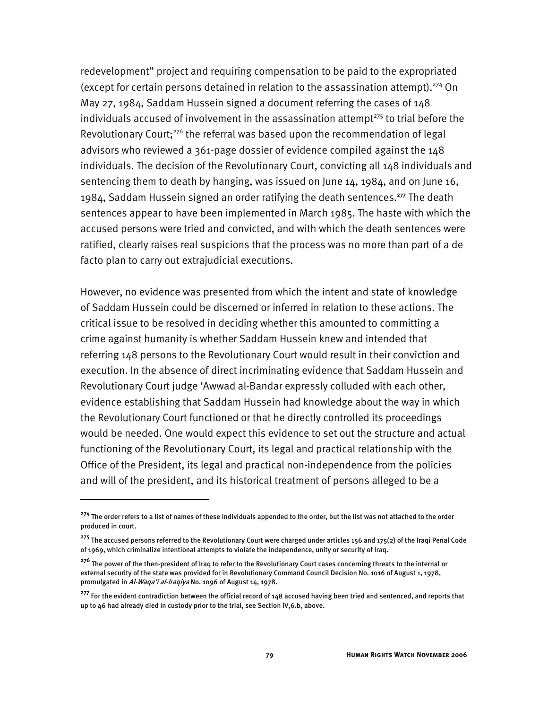redevelopment" project and requiring compensation to be paid to the expropriated (except for certain persons detained in relation to the assassination attempt).<sup>274</sup> On May 27, 1984, Saddam Hussein signed a document referring the cases of 148 individuals accused of involvement in the assassination attempt $275$  to trial before the Revolutionary Court; $276$  the referral was based upon the recommendation of legal advisors who reviewed a 361-page dossier of evidence compiled against the 148 individuals. The decision of the Revolutionary Court, convicting all 148 individuals and sentencing them to death by hanging, was issued on June 14, 1984, and on June 16, 1984, Saddam Hussein signed an order ratifying the death sentences.**<sup>277</sup>** The death sentences appear to have been implemented in March 1985. The haste with which the accused persons were tried and convicted, and with which the death sentences were ratified, clearly raises real suspicions that the process was no more than part of a de facto plan to carry out extrajudicial executions.

However, no evidence was presented from which the intent and state of knowledge of Saddam Hussein could be discerned or inferred in relation to these actions. The critical issue to be resolved in deciding whether this amounted to committing a crime against humanity is whether Saddam Hussein knew and intended that referring 148 persons to the Revolutionary Court would result in their conviction and execution. In the absence of direct incriminating evidence that Saddam Hussein and Revolutionary Court judge 'Awwad al-Bandar expressly colluded with each other, evidence establishing that Saddam Hussein had knowledge about the way in which the Revolutionary Court functioned or that he directly controlled its proceedings would be needed. One would expect this evidence to set out the structure and actual functioning of the Revolutionary Court, its legal and practical relationship with the Office of the President, its legal and practical non-independence from the policies and will of the president, and its historical treatment of persons alleged to be a

**<sup>274</sup>** The order refers to a list of names of these individuals appended to the order, but the list was not attached to the order produced in court.

**<sup>275</sup>** The accused persons referred to the Revolutionary Court were charged under articles 156 and 175(2) of the Iraqi Penal Code of 1969, which criminalize intentional attempts to violate the independence, unity or security of Iraq.

**<sup>276</sup>** The power of the then-president of Iraq to refer to the Revolutionary Court cases concerning threats to the internal or external security of the state was provided for in Revolutionary Command Council Decision No. 1016 of August 1, 1978, promulgated in Al-Waqa'i al-Iraqiya No. 1096 of August 14, 1978.

**<sup>277</sup>** For the evident contradiction between the official record of 148 accused having been tried and sentenced, and reports that up to 46 had already died in custody prior to the trial, see Section IV,6.b, above.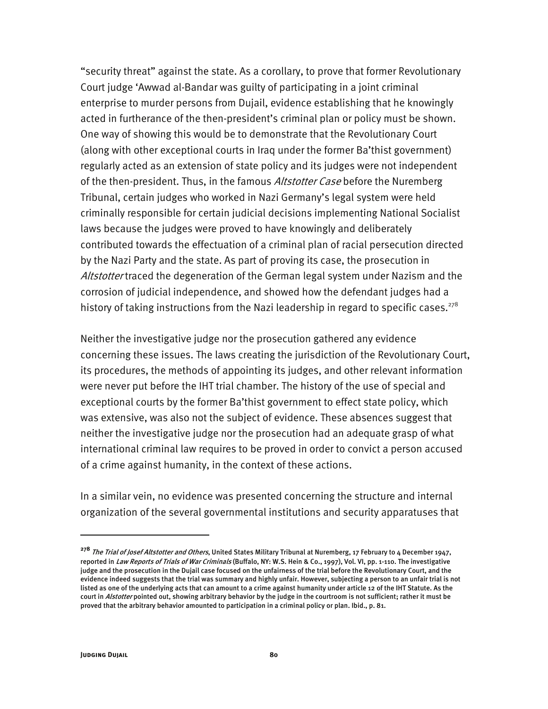"security threat" against the state. As a corollary, to prove that former Revolutionary Court judge 'Awwad al-Bandar was guilty of participating in a joint criminal enterprise to murder persons from Dujail, evidence establishing that he knowingly acted in furtherance of the then-president's criminal plan or policy must be shown. One way of showing this would be to demonstrate that the Revolutionary Court (along with other exceptional courts in Iraq under the former Ba'thist government) regularly acted as an extension of state policy and its judges were not independent of the then-president. Thus, in the famous Altstotter Case before the Nuremberg Tribunal, certain judges who worked in Nazi Germany's legal system were held criminally responsible for certain judicial decisions implementing National Socialist laws because the judges were proved to have knowingly and deliberately contributed towards the effectuation of a criminal plan of racial persecution directed by the Nazi Party and the state. As part of proving its case, the prosecution in Altstotter traced the degeneration of the German legal system under Nazism and the corrosion of judicial independence, and showed how the defendant judges had a history of taking instructions from the Nazi leadership in regard to specific cases.<sup>278</sup>

Neither the investigative judge nor the prosecution gathered any evidence concerning these issues. The laws creating the jurisdiction of the Revolutionary Court, its procedures, the methods of appointing its judges, and other relevant information were never put before the IHT trial chamber. The history of the use of special and exceptional courts by the former Ba'thist government to effect state policy, which was extensive, was also not the subject of evidence. These absences suggest that neither the investigative judge nor the prosecution had an adequate grasp of what international criminal law requires to be proved in order to convict a person accused of a crime against humanity, in the context of these actions.

In a similar vein, no evidence was presented concerning the structure and internal organization of the several governmental institutions and security apparatuses that

-

**<sup>278</sup>** The Trial of Josef Altstotter and Others, United States Military Tribunal at Nuremberg, 17 February to 4 December 1947, reported in Law Reports of Trials of War Criminals (Buffalo, NY: W.S. Hein & Co., 1997), Vol. VI, pp. 1-110. The investigative judge and the prosecution in the Dujail case focused on the unfairness of the trial before the Revolutionary Court, and the evidence indeed suggests that the trial was summary and highly unfair. However, subjecting a person to an unfair trial is not listed as one of the underlying acts that can amount to a crime against humanity under article 12 of the IHT Statute. As the court in Alstotter pointed out, showing arbitrary behavior by the judge in the courtroom is not sufficient; rather it must be proved that the arbitrary behavior amounted to participation in a criminal policy or plan. Ibid., p. 81.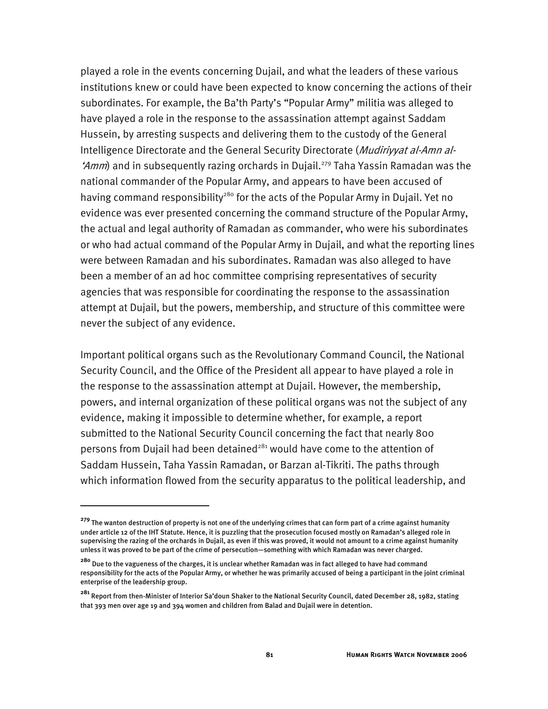played a role in the events concerning Dujail, and what the leaders of these various institutions knew or could have been expected to know concerning the actions of their subordinates. For example, the Ba'th Party's "Popular Army" militia was alleged to have played a role in the response to the assassination attempt against Saddam Hussein, by arresting suspects and delivering them to the custody of the General Intelligence Directorate and the General Security Directorate (Mudiriyyat al-Amn al-'Amm) and in subsequently razing orchards in Dujail.<sup>279</sup> Taha Yassin Ramadan was the national commander of the Popular Army, and appears to have been accused of having command responsibility<sup>280</sup> for the acts of the Popular Army in Dujail. Yet no evidence was ever presented concerning the command structure of the Popular Army, the actual and legal authority of Ramadan as commander, who were his subordinates or who had actual command of the Popular Army in Dujail, and what the reporting lines were between Ramadan and his subordinates. Ramadan was also alleged to have been a member of an ad hoc committee comprising representatives of security agencies that was responsible for coordinating the response to the assassination attempt at Dujail, but the powers, membership, and structure of this committee were never the subject of any evidence.

Important political organs such as the Revolutionary Command Council, the National Security Council, and the Office of the President all appear to have played a role in the response to the assassination attempt at Dujail. However, the membership, powers, and internal organization of these political organs was not the subject of any evidence, making it impossible to determine whether, for example, a report submitted to the National Security Council concerning the fact that nearly 800 persons from Dujail had been detained<sup>281</sup> would have come to the attention of Saddam Hussein, Taha Yassin Ramadan, or Barzan al-Tikriti. The paths through which information flowed from the security apparatus to the political leadership, and

**<sup>279</sup>** The wanton destruction of property is not one of the underlying crimes that can form part of a crime against humanity under article 12 of the IHT Statute. Hence, it is puzzling that the prosecution focused mostly on Ramadan's alleged role in supervising the razing of the orchards in Dujail, as even if this was proved, it would not amount to a crime against humanity unless it was proved to be part of the crime of persecution—something with which Ramadan was never charged.

**<sup>280</sup>** Due to the vagueness of the charges, it is unclear whether Ramadan was in fact alleged to have had command responsibility for the acts of the Popular Army, or whether he was primarily accused of being a participant in the joint criminal enterprise of the leadership group.

**<sup>281</sup>** Report from then-Minister of Interior Sa'doun Shaker to the National Security Council, dated December 28, 1982, stating that 393 men over age 19 and 394 women and children from Balad and Dujail were in detention.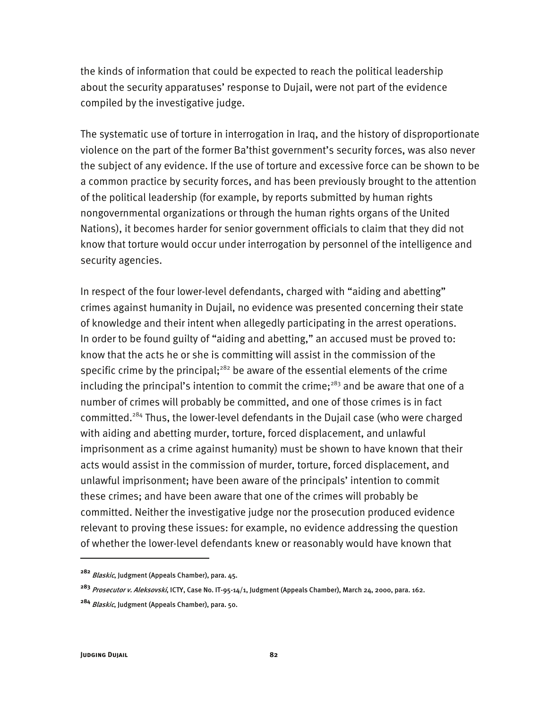the kinds of information that could be expected to reach the political leadership about the security apparatuses' response to Dujail, were not part of the evidence compiled by the investigative judge.

The systematic use of torture in interrogation in Iraq, and the history of disproportionate violence on the part of the former Ba'thist government's security forces, was also never the subject of any evidence. If the use of torture and excessive force can be shown to be a common practice by security forces, and has been previously brought to the attention of the political leadership (for example, by reports submitted by human rights nongovernmental organizations or through the human rights organs of the United Nations), it becomes harder for senior government officials to claim that they did not know that torture would occur under interrogation by personnel of the intelligence and security agencies.

In respect of the four lower-level defendants, charged with "aiding and abetting" crimes against humanity in Dujail, no evidence was presented concerning their state of knowledge and their intent when allegedly participating in the arrest operations. In order to be found guilty of "aiding and abetting," an accused must be proved to: know that the acts he or she is committing will assist in the commission of the specific crime by the principal; $282$  be aware of the essential elements of the crime including the principal's intention to commit the crime;<sup>283</sup> and be aware that one of a number of crimes will probably be committed, and one of those crimes is in fact committed.284 Thus, the lower-level defendants in the Dujail case (who were charged with aiding and abetting murder, torture, forced displacement, and unlawful imprisonment as a crime against humanity) must be shown to have known that their acts would assist in the commission of murder, torture, forced displacement, and unlawful imprisonment; have been aware of the principals' intention to commit these crimes; and have been aware that one of the crimes will probably be committed. Neither the investigative judge nor the prosecution produced evidence relevant to proving these issues: for example, no evidence addressing the question of whether the lower-level defendants knew or reasonably would have known that

**<sup>282</sup>** Blaskic, Judgment (Appeals Chamber), para. 45.

**<sup>283</sup>** Prosecutor v. Aleksovski, ICTY, Case No. IT-95-14/1, Judgment (Appeals Chamber), March 24, 2000, para. 162.

**<sup>284</sup>** Blaskic, Judgment (Appeals Chamber), para. 50.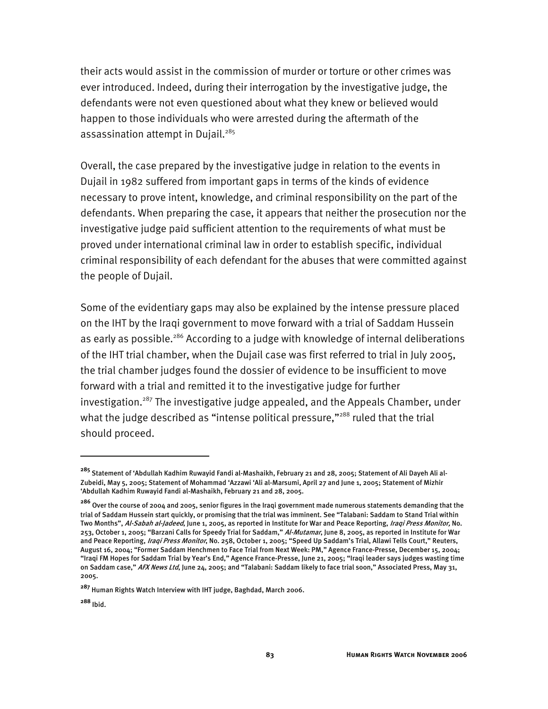their acts would assist in the commission of murder or torture or other crimes was ever introduced. Indeed, during their interrogation by the investigative judge, the defendants were not even questioned about what they knew or believed would happen to those individuals who were arrested during the aftermath of the assassination attempt in Dujail.<sup>285</sup>

Overall, the case prepared by the investigative judge in relation to the events in Dujail in 1982 suffered from important gaps in terms of the kinds of evidence necessary to prove intent, knowledge, and criminal responsibility on the part of the defendants. When preparing the case, it appears that neither the prosecution nor the investigative judge paid sufficient attention to the requirements of what must be proved under international criminal law in order to establish specific, individual criminal responsibility of each defendant for the abuses that were committed against the people of Dujail.

Some of the evidentiary gaps may also be explained by the intense pressure placed on the IHT by the Iraqi government to move forward with a trial of Saddam Hussein as early as possible.<sup>286</sup> According to a judge with knowledge of internal deliberations of the IHT trial chamber, when the Dujail case was first referred to trial in July 2005, the trial chamber judges found the dossier of evidence to be insufficient to move forward with a trial and remitted it to the investigative judge for further investigation.<sup>287</sup> The investigative judge appealed, and the Appeals Chamber, under what the judge described as "intense political pressure,"<sup>288</sup> ruled that the trial should proceed.

-

**<sup>285</sup>** Statement of 'Abdullah Kadhim Ruwayid Fandi al-Mashaikh, February 21 and 28, 2005; Statement of Ali Dayeh Ali al-Zubeidi, May 5, 2005; Statement of Mohammad 'Azzawi 'Ali al-Marsumi, April 27 and June 1, 2005; Statement of Mizhir 'Abdullah Kadhim Ruwayid Fandi al-Mashaikh, February 21 and 28, 2005.

**<sup>286</sup>** Over the course of 2004 and 2005, senior figures in the Iraqi government made numerous statements demanding that the trial of Saddam Hussein start quickly, or promising that the trial was imminent. See "Talabani: Saddam to Stand Trial within Two Months", Al-Sabah al-Jadeed, June 1, 2005, as reported in Institute for War and Peace Reporting, *Iraqi Press Monitor*, No. 253, October 1, 2005; "Barzani Calls for Speedy Trial for Saddam," Al-Mutamar, June 8, 2005, as reported in Institute for War and Peace Reporting, Iraqi Press Monitor, No. 258, October 1, 2005; "Speed Up Saddam's Trial, Allawi Tells Court," Reuters, August 16, 2004; "Former Saddam Henchmen to Face Trial from Next Week: PM," Agence France-Presse, December 15, 2004; "Iraqi FM Hopes for Saddam Trial by Year's End," Agence France-Presse, June 21, 2005; "Iraqi leader says judges wasting time on Saddam case," AFX News Ltd, June 24, 2005; and "Talabani: Saddam likely to face trial soon," Associated Press, May 31, 2005.

**<sup>287</sup>** Human Rights Watch Interview with IHT judge, Baghdad, March 2006.

**<sup>288</sup>** Ibid.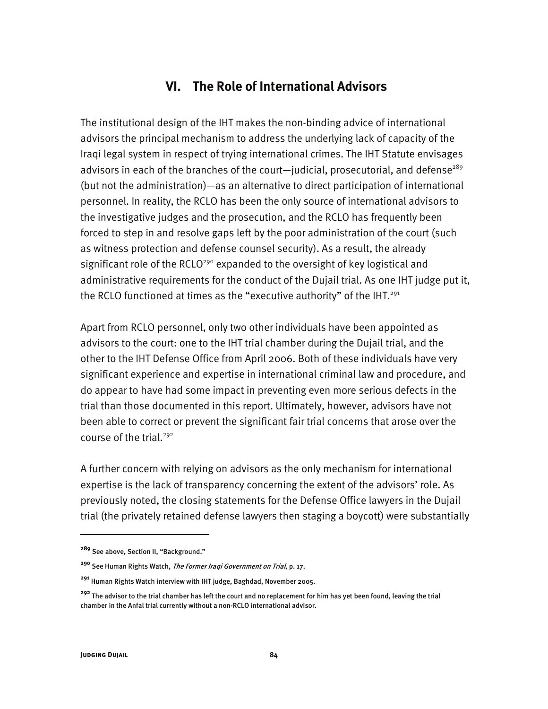## **VI. The Role of International Advisors**

The institutional design of the IHT makes the non-binding advice of international advisors the principal mechanism to address the underlying lack of capacity of the Iraqi legal system in respect of trying international crimes. The IHT Statute envisages advisors in each of the branches of the court-judicial, prosecutorial, and defense<sup>289</sup> (but not the administration)—as an alternative to direct participation of international personnel. In reality, the RCLO has been the only source of international advisors to the investigative judges and the prosecution, and the RCLO has frequently been forced to step in and resolve gaps left by the poor administration of the court (such as witness protection and defense counsel security). As a result, the already significant role of the RCLO<sup>290</sup> expanded to the oversight of key logistical and administrative requirements for the conduct of the Dujail trial. As one IHT judge put it, the RCLO functioned at times as the "executive authority" of the IHT.<sup>291</sup>

Apart from RCLO personnel, only two other individuals have been appointed as advisors to the court: one to the IHT trial chamber during the Dujail trial, and the other to the IHT Defense Office from April 2006. Both of these individuals have very significant experience and expertise in international criminal law and procedure, and do appear to have had some impact in preventing even more serious defects in the trial than those documented in this report. Ultimately, however, advisors have not been able to correct or prevent the significant fair trial concerns that arose over the course of the trial.<sup>292</sup>

A further concern with relying on advisors as the only mechanism for international expertise is the lack of transparency concerning the extent of the advisors' role. As previously noted, the closing statements for the Defense Office lawyers in the Dujail trial (the privately retained defense lawyers then staging a boycott) were substantially

j

**<sup>289</sup>** See above, Section II, "Background."

**<sup>290</sup>** See Human Rights Watch, The Former Iraqi Government on Trial, p. 17.

**<sup>291</sup>** Human Rights Watch interview with IHT judge, Baghdad, November 2005.

**<sup>292</sup>** The advisor to the trial chamber has left the court and no replacement for him has yet been found, leaving the trial chamber in the Anfal trial currently without a non-RCLO international advisor.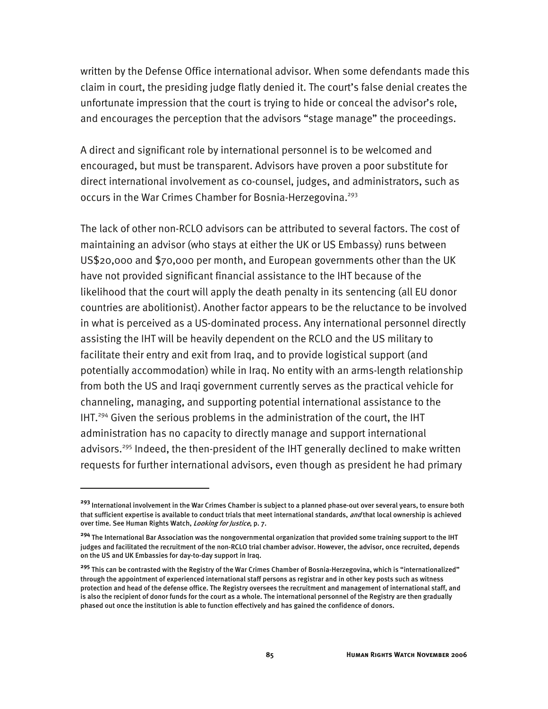written by the Defense Office international advisor. When some defendants made this claim in court, the presiding judge flatly denied it. The court's false denial creates the unfortunate impression that the court is trying to hide or conceal the advisor's role, and encourages the perception that the advisors "stage manage" the proceedings.

A direct and significant role by international personnel is to be welcomed and encouraged, but must be transparent. Advisors have proven a poor substitute for direct international involvement as co-counsel, judges, and administrators, such as occurs in the War Crimes Chamber for Bosnia-Herzegovina.<sup>293</sup>

The lack of other non-RCLO advisors can be attributed to several factors. The cost of maintaining an advisor (who stays at either the UK or US Embassy) runs between US\$20,000 and \$70,000 per month, and European governments other than the UK have not provided significant financial assistance to the IHT because of the likelihood that the court will apply the death penalty in its sentencing (all EU donor countries are abolitionist). Another factor appears to be the reluctance to be involved in what is perceived as a US-dominated process. Any international personnel directly assisting the IHT will be heavily dependent on the RCLO and the US military to facilitate their entry and exit from Iraq, and to provide logistical support (and potentially accommodation) while in Iraq. No entity with an arms-length relationship from both the US and Iraqi government currently serves as the practical vehicle for channeling, managing, and supporting potential international assistance to the IHT.294 Given the serious problems in the administration of the court, the IHT administration has no capacity to directly manage and support international advisors.<sup>295</sup> Indeed, the then-president of the IHT generally declined to make written requests for further international advisors, even though as president he had primary

**<sup>293</sup>** International involvement in the War Crimes Chamber is subject to a planned phase-out over several years, to ensure both that sufficient expertise is available to conduct trials that meet international standards, *and* that local ownership is achieved over time. See Human Rights Watch, *Looking for Justice*, p. 7.

**<sup>294</sup>** The International Bar Association was the nongovernmental organization that provided some training support to the IHT judges and facilitated the recruitment of the non-RCLO trial chamber advisor. However, the advisor, once recruited, depends on the US and UK Embassies for day-to-day support in Iraq.

**<sup>295</sup>** This can be contrasted with the Registry of the War Crimes Chamber of Bosnia-Herzegovina, which is "internationalized" through the appointment of experienced international staff persons as registrar and in other key posts such as witness protection and head of the defense office. The Registry oversees the recruitment and management of international staff, and is also the recipient of donor funds for the court as a whole. The international personnel of the Registry are then gradually phased out once the institution is able to function effectively and has gained the confidence of donors.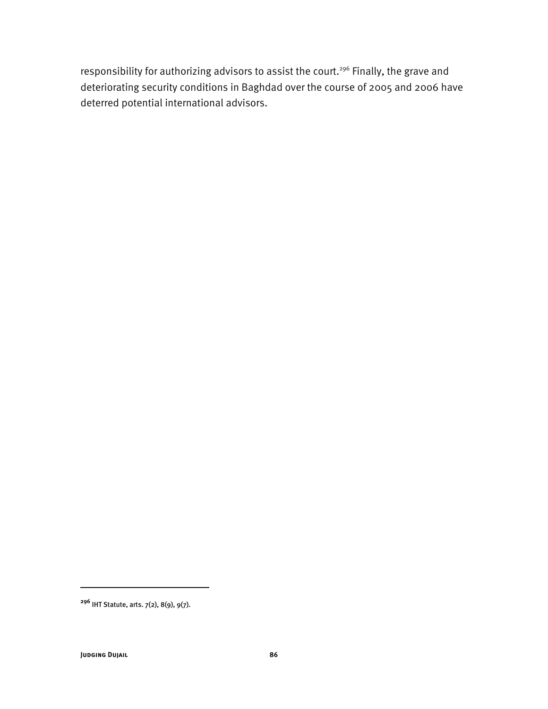responsibility for authorizing advisors to assist the court.<sup>296</sup> Finally, the grave and deteriorating security conditions in Baghdad over the course of 2005 and 2006 have deterred potential international advisors.

**<sup>296</sup>** IHT Statute, arts. 7(2), 8(9), 9(7).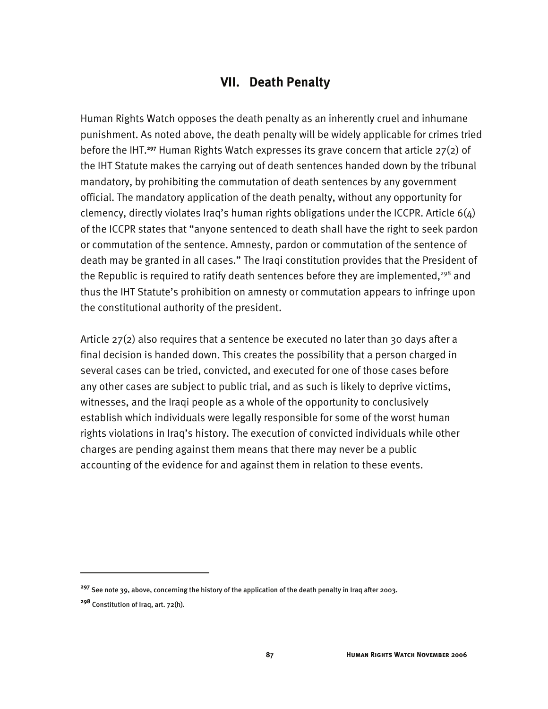### **VII. Death Penalty**

Human Rights Watch opposes the death penalty as an inherently cruel and inhumane punishment. As noted above, the death penalty will be widely applicable for crimes tried before the IHT.**<sup>297</sup>** Human Rights Watch expresses its grave concern that article 27(2) of the IHT Statute makes the carrying out of death sentences handed down by the tribunal mandatory, by prohibiting the commutation of death sentences by any government official. The mandatory application of the death penalty, without any opportunity for clemency, directly violates Iraq's human rights obligations under the ICCPR. Article  $6(4)$ of the ICCPR states that "anyone sentenced to death shall have the right to seek pardon or commutation of the sentence. Amnesty, pardon or commutation of the sentence of death may be granted in all cases." The Iraqi constitution provides that the President of the Republic is required to ratify death sentences before they are implemented,<sup>298</sup> and thus the IHT Statute's prohibition on amnesty or commutation appears to infringe upon the constitutional authority of the president.

Article 27(2) also requires that a sentence be executed no later than 30 days after a final decision is handed down. This creates the possibility that a person charged in several cases can be tried, convicted, and executed for one of those cases before any other cases are subject to public trial, and as such is likely to deprive victims, witnesses, and the Iraqi people as a whole of the opportunity to conclusively establish which individuals were legally responsible for some of the worst human rights violations in Iraq's history. The execution of convicted individuals while other charges are pending against them means that there may never be a public accounting of the evidence for and against them in relation to these events.

-

**<sup>297</sup>** See note 39, above, concerning the history of the application of the death penalty in Iraq after 2003.

**<sup>298</sup>** Constitution of Iraq, art. 72(h).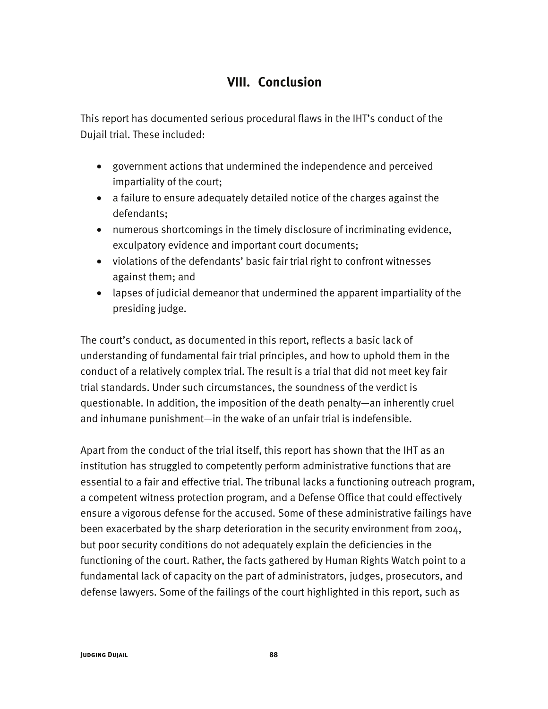# **VIII. Conclusion**

This report has documented serious procedural flaws in the IHT's conduct of the Dujail trial. These included:

- government actions that undermined the independence and perceived impartiality of the court;
- a failure to ensure adequately detailed notice of the charges against the defendants;
- numerous shortcomings in the timely disclosure of incriminating evidence, exculpatory evidence and important court documents;
- violations of the defendants' basic fair trial right to confront witnesses against them; and
- lapses of judicial demeanor that undermined the apparent impartiality of the presiding judge.

The court's conduct, as documented in this report, reflects a basic lack of understanding of fundamental fair trial principles, and how to uphold them in the conduct of a relatively complex trial. The result is a trial that did not meet key fair trial standards. Under such circumstances, the soundness of the verdict is questionable. In addition, the imposition of the death penalty—an inherently cruel and inhumane punishment—in the wake of an unfair trial is indefensible.

Apart from the conduct of the trial itself, this report has shown that the IHT as an institution has struggled to competently perform administrative functions that are essential to a fair and effective trial. The tribunal lacks a functioning outreach program, a competent witness protection program, and a Defense Office that could effectively ensure a vigorous defense for the accused. Some of these administrative failings have been exacerbated by the sharp deterioration in the security environment from 2004, but poor security conditions do not adequately explain the deficiencies in the functioning of the court. Rather, the facts gathered by Human Rights Watch point to a fundamental lack of capacity on the part of administrators, judges, prosecutors, and defense lawyers. Some of the failings of the court highlighted in this report, such as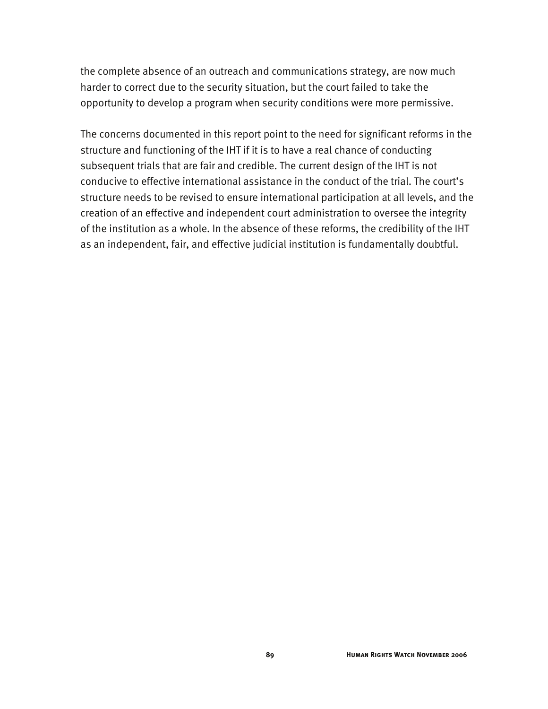the complete absence of an outreach and communications strategy, are now much harder to correct due to the security situation, but the court failed to take the opportunity to develop a program when security conditions were more permissive.

The concerns documented in this report point to the need for significant reforms in the structure and functioning of the IHT if it is to have a real chance of conducting subsequent trials that are fair and credible. The current design of the IHT is not conducive to effective international assistance in the conduct of the trial. The court's structure needs to be revised to ensure international participation at all levels, and the creation of an effective and independent court administration to oversee the integrity of the institution as a whole. In the absence of these reforms, the credibility of the IHT as an independent, fair, and effective judicial institution is fundamentally doubtful.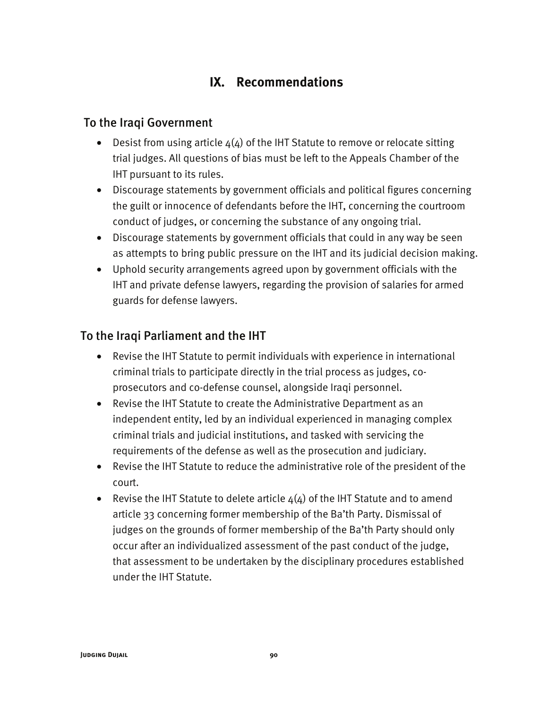# **IX. Recommendations**

### To the Iraqi Government

- Desist from using article  $4(4)$  of the IHT Statute to remove or relocate sitting trial judges. All questions of bias must be left to the Appeals Chamber of the IHT pursuant to its rules.
- Discourage statements by government officials and political figures concerning the guilt or innocence of defendants before the IHT, concerning the courtroom conduct of judges, or concerning the substance of any ongoing trial.
- Discourage statements by government officials that could in any way be seen as attempts to bring public pressure on the IHT and its judicial decision making.
- Uphold security arrangements agreed upon by government officials with the IHT and private defense lawyers, regarding the provision of salaries for armed guards for defense lawyers.

### To the Iraqi Parliament and the IHT

- Revise the IHT Statute to permit individuals with experience in international criminal trials to participate directly in the trial process as judges, coprosecutors and co-defense counsel, alongside Iraqi personnel.
- Revise the IHT Statute to create the Administrative Department as an independent entity, led by an individual experienced in managing complex criminal trials and judicial institutions, and tasked with servicing the requirements of the defense as well as the prosecution and judiciary.
- Revise the IHT Statute to reduce the administrative role of the president of the court.
- Revise the IHT Statute to delete article  $4(4)$  of the IHT Statute and to amend article 33 concerning former membership of the Ba'th Party. Dismissal of judges on the grounds of former membership of the Ba'th Party should only occur after an individualized assessment of the past conduct of the judge, that assessment to be undertaken by the disciplinary procedures established under the IHT Statute.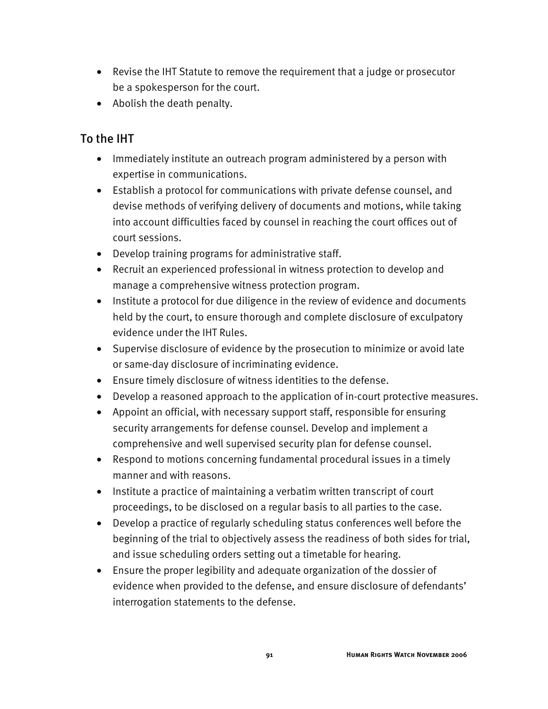- Revise the IHT Statute to remove the requirement that a judge or prosecutor be a spokesperson for the court.
- Abolish the death penalty.

### To the IHT

- Immediately institute an outreach program administered by a person with expertise in communications.
- Establish a protocol for communications with private defense counsel, and devise methods of verifying delivery of documents and motions, while taking into account difficulties faced by counsel in reaching the court offices out of court sessions.
- Develop training programs for administrative staff.
- Recruit an experienced professional in witness protection to develop and manage a comprehensive witness protection program.
- Institute a protocol for due diligence in the review of evidence and documents held by the court, to ensure thorough and complete disclosure of exculpatory evidence under the IHT Rules.
- Supervise disclosure of evidence by the prosecution to minimize or avoid late or same-day disclosure of incriminating evidence.
- Ensure timely disclosure of witness identities to the defense.
- Develop a reasoned approach to the application of in-court protective measures.
- Appoint an official, with necessary support staff, responsible for ensuring security arrangements for defense counsel. Develop and implement a comprehensive and well supervised security plan for defense counsel.
- Respond to motions concerning fundamental procedural issues in a timely manner and with reasons.
- Institute a practice of maintaining a verbatim written transcript of court proceedings, to be disclosed on a regular basis to all parties to the case.
- Develop a practice of regularly scheduling status conferences well before the beginning of the trial to objectively assess the readiness of both sides for trial, and issue scheduling orders setting out a timetable for hearing.
- Ensure the proper legibility and adequate organization of the dossier of evidence when provided to the defense, and ensure disclosure of defendants' interrogation statements to the defense.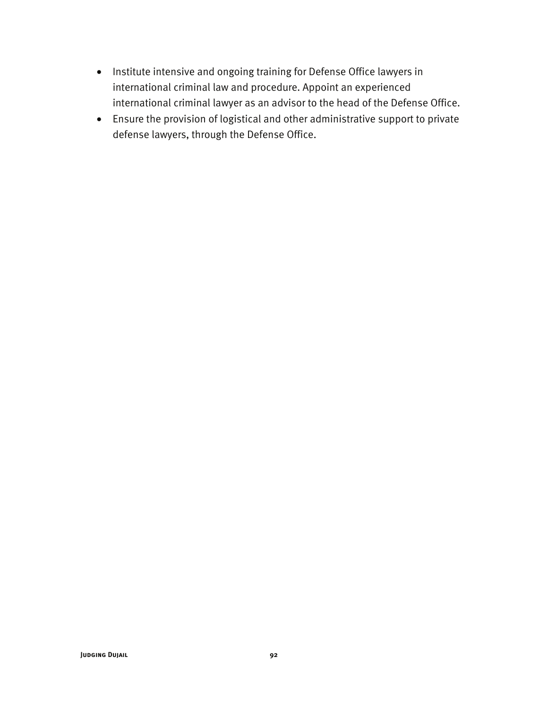- Institute intensive and ongoing training for Defense Office lawyers in international criminal law and procedure. Appoint an experienced international criminal lawyer as an advisor to the head of the Defense Office.
- Ensure the provision of logistical and other administrative support to private defense lawyers, through the Defense Office.